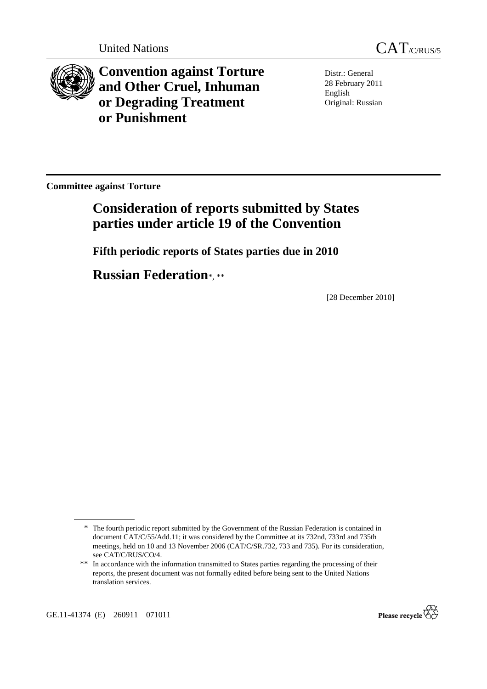

**Convention against Torture and Other Cruel, Inhuman or Degrading Treatment or Punishment**

Distr.: General 28 February 2011 English Original: Russian

**Committee against Torture** 

# **Consideration of reports submitted by States parties under article 19 of the Convention**

 **Fifth periodic reports of States parties due in 2010** 

 **Russian Federation**\*, \*\*

[28 December 2010]

GE.11-41374 (E) 260911 071011



<sup>\*</sup> The fourth periodic report submitted by the Government of the Russian Federation is contained in document CAT/C/55/Add.11; it was considered by the Committee at its 732nd, 733rd and 735th meetings, held on 10 and 13 November 2006 (CAT/C/SR.732, 733 and 735). For its consideration, see CAT/C/RUS/CO/4.

<sup>\*\*</sup> In accordance with the information transmitted to States parties regarding the processing of their reports, the present document was not formally edited before being sent to the United Nations translation services.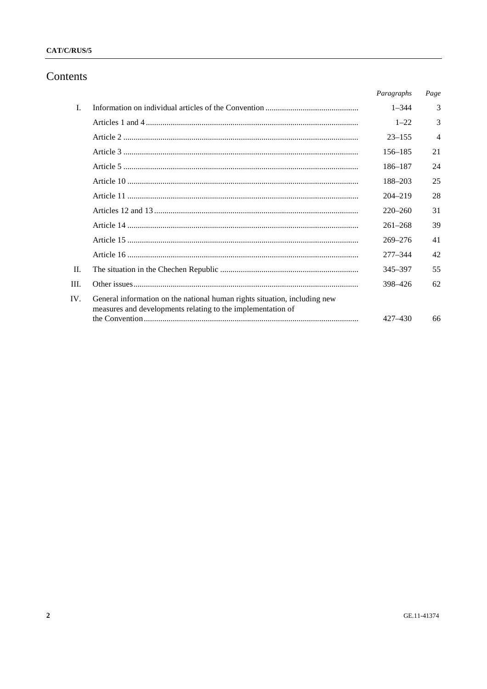#### CAT/C/RUS/5

## Contents

|      |                                                                                                                                          | Paragraphs  | Page           |
|------|------------------------------------------------------------------------------------------------------------------------------------------|-------------|----------------|
| L    |                                                                                                                                          | $1 - 344$   | 3              |
|      |                                                                                                                                          | $1 - 22$    | 3              |
|      |                                                                                                                                          | $23 - 155$  | $\overline{4}$ |
|      |                                                                                                                                          | 156–185     | 21             |
|      |                                                                                                                                          | 186–187     | 24             |
|      |                                                                                                                                          | 188-203     | 25             |
|      |                                                                                                                                          | $204 - 219$ | 28             |
|      |                                                                                                                                          | $220 - 260$ | 31             |
|      |                                                                                                                                          | $261 - 268$ | 39             |
|      |                                                                                                                                          | $269 - 276$ | 41             |
|      |                                                                                                                                          | $277 - 344$ | 42             |
| II.  |                                                                                                                                          | 345-397     | 55             |
| III. |                                                                                                                                          | 398-426     | 62             |
| IV.  | General information on the national human rights situation, including new<br>measures and developments relating to the implementation of |             |                |
|      |                                                                                                                                          | $427 - 430$ | 66             |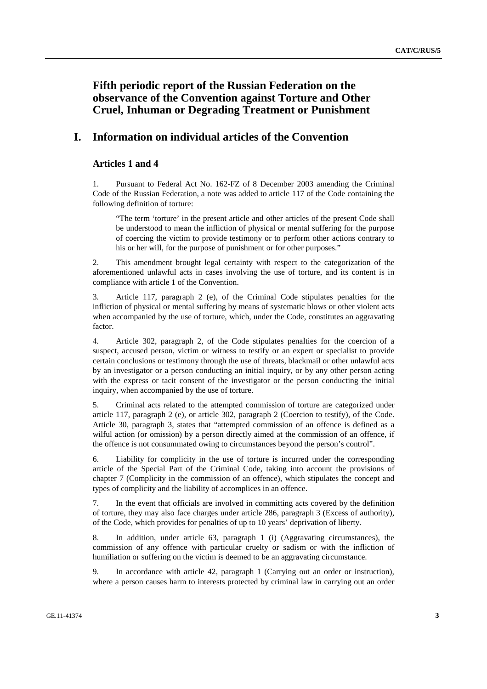# **Fifth periodic report of the Russian Federation on the observance of the Convention against Torture and Other Cruel, Inhuman or Degrading Treatment or Punishment**

### **I. Information on individual articles of the Convention**

#### **Articles 1 and 4**

1. Pursuant to Federal Act No. 162-FZ of 8 December 2003 amending the Criminal Code of the Russian Federation, a note was added to article 117 of the Code containing the following definition of torture:

"The term 'torture' in the present article and other articles of the present Code shall be understood to mean the infliction of physical or mental suffering for the purpose of coercing the victim to provide testimony or to perform other actions contrary to his or her will, for the purpose of punishment or for other purposes."

2. This amendment brought legal certainty with respect to the categorization of the aforementioned unlawful acts in cases involving the use of torture, and its content is in compliance with article 1 of the Convention.

3. Article 117, paragraph 2 (e), of the Criminal Code stipulates penalties for the infliction of physical or mental suffering by means of systematic blows or other violent acts when accompanied by the use of torture, which, under the Code, constitutes an aggravating factor.

4. Article 302, paragraph 2, of the Code stipulates penalties for the coercion of a suspect, accused person, victim or witness to testify or an expert or specialist to provide certain conclusions or testimony through the use of threats, blackmail or other unlawful acts by an investigator or a person conducting an initial inquiry, or by any other person acting with the express or tacit consent of the investigator or the person conducting the initial inquiry, when accompanied by the use of torture.

5. Criminal acts related to the attempted commission of torture are categorized under article 117, paragraph 2 (e), or article 302, paragraph 2 (Coercion to testify), of the Code. Article 30, paragraph 3, states that "attempted commission of an offence is defined as a wilful action (or omission) by a person directly aimed at the commission of an offence, if the offence is not consummated owing to circumstances beyond the person's control".

6. Liability for complicity in the use of torture is incurred under the corresponding article of the Special Part of the Criminal Code, taking into account the provisions of chapter 7 (Complicity in the commission of an offence), which stipulates the concept and types of complicity and the liability of accomplices in an offence.

7. In the event that officials are involved in committing acts covered by the definition of torture, they may also face charges under article 286, paragraph 3 (Excess of authority), of the Code, which provides for penalties of up to 10 years' deprivation of liberty.

8. In addition, under article 63, paragraph 1 (i) (Aggravating circumstances), the commission of any offence with particular cruelty or sadism or with the infliction of humiliation or suffering on the victim is deemed to be an aggravating circumstance.

9. In accordance with article 42, paragraph 1 (Carrying out an order or instruction), where a person causes harm to interests protected by criminal law in carrying out an order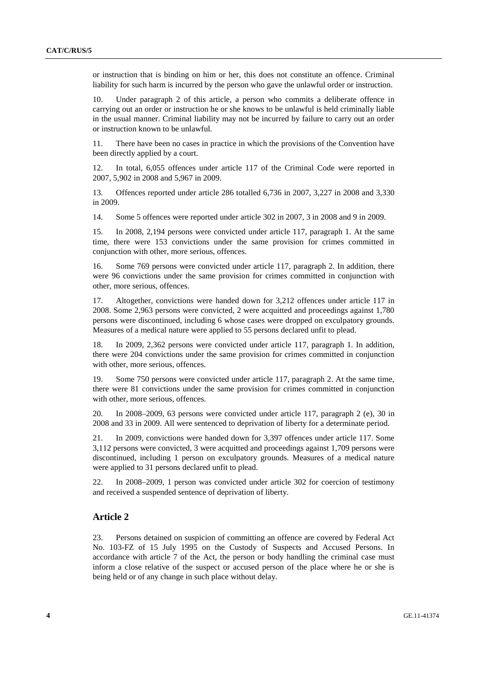or instruction that is binding on him or her, this does not constitute an offence. Criminal liability for such harm is incurred by the person who gave the unlawful order or instruction.

10. Under paragraph 2 of this article, a person who commits a deliberate offence in carrying out an order or instruction he or she knows to be unlawful is held criminally liable in the usual manner. Criminal liability may not be incurred by failure to carry out an order or instruction known to be unlawful.

11. There have been no cases in practice in which the provisions of the Convention have been directly applied by a court.

12. In total, 6,055 offences under article 117 of the Criminal Code were reported in 2007, 5,902 in 2008 and 5,967 in 2009.

13. Offences reported under article 286 totalled 6,736 in 2007, 3,227 in 2008 and 3,330 in 2009.

14. Some 5 offences were reported under article 302 in 2007, 3 in 2008 and 9 in 2009.

15. In 2008, 2,194 persons were convicted under article 117, paragraph 1. At the same time, there were 153 convictions under the same provision for crimes committed in conjunction with other, more serious, offences.

16. Some 769 persons were convicted under article 117, paragraph 2. In addition, there were 96 convictions under the same provision for crimes committed in conjunction with other, more serious, offences.

17. Altogether, convictions were handed down for 3,212 offences under article 117 in 2008. Some 2,963 persons were convicted, 2 were acquitted and proceedings against 1,780 persons were discontinued, including 6 whose cases were dropped on exculpatory grounds. Measures of a medical nature were applied to 55 persons declared unfit to plead.

18. In 2009, 2,362 persons were convicted under article 117, paragraph 1. In addition, there were 204 convictions under the same provision for crimes committed in conjunction with other, more serious, offences.

19. Some 750 persons were convicted under article 117, paragraph 2. At the same time, there were 81 convictions under the same provision for crimes committed in conjunction with other, more serious, offences.

20. In 2008–2009, 63 persons were convicted under article 117, paragraph 2 (e), 30 in 2008 and 33 in 2009. All were sentenced to deprivation of liberty for a determinate period.

21. In 2009, convictions were handed down for 3,397 offences under article 117. Some 3,112 persons were convicted, 3 were acquitted and proceedings against 1,709 persons were discontinued, including 1 person on exculpatory grounds. Measures of a medical nature were applied to 31 persons declared unfit to plead.

22. In 2008–2009, 1 person was convicted under article 302 for coercion of testimony and received a suspended sentence of deprivation of liberty.

#### **Article 2**

23. Persons detained on suspicion of committing an offence are covered by Federal Act No. 103-FZ of 15 July 1995 on the Custody of Suspects and Accused Persons. In accordance with article 7 of the Act, the person or body handling the criminal case must inform a close relative of the suspect or accused person of the place where he or she is being held or of any change in such place without delay.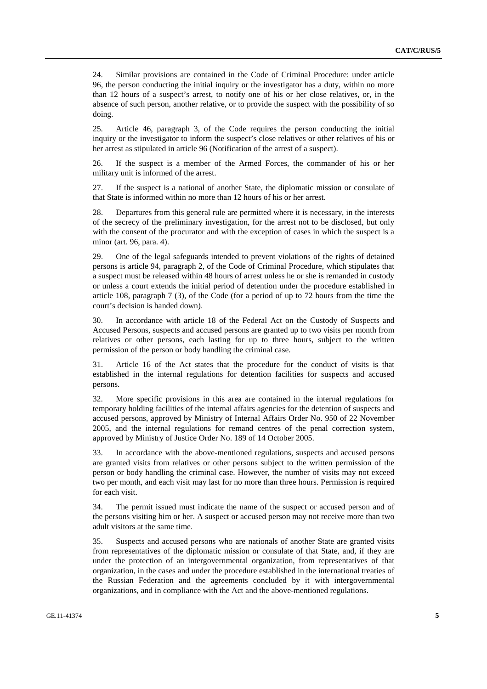24. Similar provisions are contained in the Code of Criminal Procedure: under article 96, the person conducting the initial inquiry or the investigator has a duty, within no more than 12 hours of a suspect's arrest, to notify one of his or her close relatives, or, in the absence of such person, another relative, or to provide the suspect with the possibility of so doing.

25. Article 46, paragraph 3, of the Code requires the person conducting the initial inquiry or the investigator to inform the suspect's close relatives or other relatives of his or her arrest as stipulated in article 96 (Notification of the arrest of a suspect).

26. If the suspect is a member of the Armed Forces, the commander of his or her military unit is informed of the arrest.

27. If the suspect is a national of another State, the diplomatic mission or consulate of that State is informed within no more than 12 hours of his or her arrest.

28. Departures from this general rule are permitted where it is necessary, in the interests of the secrecy of the preliminary investigation, for the arrest not to be disclosed, but only with the consent of the procurator and with the exception of cases in which the suspect is a minor (art. 96, para. 4).

29. One of the legal safeguards intended to prevent violations of the rights of detained persons is article 94, paragraph 2, of the Code of Criminal Procedure, which stipulates that a suspect must be released within 48 hours of arrest unless he or she is remanded in custody or unless a court extends the initial period of detention under the procedure established in article 108, paragraph 7 (3), of the Code (for a period of up to 72 hours from the time the court's decision is handed down).

30. In accordance with article 18 of the Federal Act on the Custody of Suspects and Accused Persons, suspects and accused persons are granted up to two visits per month from relatives or other persons, each lasting for up to three hours, subject to the written permission of the person or body handling the criminal case.

31. Article 16 of the Act states that the procedure for the conduct of visits is that established in the internal regulations for detention facilities for suspects and accused persons.

32. More specific provisions in this area are contained in the internal regulations for temporary holding facilities of the internal affairs agencies for the detention of suspects and accused persons, approved by Ministry of Internal Affairs Order No. 950 of 22 November 2005, and the internal regulations for remand centres of the penal correction system, approved by Ministry of Justice Order No. 189 of 14 October 2005.

33. In accordance with the above-mentioned regulations, suspects and accused persons are granted visits from relatives or other persons subject to the written permission of the person or body handling the criminal case. However, the number of visits may not exceed two per month, and each visit may last for no more than three hours. Permission is required for each visit.

34. The permit issued must indicate the name of the suspect or accused person and of the persons visiting him or her. A suspect or accused person may not receive more than two adult visitors at the same time.

35. Suspects and accused persons who are nationals of another State are granted visits from representatives of the diplomatic mission or consulate of that State, and, if they are under the protection of an intergovernmental organization, from representatives of that organization, in the cases and under the procedure established in the international treaties of the Russian Federation and the agreements concluded by it with intergovernmental organizations, and in compliance with the Act and the above-mentioned regulations.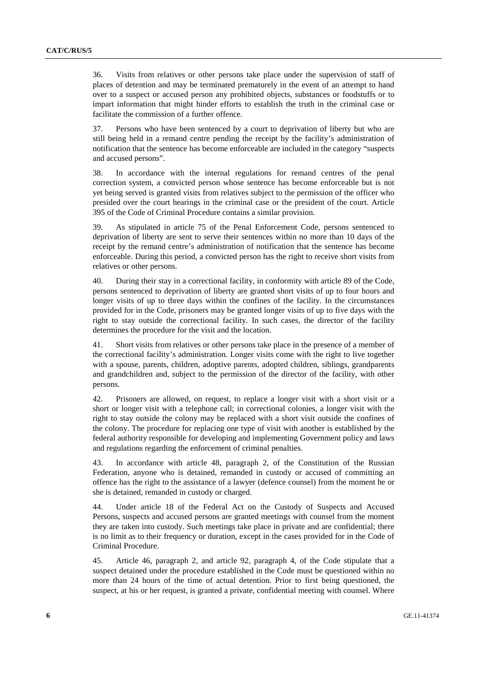36. Visits from relatives or other persons take place under the supervision of staff of places of detention and may be terminated prematurely in the event of an attempt to hand over to a suspect or accused person any prohibited objects, substances or foodstuffs or to impart information that might hinder efforts to establish the truth in the criminal case or facilitate the commission of a further offence.

37. Persons who have been sentenced by a court to deprivation of liberty but who are still being held in a remand centre pending the receipt by the facility's administration of notification that the sentence has become enforceable are included in the category "suspects and accused persons".

38. In accordance with the internal regulations for remand centres of the penal correction system, a convicted person whose sentence has become enforceable but is not yet being served is granted visits from relatives subject to the permission of the officer who presided over the court hearings in the criminal case or the president of the court. Article 395 of the Code of Criminal Procedure contains a similar provision.

39. As stipulated in article 75 of the Penal Enforcement Code, persons sentenced to deprivation of liberty are sent to serve their sentences within no more than 10 days of the receipt by the remand centre's administration of notification that the sentence has become enforceable. During this period, a convicted person has the right to receive short visits from relatives or other persons.

40. During their stay in a correctional facility, in conformity with article 89 of the Code, persons sentenced to deprivation of liberty are granted short visits of up to four hours and longer visits of up to three days within the confines of the facility. In the circumstances provided for in the Code, prisoners may be granted longer visits of up to five days with the right to stay outside the correctional facility. In such cases, the director of the facility determines the procedure for the visit and the location.

41. Short visits from relatives or other persons take place in the presence of a member of the correctional facility's administration. Longer visits come with the right to live together with a spouse, parents, children, adoptive parents, adopted children, siblings, grandparents and grandchildren and, subject to the permission of the director of the facility, with other persons.

42. Prisoners are allowed, on request, to replace a longer visit with a short visit or a short or longer visit with a telephone call; in correctional colonies, a longer visit with the right to stay outside the colony may be replaced with a short visit outside the confines of the colony. The procedure for replacing one type of visit with another is established by the federal authority responsible for developing and implementing Government policy and laws and regulations regarding the enforcement of criminal penalties.

43. In accordance with article 48, paragraph 2, of the Constitution of the Russian Federation, anyone who is detained, remanded in custody or accused of committing an offence has the right to the assistance of a lawyer (defence counsel) from the moment he or she is detained, remanded in custody or charged.

44. Under article 18 of the Federal Act on the Custody of Suspects and Accused Persons, suspects and accused persons are granted meetings with counsel from the moment they are taken into custody. Such meetings take place in private and are confidential; there is no limit as to their frequency or duration, except in the cases provided for in the Code of Criminal Procedure.

45. Article 46, paragraph 2, and article 92, paragraph 4, of the Code stipulate that a suspect detained under the procedure established in the Code must be questioned within no more than 24 hours of the time of actual detention. Prior to first being questioned, the suspect, at his or her request, is granted a private, confidential meeting with counsel. Where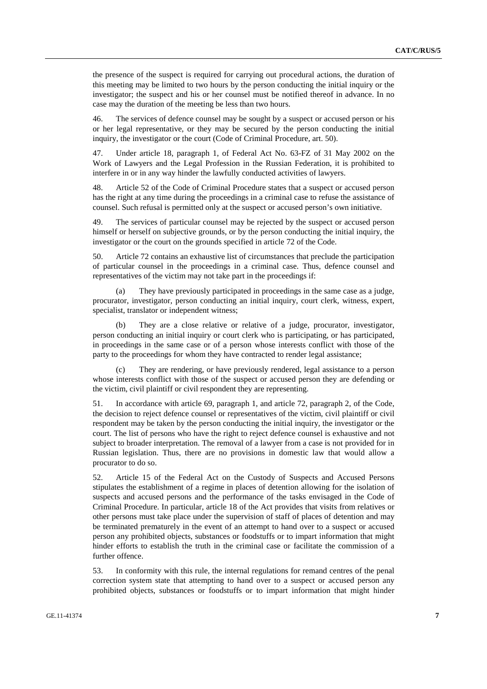the presence of the suspect is required for carrying out procedural actions, the duration of this meeting may be limited to two hours by the person conducting the initial inquiry or the investigator; the suspect and his or her counsel must be notified thereof in advance. In no case may the duration of the meeting be less than two hours.

46. The services of defence counsel may be sought by a suspect or accused person or his or her legal representative, or they may be secured by the person conducting the initial inquiry, the investigator or the court (Code of Criminal Procedure, art. 50).

47. Under article 18, paragraph 1, of Federal Act No. 63-FZ of 31 May 2002 on the Work of Lawyers and the Legal Profession in the Russian Federation, it is prohibited to interfere in or in any way hinder the lawfully conducted activities of lawyers.

48. Article 52 of the Code of Criminal Procedure states that a suspect or accused person has the right at any time during the proceedings in a criminal case to refuse the assistance of counsel. Such refusal is permitted only at the suspect or accused person's own initiative.

49. The services of particular counsel may be rejected by the suspect or accused person himself or herself on subjective grounds, or by the person conducting the initial inquiry, the investigator or the court on the grounds specified in article 72 of the Code.

50. Article 72 contains an exhaustive list of circumstances that preclude the participation of particular counsel in the proceedings in a criminal case. Thus, defence counsel and representatives of the victim may not take part in the proceedings if:

 (a) They have previously participated in proceedings in the same case as a judge, procurator, investigator, person conducting an initial inquiry, court clerk, witness, expert, specialist, translator or independent witness;

 (b) They are a close relative or relative of a judge, procurator, investigator, person conducting an initial inquiry or court clerk who is participating, or has participated, in proceedings in the same case or of a person whose interests conflict with those of the party to the proceedings for whom they have contracted to render legal assistance;

 (c) They are rendering, or have previously rendered, legal assistance to a person whose interests conflict with those of the suspect or accused person they are defending or the victim, civil plaintiff or civil respondent they are representing.

51. In accordance with article 69, paragraph 1, and article 72, paragraph 2, of the Code, the decision to reject defence counsel or representatives of the victim, civil plaintiff or civil respondent may be taken by the person conducting the initial inquiry, the investigator or the court. The list of persons who have the right to reject defence counsel is exhaustive and not subject to broader interpretation. The removal of a lawyer from a case is not provided for in Russian legislation. Thus, there are no provisions in domestic law that would allow a procurator to do so.

52. Article 15 of the Federal Act on the Custody of Suspects and Accused Persons stipulates the establishment of a regime in places of detention allowing for the isolation of suspects and accused persons and the performance of the tasks envisaged in the Code of Criminal Procedure. In particular, article 18 of the Act provides that visits from relatives or other persons must take place under the supervision of staff of places of detention and may be terminated prematurely in the event of an attempt to hand over to a suspect or accused person any prohibited objects, substances or foodstuffs or to impart information that might hinder efforts to establish the truth in the criminal case or facilitate the commission of a further offence.

53. In conformity with this rule, the internal regulations for remand centres of the penal correction system state that attempting to hand over to a suspect or accused person any prohibited objects, substances or foodstuffs or to impart information that might hinder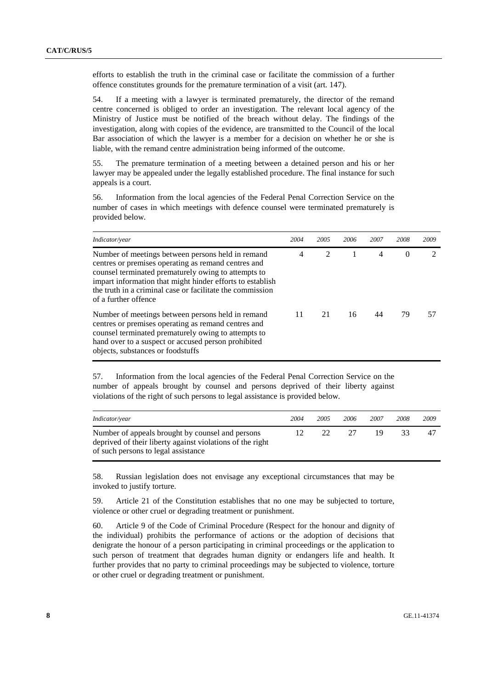efforts to establish the truth in the criminal case or facilitate the commission of a further offence constitutes grounds for the premature termination of a visit (art. 147).

54. If a meeting with a lawyer is terminated prematurely, the director of the remand centre concerned is obliged to order an investigation. The relevant local agency of the Ministry of Justice must be notified of the breach without delay. The findings of the investigation, along with copies of the evidence, are transmitted to the Council of the local Bar association of which the lawyer is a member for a decision on whether he or she is liable, with the remand centre administration being informed of the outcome.

55. The premature termination of a meeting between a detained person and his or her lawyer may be appealed under the legally established procedure. The final instance for such appeals is a court.

56. Information from the local agencies of the Federal Penal Correction Service on the number of cases in which meetings with defence counsel were terminated prematurely is provided below.

| Indicator/year                                                                                                                                                                                                                                                                                                    | 2004           | 2005                        | 2006 | 2007 | 2008     | 2009 |
|-------------------------------------------------------------------------------------------------------------------------------------------------------------------------------------------------------------------------------------------------------------------------------------------------------------------|----------------|-----------------------------|------|------|----------|------|
| Number of meetings between persons held in remand<br>centres or premises operating as remand centres and<br>counsel terminated prematurely owing to attempts to<br>impart information that might hinder efforts to establish<br>the truth in a criminal case or facilitate the commission<br>of a further offence | $\overline{4}$ | $\mathcal{D}_{\mathcal{L}}$ |      | 4    | $\Omega$ |      |
| Number of meetings between persons held in remand<br>centres or premises operating as remand centres and<br>counsel terminated prematurely owing to attempts to<br>hand over to a suspect or accused person prohibited<br>objects, substances or foodstuffs                                                       | 11             | 21                          | 16   | 44   | 79       |      |

57. Information from the local agencies of the Federal Penal Correction Service on the number of appeals brought by counsel and persons deprived of their liberty against violations of the right of such persons to legal assistance is provided below.

| Indicator/year                                                                                                                                       | 2004 | 2005 | 2006 | 2007 | 2008 | 2009 |
|------------------------------------------------------------------------------------------------------------------------------------------------------|------|------|------|------|------|------|
| Number of appeals brought by counsel and persons<br>deprived of their liberty against violations of the right<br>of such persons to legal assistance | 12   | 22.  | -27  | 19   | 33.  |      |

58. Russian legislation does not envisage any exceptional circumstances that may be invoked to justify torture.

59. Article 21 of the Constitution establishes that no one may be subjected to torture, violence or other cruel or degrading treatment or punishment.

60. Article 9 of the Code of Criminal Procedure (Respect for the honour and dignity of the individual) prohibits the performance of actions or the adoption of decisions that denigrate the honour of a person participating in criminal proceedings or the application to such person of treatment that degrades human dignity or endangers life and health. It further provides that no party to criminal proceedings may be subjected to violence, torture or other cruel or degrading treatment or punishment.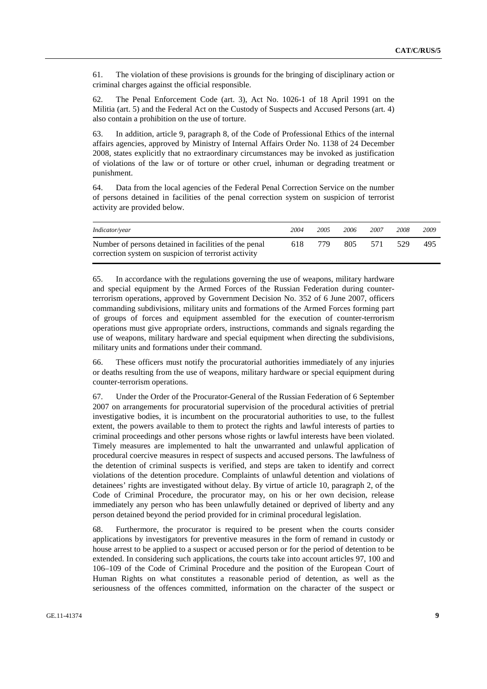61. The violation of these provisions is grounds for the bringing of disciplinary action or criminal charges against the official responsible.

62. The Penal Enforcement Code (art. 3), Act No. 1026-1 of 18 April 1991 on the Militia (art. 5) and the Federal Act on the Custody of Suspects and Accused Persons (art. 4) also contain a prohibition on the use of torture.

63. In addition, article 9, paragraph 8, of the Code of Professional Ethics of the internal affairs agencies, approved by Ministry of Internal Affairs Order No. 1138 of 24 December 2008, states explicitly that no extraordinary circumstances may be invoked as justification of violations of the law or of torture or other cruel, inhuman or degrading treatment or punishment.

64. Data from the local agencies of the Federal Penal Correction Service on the number of persons detained in facilities of the penal correction system on suspicion of terrorist activity are provided below.

| <i>Indicator/year</i>                                                                                         | 2004 | 2005 | 2006 | 2007 | 2008 | 2009 |
|---------------------------------------------------------------------------------------------------------------|------|------|------|------|------|------|
| Number of persons detained in facilities of the penal<br>correction system on suspicion of terrorist activity | 618  | 779  | 805  | 571  | -529 | 495  |

65. In accordance with the regulations governing the use of weapons, military hardware and special equipment by the Armed Forces of the Russian Federation during counterterrorism operations, approved by Government Decision No. 352 of 6 June 2007, officers commanding subdivisions, military units and formations of the Armed Forces forming part of groups of forces and equipment assembled for the execution of counter-terrorism operations must give appropriate orders, instructions, commands and signals regarding the use of weapons, military hardware and special equipment when directing the subdivisions, military units and formations under their command.

66. These officers must notify the procuratorial authorities immediately of any injuries or deaths resulting from the use of weapons, military hardware or special equipment during counter-terrorism operations.

67. Under the Order of the Procurator-General of the Russian Federation of 6 September 2007 on arrangements for procuratorial supervision of the procedural activities of pretrial investigative bodies, it is incumbent on the procuratorial authorities to use, to the fullest extent, the powers available to them to protect the rights and lawful interests of parties to criminal proceedings and other persons whose rights or lawful interests have been violated. Timely measures are implemented to halt the unwarranted and unlawful application of procedural coercive measures in respect of suspects and accused persons. The lawfulness of the detention of criminal suspects is verified, and steps are taken to identify and correct violations of the detention procedure. Complaints of unlawful detention and violations of detainees' rights are investigated without delay. By virtue of article 10, paragraph 2, of the Code of Criminal Procedure, the procurator may, on his or her own decision, release immediately any person who has been unlawfully detained or deprived of liberty and any person detained beyond the period provided for in criminal procedural legislation.

68. Furthermore, the procurator is required to be present when the courts consider applications by investigators for preventive measures in the form of remand in custody or house arrest to be applied to a suspect or accused person or for the period of detention to be extended. In considering such applications, the courts take into account articles 97, 100 and 106–109 of the Code of Criminal Procedure and the position of the European Court of Human Rights on what constitutes a reasonable period of detention, as well as the seriousness of the offences committed, information on the character of the suspect or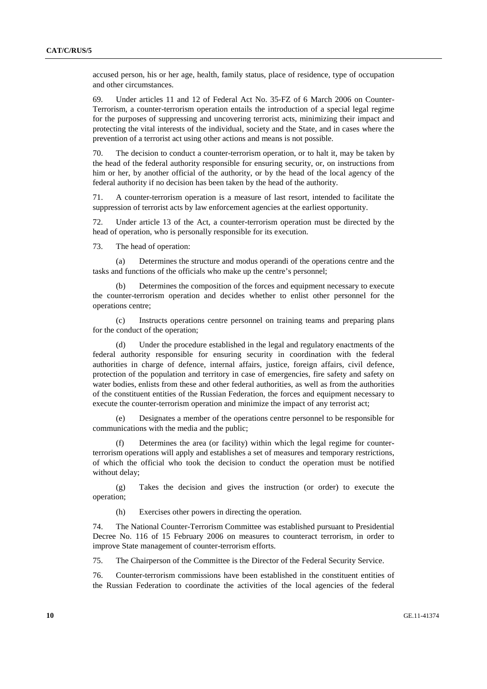accused person, his or her age, health, family status, place of residence, type of occupation and other circumstances.

69. Under articles 11 and 12 of Federal Act No. 35-FZ of 6 March 2006 on Counter-Terrorism, a counter-terrorism operation entails the introduction of a special legal regime for the purposes of suppressing and uncovering terrorist acts, minimizing their impact and protecting the vital interests of the individual, society and the State, and in cases where the prevention of a terrorist act using other actions and means is not possible.

70. The decision to conduct a counter-terrorism operation, or to halt it, may be taken by the head of the federal authority responsible for ensuring security, or, on instructions from him or her, by another official of the authority, or by the head of the local agency of the federal authority if no decision has been taken by the head of the authority.

71. A counter-terrorism operation is a measure of last resort, intended to facilitate the suppression of terrorist acts by law enforcement agencies at the earliest opportunity.

72. Under article 13 of the Act, a counter-terrorism operation must be directed by the head of operation, who is personally responsible for its execution.

73. The head of operation:

 (a) Determines the structure and modus operandi of the operations centre and the tasks and functions of the officials who make up the centre's personnel;

 (b) Determines the composition of the forces and equipment necessary to execute the counter-terrorism operation and decides whether to enlist other personnel for the operations centre;

 (c) Instructs operations centre personnel on training teams and preparing plans for the conduct of the operation;

 (d) Under the procedure established in the legal and regulatory enactments of the federal authority responsible for ensuring security in coordination with the federal authorities in charge of defence, internal affairs, justice, foreign affairs, civil defence, protection of the population and territory in case of emergencies, fire safety and safety on water bodies, enlists from these and other federal authorities, as well as from the authorities of the constituent entities of the Russian Federation, the forces and equipment necessary to execute the counter-terrorism operation and minimize the impact of any terrorist act;

 (e) Designates a member of the operations centre personnel to be responsible for communications with the media and the public;

 (f) Determines the area (or facility) within which the legal regime for counterterrorism operations will apply and establishes a set of measures and temporary restrictions, of which the official who took the decision to conduct the operation must be notified without delay;

 (g) Takes the decision and gives the instruction (or order) to execute the operation;

(h) Exercises other powers in directing the operation.

74. The National Counter-Terrorism Committee was established pursuant to Presidential Decree No. 116 of 15 February 2006 on measures to counteract terrorism, in order to improve State management of counter-terrorism efforts.

75. The Chairperson of the Committee is the Director of the Federal Security Service.

76. Counter-terrorism commissions have been established in the constituent entities of the Russian Federation to coordinate the activities of the local agencies of the federal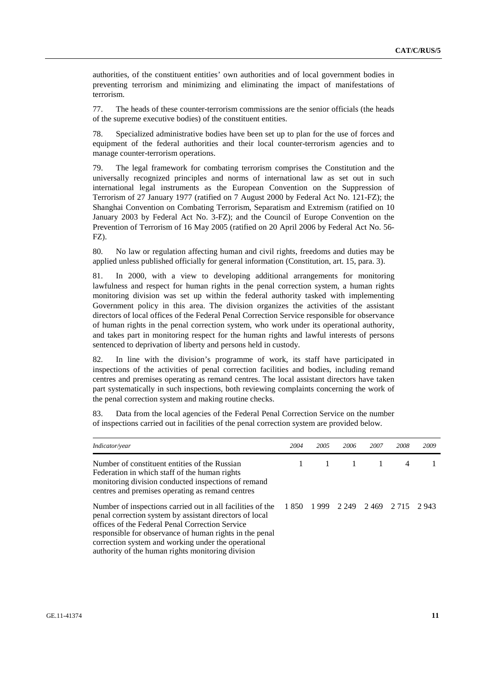authorities, of the constituent entities' own authorities and of local government bodies in preventing terrorism and minimizing and eliminating the impact of manifestations of terrorism.

77. The heads of these counter-terrorism commissions are the senior officials (the heads of the supreme executive bodies) of the constituent entities.

78. Specialized administrative bodies have been set up to plan for the use of forces and equipment of the federal authorities and their local counter-terrorism agencies and to manage counter-terrorism operations.

79. The legal framework for combating terrorism comprises the Constitution and the universally recognized principles and norms of international law as set out in such international legal instruments as the European Convention on the Suppression of Terrorism of 27 January 1977 (ratified on 7 August 2000 by Federal Act No. 121-FZ); the Shanghai Convention on Combating Terrorism, Separatism and Extremism (ratified on 10 January 2003 by Federal Act No. 3-FZ); and the Council of Europe Convention on the Prevention of Terrorism of 16 May 2005 (ratified on 20 April 2006 by Federal Act No. 56- FZ).

80. No law or regulation affecting human and civil rights, freedoms and duties may be applied unless published officially for general information (Constitution, art. 15, para. 3).

81. In 2000, with a view to developing additional arrangements for monitoring lawfulness and respect for human rights in the penal correction system, a human rights monitoring division was set up within the federal authority tasked with implementing Government policy in this area. The division organizes the activities of the assistant directors of local offices of the Federal Penal Correction Service responsible for observance of human rights in the penal correction system, who work under its operational authority, and takes part in monitoring respect for the human rights and lawful interests of persons sentenced to deprivation of liberty and persons held in custody.

82. In line with the division's programme of work, its staff have participated in inspections of the activities of penal correction facilities and bodies, including remand centres and premises operating as remand centres. The local assistant directors have taken part systematically in such inspections, both reviewing complaints concerning the work of the penal correction system and making routine checks.

Data from the local agencies of the Federal Penal Correction Service on the number of inspections carried out in facilities of the penal correction system are provided below.

| Indicator/year                                                                                                                                                                                                                                                                                                                                  | 2004 | 2005 | 2006    | 2007 | 2008  | 2009  |
|-------------------------------------------------------------------------------------------------------------------------------------------------------------------------------------------------------------------------------------------------------------------------------------------------------------------------------------------------|------|------|---------|------|-------|-------|
| Number of constituent entities of the Russian<br>Federation in which staff of the human rights<br>monitoring division conducted inspections of remand<br>centres and premises operating as remand centres                                                                                                                                       |      |      | -1      |      | 4     |       |
| Number of inspections carried out in all facilities of the<br>penal correction system by assistant directors of local<br>offices of the Federal Penal Correction Service<br>responsible for observance of human rights in the penal<br>correction system and working under the operational<br>authority of the human rights monitoring division | 1850 | 1999 | 2 2 4 9 | 2469 | 2.715 | 2.943 |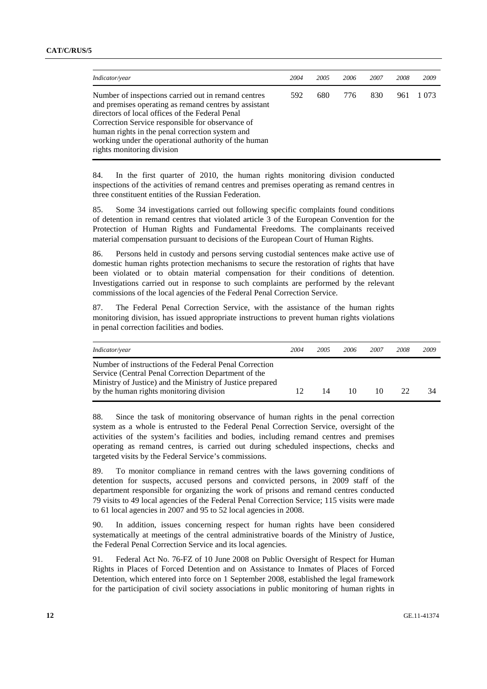| Indicator/year                                                                                                                                                                                                                                                                                                                                               | 2004 | 2005 | 2006 | 2007 | 2008 | 2009    |
|--------------------------------------------------------------------------------------------------------------------------------------------------------------------------------------------------------------------------------------------------------------------------------------------------------------------------------------------------------------|------|------|------|------|------|---------|
| Number of inspections carried out in remand centres<br>and premises operating as remand centres by assistant<br>directors of local offices of the Federal Penal<br>Correction Service responsible for observance of<br>human rights in the penal correction system and<br>working under the operational authority of the human<br>rights monitoring division | 592  | 680  | 776  | 830  | 961  | 1 0 7 3 |

84. In the first quarter of 2010, the human rights monitoring division conducted inspections of the activities of remand centres and premises operating as remand centres in three constituent entities of the Russian Federation.

85. Some 34 investigations carried out following specific complaints found conditions of detention in remand centres that violated article 3 of the European Convention for the Protection of Human Rights and Fundamental Freedoms. The complainants received material compensation pursuant to decisions of the European Court of Human Rights.

86. Persons held in custody and persons serving custodial sentences make active use of domestic human rights protection mechanisms to secure the restoration of rights that have been violated or to obtain material compensation for their conditions of detention. Investigations carried out in response to such complaints are performed by the relevant commissions of the local agencies of the Federal Penal Correction Service.

87. The Federal Penal Correction Service, with the assistance of the human rights monitoring division, has issued appropriate instructions to prevent human rights violations in penal correction facilities and bodies.

| <i>Indicator/year</i>                                                                                                                                                                                                 | 2004 | 2005 | 2006 | 2007 | 2008 | 2009 |
|-----------------------------------------------------------------------------------------------------------------------------------------------------------------------------------------------------------------------|------|------|------|------|------|------|
| Number of instructions of the Federal Penal Correction<br>Service (Central Penal Correction Department of the<br>Ministry of Justice) and the Ministry of Justice prepared<br>by the human rights monitoring division | 12   | 14   | 10   | 10   | 22.  | 34   |

88. Since the task of monitoring observance of human rights in the penal correction system as a whole is entrusted to the Federal Penal Correction Service, oversight of the activities of the system's facilities and bodies, including remand centres and premises operating as remand centres, is carried out during scheduled inspections, checks and targeted visits by the Federal Service's commissions.

89. To monitor compliance in remand centres with the laws governing conditions of detention for suspects, accused persons and convicted persons, in 2009 staff of the department responsible for organizing the work of prisons and remand centres conducted 79 visits to 49 local agencies of the Federal Penal Correction Service; 115 visits were made to 61 local agencies in 2007 and 95 to 52 local agencies in 2008.

90. In addition, issues concerning respect for human rights have been considered systematically at meetings of the central administrative boards of the Ministry of Justice, the Federal Penal Correction Service and its local agencies.

91. Federal Act No. 76-FZ of 10 June 2008 on Public Oversight of Respect for Human Rights in Places of Forced Detention and on Assistance to Inmates of Places of Forced Detention, which entered into force on 1 September 2008, established the legal framework for the participation of civil society associations in public monitoring of human rights in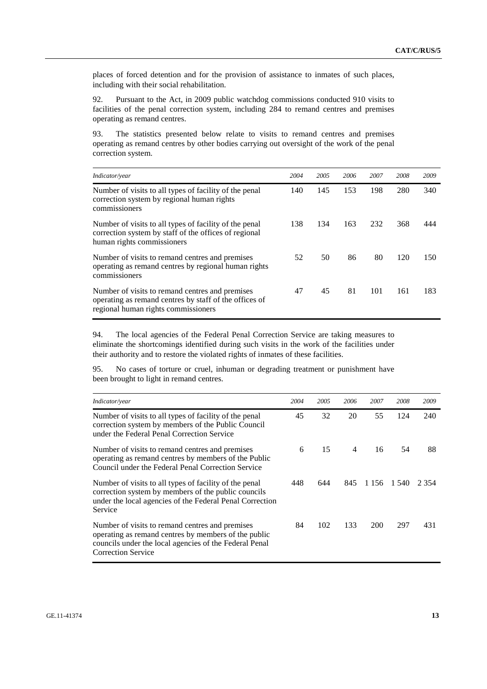places of forced detention and for the provision of assistance to inmates of such places, including with their social rehabilitation.

92. Pursuant to the Act, in 2009 public watchdog commissions conducted 910 visits to facilities of the penal correction system, including 284 to remand centres and premises operating as remand centres.

93. The statistics presented below relate to visits to remand centres and premises operating as remand centres by other bodies carrying out oversight of the work of the penal correction system.

| Indicator/year                                                                                                                                   | 2004 | 2005 | 2006 | 2007 | 2008 | 2009 |
|--------------------------------------------------------------------------------------------------------------------------------------------------|------|------|------|------|------|------|
| Number of visits to all types of facility of the penal<br>correction system by regional human rights<br>commissioners                            | 140  | 145  | 153  | 198  | 280  | 340  |
| Number of visits to all types of facility of the penal<br>correction system by staff of the offices of regional<br>human rights commissioners    | 138  | 134  | 163  | 232  | 368  | 444  |
| Number of visits to remand centres and premises<br>operating as remand centres by regional human rights<br>commissioners                         | 52   | 50   | 86   | 80   | 120  | 150  |
| Number of visits to remand centres and premises<br>operating as remand centres by staff of the offices of<br>regional human rights commissioners | 47   | 45   | 81   | 101  | 161  | 183  |

94. The local agencies of the Federal Penal Correction Service are taking measures to eliminate the shortcomings identified during such visits in the work of the facilities under their authority and to restore the violated rights of inmates of these facilities.

95. No cases of torture or cruel, inhuman or degrading treatment or punishment have been brought to light in remand centres.

| Indicator/year                                                                                                                                                                                 | 2004 | 2005 | 2006           | 2007    | 2008  | 2009  |
|------------------------------------------------------------------------------------------------------------------------------------------------------------------------------------------------|------|------|----------------|---------|-------|-------|
| Number of visits to all types of facility of the penal<br>correction system by members of the Public Council<br>under the Federal Penal Correction Service                                     | 45   | 32   | 20             | 55      | 124   | 240   |
| Number of visits to remand centres and premises<br>operating as remand centres by members of the Public<br>Council under the Federal Penal Correction Service                                  | 6    | 15   | $\overline{4}$ | 16      | 54    | 88    |
| Number of visits to all types of facility of the penal<br>correction system by members of the public councils<br>under the local agencies of the Federal Penal Correction<br>Service           | 448  | 644  | 845            | 1 1 5 6 | 1.540 | 2.354 |
| Number of visits to remand centres and premises<br>operating as remand centres by members of the public<br>councils under the local agencies of the Federal Penal<br><b>Correction Service</b> | 84   | 102  | 133            | 200     | 297   | 431   |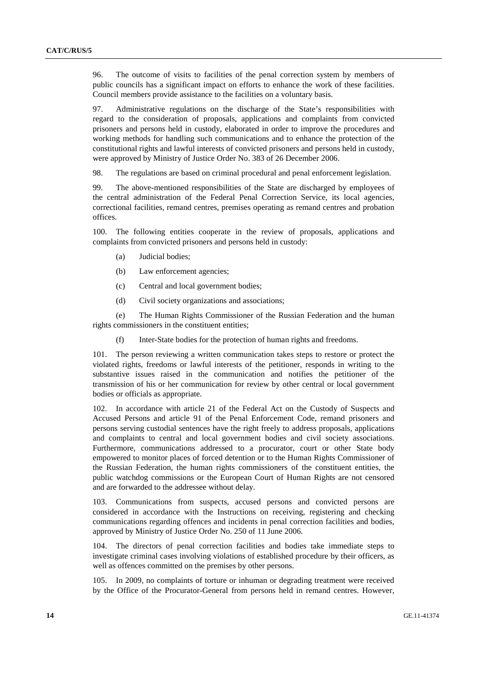96. The outcome of visits to facilities of the penal correction system by members of public councils has a significant impact on efforts to enhance the work of these facilities. Council members provide assistance to the facilities on a voluntary basis.

97. Administrative regulations on the discharge of the State's responsibilities with regard to the consideration of proposals, applications and complaints from convicted prisoners and persons held in custody, elaborated in order to improve the procedures and working methods for handling such communications and to enhance the protection of the constitutional rights and lawful interests of convicted prisoners and persons held in custody, were approved by Ministry of Justice Order No. 383 of 26 December 2006.

98. The regulations are based on criminal procedural and penal enforcement legislation.

99. The above-mentioned responsibilities of the State are discharged by employees of the central administration of the Federal Penal Correction Service, its local agencies, correctional facilities, remand centres, premises operating as remand centres and probation offices.

100. The following entities cooperate in the review of proposals, applications and complaints from convicted prisoners and persons held in custody:

- (a) Judicial bodies;
- (b) Law enforcement agencies;
- (c) Central and local government bodies;
- (d) Civil society organizations and associations;

 (e) The Human Rights Commissioner of the Russian Federation and the human rights commissioners in the constituent entities;

(f) Inter-State bodies for the protection of human rights and freedoms.

101. The person reviewing a written communication takes steps to restore or protect the violated rights, freedoms or lawful interests of the petitioner, responds in writing to the substantive issues raised in the communication and notifies the petitioner of the transmission of his or her communication for review by other central or local government bodies or officials as appropriate.

102. In accordance with article 21 of the Federal Act on the Custody of Suspects and Accused Persons and article 91 of the Penal Enforcement Code, remand prisoners and persons serving custodial sentences have the right freely to address proposals, applications and complaints to central and local government bodies and civil society associations. Furthermore, communications addressed to a procurator, court or other State body empowered to monitor places of forced detention or to the Human Rights Commissioner of the Russian Federation, the human rights commissioners of the constituent entities, the public watchdog commissions or the European Court of Human Rights are not censored and are forwarded to the addressee without delay.

103. Communications from suspects, accused persons and convicted persons are considered in accordance with the Instructions on receiving, registering and checking communications regarding offences and incidents in penal correction facilities and bodies, approved by Ministry of Justice Order No. 250 of 11 June 2006.

104. The directors of penal correction facilities and bodies take immediate steps to investigate criminal cases involving violations of established procedure by their officers, as well as offences committed on the premises by other persons.

105. In 2009, no complaints of torture or inhuman or degrading treatment were received by the Office of the Procurator-General from persons held in remand centres. However,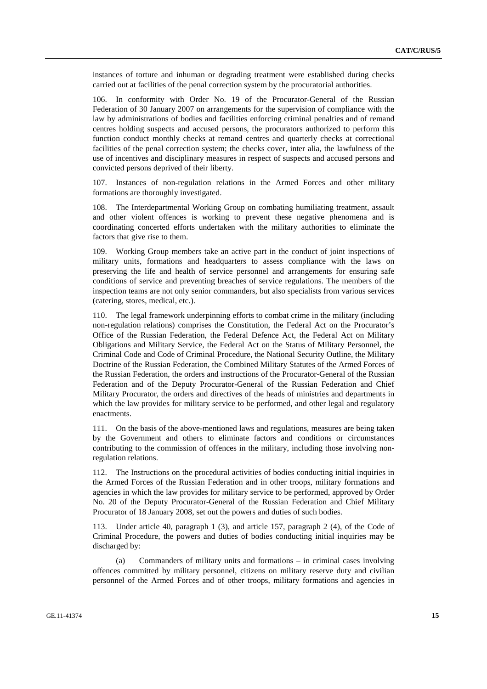instances of torture and inhuman or degrading treatment were established during checks carried out at facilities of the penal correction system by the procuratorial authorities.

106. In conformity with Order No. 19 of the Procurator-General of the Russian Federation of 30 January 2007 on arrangements for the supervision of compliance with the law by administrations of bodies and facilities enforcing criminal penalties and of remand centres holding suspects and accused persons, the procurators authorized to perform this function conduct monthly checks at remand centres and quarterly checks at correctional facilities of the penal correction system; the checks cover, inter alia, the lawfulness of the use of incentives and disciplinary measures in respect of suspects and accused persons and convicted persons deprived of their liberty.

107. Instances of non-regulation relations in the Armed Forces and other military formations are thoroughly investigated.

108. The Interdepartmental Working Group on combating humiliating treatment, assault and other violent offences is working to prevent these negative phenomena and is coordinating concerted efforts undertaken with the military authorities to eliminate the factors that give rise to them.

109. Working Group members take an active part in the conduct of joint inspections of military units, formations and headquarters to assess compliance with the laws on preserving the life and health of service personnel and arrangements for ensuring safe conditions of service and preventing breaches of service regulations. The members of the inspection teams are not only senior commanders, but also specialists from various services (catering, stores, medical, etc.).

110. The legal framework underpinning efforts to combat crime in the military (including non-regulation relations) comprises the Constitution, the Federal Act on the Procurator's Office of the Russian Federation, the Federal Defence Act, the Federal Act on Military Obligations and Military Service, the Federal Act on the Status of Military Personnel, the Criminal Code and Code of Criminal Procedure, the National Security Outline, the Military Doctrine of the Russian Federation, the Combined Military Statutes of the Armed Forces of the Russian Federation, the orders and instructions of the Procurator-General of the Russian Federation and of the Deputy Procurator-General of the Russian Federation and Chief Military Procurator, the orders and directives of the heads of ministries and departments in which the law provides for military service to be performed, and other legal and regulatory enactments.

111. On the basis of the above-mentioned laws and regulations, measures are being taken by the Government and others to eliminate factors and conditions or circumstances contributing to the commission of offences in the military, including those involving nonregulation relations.

112. The Instructions on the procedural activities of bodies conducting initial inquiries in the Armed Forces of the Russian Federation and in other troops, military formations and agencies in which the law provides for military service to be performed, approved by Order No. 20 of the Deputy Procurator-General of the Russian Federation and Chief Military Procurator of 18 January 2008, set out the powers and duties of such bodies.

113. Under article 40, paragraph 1 (3), and article 157, paragraph 2 (4), of the Code of Criminal Procedure, the powers and duties of bodies conducting initial inquiries may be discharged by:

 (a) Commanders of military units and formations – in criminal cases involving offences committed by military personnel, citizens on military reserve duty and civilian personnel of the Armed Forces and of other troops, military formations and agencies in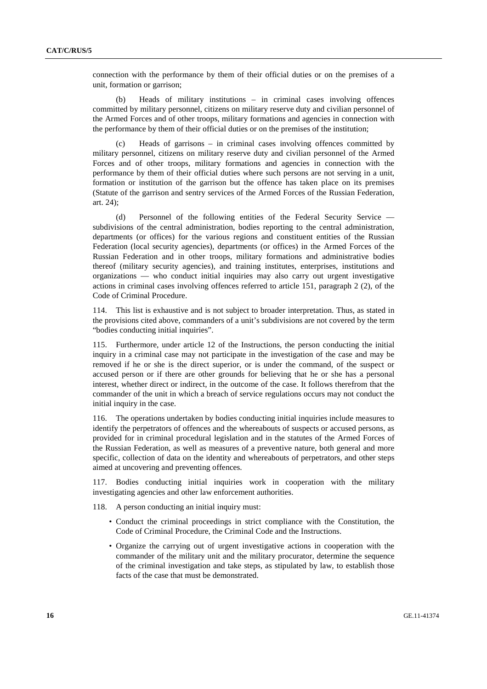connection with the performance by them of their official duties or on the premises of a unit, formation or garrison;

 (b) Heads of military institutions – in criminal cases involving offences committed by military personnel, citizens on military reserve duty and civilian personnel of the Armed Forces and of other troops, military formations and agencies in connection with the performance by them of their official duties or on the premises of the institution;

 (c) Heads of garrisons – in criminal cases involving offences committed by military personnel, citizens on military reserve duty and civilian personnel of the Armed Forces and of other troops, military formations and agencies in connection with the performance by them of their official duties where such persons are not serving in a unit, formation or institution of the garrison but the offence has taken place on its premises (Statute of the garrison and sentry services of the Armed Forces of the Russian Federation, art. 24);

 (d) Personnel of the following entities of the Federal Security Service subdivisions of the central administration, bodies reporting to the central administration, departments (or offices) for the various regions and constituent entities of the Russian Federation (local security agencies), departments (or offices) in the Armed Forces of the Russian Federation and in other troops, military formations and administrative bodies thereof (military security agencies), and training institutes, enterprises, institutions and organizations — who conduct initial inquiries may also carry out urgent investigative actions in criminal cases involving offences referred to article 151, paragraph 2 (2), of the Code of Criminal Procedure.

114. This list is exhaustive and is not subject to broader interpretation. Thus, as stated in the provisions cited above, commanders of a unit's subdivisions are not covered by the term "bodies conducting initial inquiries".

115. Furthermore, under article 12 of the Instructions, the person conducting the initial inquiry in a criminal case may not participate in the investigation of the case and may be removed if he or she is the direct superior, or is under the command, of the suspect or accused person or if there are other grounds for believing that he or she has a personal interest, whether direct or indirect, in the outcome of the case. It follows therefrom that the commander of the unit in which a breach of service regulations occurs may not conduct the initial inquiry in the case.

116. The operations undertaken by bodies conducting initial inquiries include measures to identify the perpetrators of offences and the whereabouts of suspects or accused persons, as provided for in criminal procedural legislation and in the statutes of the Armed Forces of the Russian Federation, as well as measures of a preventive nature, both general and more specific, collection of data on the identity and whereabouts of perpetrators, and other steps aimed at uncovering and preventing offences.

117. Bodies conducting initial inquiries work in cooperation with the military investigating agencies and other law enforcement authorities.

118. A person conducting an initial inquiry must:

- Conduct the criminal proceedings in strict compliance with the Constitution, the Code of Criminal Procedure, the Criminal Code and the Instructions.
- Organize the carrying out of urgent investigative actions in cooperation with the commander of the military unit and the military procurator, determine the sequence of the criminal investigation and take steps, as stipulated by law, to establish those facts of the case that must be demonstrated.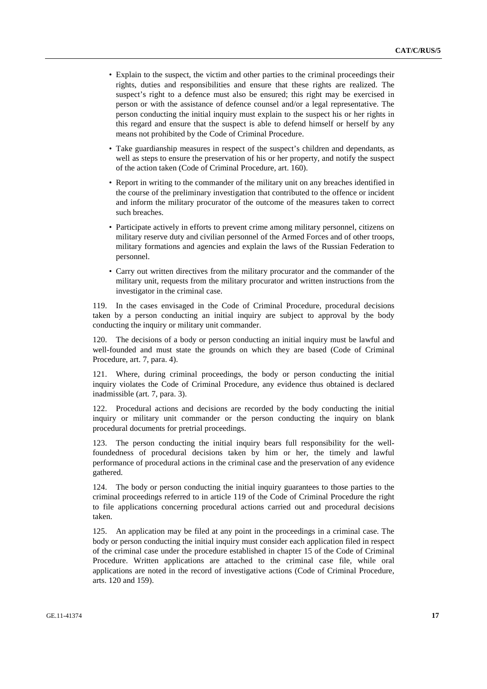- Explain to the suspect, the victim and other parties to the criminal proceedings their rights, duties and responsibilities and ensure that these rights are realized. The suspect's right to a defence must also be ensured; this right may be exercised in person or with the assistance of defence counsel and/or a legal representative. The person conducting the initial inquiry must explain to the suspect his or her rights in this regard and ensure that the suspect is able to defend himself or herself by any means not prohibited by the Code of Criminal Procedure.
- Take guardianship measures in respect of the suspect's children and dependants, as well as steps to ensure the preservation of his or her property, and notify the suspect of the action taken (Code of Criminal Procedure, art. 160).
- Report in writing to the commander of the military unit on any breaches identified in the course of the preliminary investigation that contributed to the offence or incident and inform the military procurator of the outcome of the measures taken to correct such breaches.
- Participate actively in efforts to prevent crime among military personnel, citizens on military reserve duty and civilian personnel of the Armed Forces and of other troops, military formations and agencies and explain the laws of the Russian Federation to personnel.
- Carry out written directives from the military procurator and the commander of the military unit, requests from the military procurator and written instructions from the investigator in the criminal case.

119. In the cases envisaged in the Code of Criminal Procedure, procedural decisions taken by a person conducting an initial inquiry are subject to approval by the body conducting the inquiry or military unit commander.

120. The decisions of a body or person conducting an initial inquiry must be lawful and well-founded and must state the grounds on which they are based (Code of Criminal Procedure, art. 7, para. 4).

121. Where, during criminal proceedings, the body or person conducting the initial inquiry violates the Code of Criminal Procedure, any evidence thus obtained is declared inadmissible (art. 7, para. 3).

122. Procedural actions and decisions are recorded by the body conducting the initial inquiry or military unit commander or the person conducting the inquiry on blank procedural documents for pretrial proceedings.

123. The person conducting the initial inquiry bears full responsibility for the wellfoundedness of procedural decisions taken by him or her, the timely and lawful performance of procedural actions in the criminal case and the preservation of any evidence gathered.

124. The body or person conducting the initial inquiry guarantees to those parties to the criminal proceedings referred to in article 119 of the Code of Criminal Procedure the right to file applications concerning procedural actions carried out and procedural decisions taken.

125. An application may be filed at any point in the proceedings in a criminal case. The body or person conducting the initial inquiry must consider each application filed in respect of the criminal case under the procedure established in chapter 15 of the Code of Criminal Procedure. Written applications are attached to the criminal case file, while oral applications are noted in the record of investigative actions (Code of Criminal Procedure, arts. 120 and 159).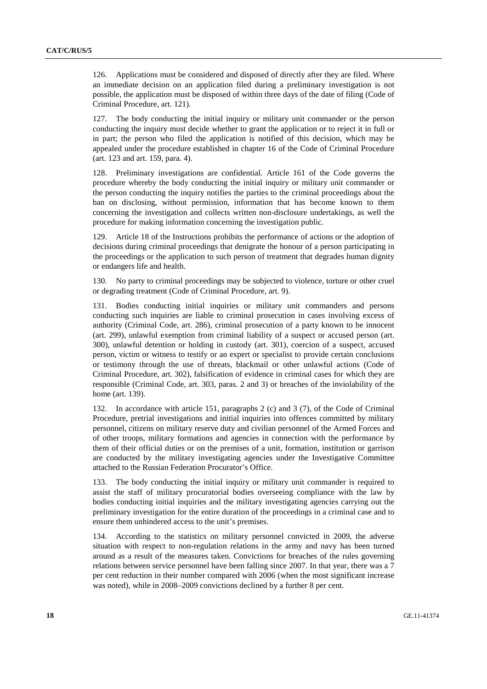126. Applications must be considered and disposed of directly after they are filed. Where an immediate decision on an application filed during a preliminary investigation is not possible, the application must be disposed of within three days of the date of filing (Code of Criminal Procedure, art. 121).

127. The body conducting the initial inquiry or military unit commander or the person conducting the inquiry must decide whether to grant the application or to reject it in full or in part; the person who filed the application is notified of this decision, which may be appealed under the procedure established in chapter 16 of the Code of Criminal Procedure (art. 123 and art. 159, para. 4).

128. Preliminary investigations are confidential. Article 161 of the Code governs the procedure whereby the body conducting the initial inquiry or military unit commander or the person conducting the inquiry notifies the parties to the criminal proceedings about the ban on disclosing, without permission, information that has become known to them concerning the investigation and collects written non-disclosure undertakings, as well the procedure for making information concerning the investigation public.

129. Article 18 of the Instructions prohibits the performance of actions or the adoption of decisions during criminal proceedings that denigrate the honour of a person participating in the proceedings or the application to such person of treatment that degrades human dignity or endangers life and health.

130. No party to criminal proceedings may be subjected to violence, torture or other cruel or degrading treatment (Code of Criminal Procedure, art. 9).

131. Bodies conducting initial inquiries or military unit commanders and persons conducting such inquiries are liable to criminal prosecution in cases involving excess of authority (Criminal Code, art. 286), criminal prosecution of a party known to be innocent (art. 299), unlawful exemption from criminal liability of a suspect or accused person (art. 300), unlawful detention or holding in custody (art. 301), coercion of a suspect, accused person, victim or witness to testify or an expert or specialist to provide certain conclusions or testimony through the use of threats, blackmail or other unlawful actions (Code of Criminal Procedure, art. 302), falsification of evidence in criminal cases for which they are responsible (Criminal Code, art. 303, paras. 2 and 3) or breaches of the inviolability of the home (art. 139).

132. In accordance with article 151, paragraphs 2 (c) and 3 (7), of the Code of Criminal Procedure, pretrial investigations and initial inquiries into offences committed by military personnel, citizens on military reserve duty and civilian personnel of the Armed Forces and of other troops, military formations and agencies in connection with the performance by them of their official duties or on the premises of a unit, formation, institution or garrison are conducted by the military investigating agencies under the Investigative Committee attached to the Russian Federation Procurator's Office.

133. The body conducting the initial inquiry or military unit commander is required to assist the staff of military procuratorial bodies overseeing compliance with the law by bodies conducting initial inquiries and the military investigating agencies carrying out the preliminary investigation for the entire duration of the proceedings in a criminal case and to ensure them unhindered access to the unit's premises.

134. According to the statistics on military personnel convicted in 2009, the adverse situation with respect to non-regulation relations in the army and navy has been turned around as a result of the measures taken. Convictions for breaches of the rules governing relations between service personnel have been falling since 2007. In that year, there was a 7 per cent reduction in their number compared with 2006 (when the most significant increase was noted), while in 2008–2009 convictions declined by a further 8 per cent.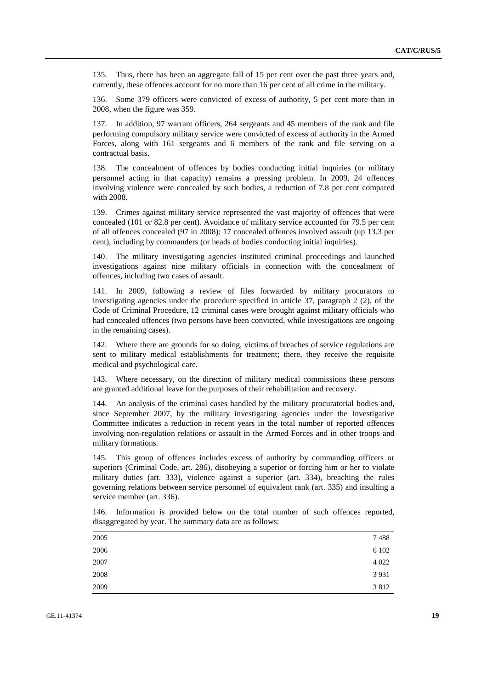135. Thus, there has been an aggregate fall of 15 per cent over the past three years and, currently, these offences account for no more than 16 per cent of all crime in the military.

136. Some 379 officers were convicted of excess of authority, 5 per cent more than in 2008, when the figure was 359.

137. In addition, 97 warrant officers, 264 sergeants and 45 members of the rank and file performing compulsory military service were convicted of excess of authority in the Armed Forces, along with 161 sergeants and 6 members of the rank and file serving on a contractual basis.

138. The concealment of offences by bodies conducting initial inquiries (or military personnel acting in that capacity) remains a pressing problem. In 2009, 24 offences involving violence were concealed by such bodies, a reduction of 7.8 per cent compared with 2008.

139. Crimes against military service represented the vast majority of offences that were concealed (101 or 82.8 per cent). Avoidance of military service accounted for 79.5 per cent of all offences concealed (97 in 2008); 17 concealed offences involved assault (up 13.3 per cent), including by commanders (or heads of bodies conducting initial inquiries).

140. The military investigating agencies instituted criminal proceedings and launched investigations against nine military officials in connection with the concealment of offences, including two cases of assault.

141. In 2009, following a review of files forwarded by military procurators to investigating agencies under the procedure specified in article 37, paragraph 2 (2), of the Code of Criminal Procedure, 12 criminal cases were brought against military officials who had concealed offences (two persons have been convicted, while investigations are ongoing in the remaining cases).

142. Where there are grounds for so doing, victims of breaches of service regulations are sent to military medical establishments for treatment; there, they receive the requisite medical and psychological care.

143. Where necessary, on the direction of military medical commissions these persons are granted additional leave for the purposes of their rehabilitation and recovery.

144. An analysis of the criminal cases handled by the military procuratorial bodies and, since September 2007, by the military investigating agencies under the Investigative Committee indicates a reduction in recent years in the total number of reported offences involving non-regulation relations or assault in the Armed Forces and in other troops and military formations.

145. This group of offences includes excess of authority by commanding officers or superiors (Criminal Code, art. 286), disobeying a superior or forcing him or her to violate military duties (art. 333), violence against a superior (art. 334), breaching the rules governing relations between service personnel of equivalent rank (art. 335) and insulting a service member (art. 336).

| 146. Information is provided below on the total number of such offences reported, |  |  |  |  |  |
|-----------------------------------------------------------------------------------|--|--|--|--|--|
| disaggregated by year. The summary data are as follows:                           |  |  |  |  |  |

| 2005 | 7488    |
|------|---------|
| 2006 | 6 1 0 2 |
| 2007 | 4 0 2 2 |
| 2008 | 3 9 3 1 |
| 2009 | 3812    |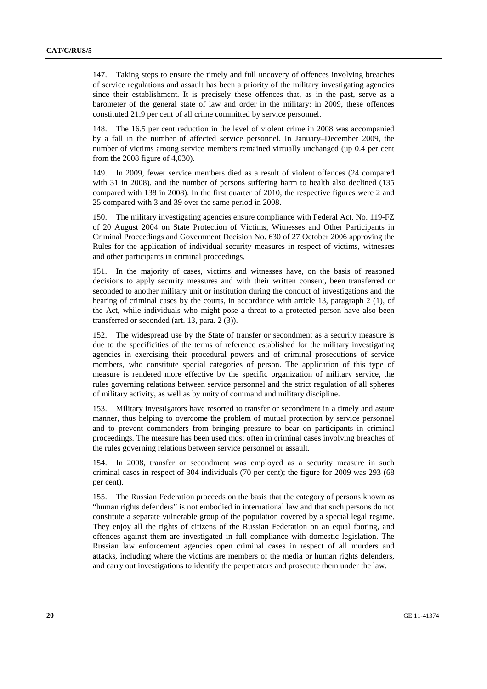147. Taking steps to ensure the timely and full uncovery of offences involving breaches of service regulations and assault has been a priority of the military investigating agencies since their establishment. It is precisely these offences that, as in the past, serve as a barometer of the general state of law and order in the military: in 2009, these offences constituted 21.9 per cent of all crime committed by service personnel.

148. The 16.5 per cent reduction in the level of violent crime in 2008 was accompanied by a fall in the number of affected service personnel. In January–December 2009, the number of victims among service members remained virtually unchanged (up 0.4 per cent from the 2008 figure of 4,030).

149. In 2009, fewer service members died as a result of violent offences (24 compared with 31 in 2008), and the number of persons suffering harm to health also declined (135 compared with 138 in 2008). In the first quarter of 2010, the respective figures were 2 and 25 compared with 3 and 39 over the same period in 2008.

150. The military investigating agencies ensure compliance with Federal Act. No. 119-FZ of 20 August 2004 on State Protection of Victims, Witnesses and Other Participants in Criminal Proceedings and Government Decision No. 630 of 27 October 2006 approving the Rules for the application of individual security measures in respect of victims, witnesses and other participants in criminal proceedings.

151. In the majority of cases, victims and witnesses have, on the basis of reasoned decisions to apply security measures and with their written consent, been transferred or seconded to another military unit or institution during the conduct of investigations and the hearing of criminal cases by the courts, in accordance with article 13, paragraph 2 (1), of the Act, while individuals who might pose a threat to a protected person have also been transferred or seconded (art. 13, para. 2 (3)).

152. The widespread use by the State of transfer or secondment as a security measure is due to the specificities of the terms of reference established for the military investigating agencies in exercising their procedural powers and of criminal prosecutions of service members, who constitute special categories of person. The application of this type of measure is rendered more effective by the specific organization of military service, the rules governing relations between service personnel and the strict regulation of all spheres of military activity, as well as by unity of command and military discipline.

153. Military investigators have resorted to transfer or secondment in a timely and astute manner, thus helping to overcome the problem of mutual protection by service personnel and to prevent commanders from bringing pressure to bear on participants in criminal proceedings. The measure has been used most often in criminal cases involving breaches of the rules governing relations between service personnel or assault.

154. In 2008, transfer or secondment was employed as a security measure in such criminal cases in respect of 304 individuals (70 per cent); the figure for 2009 was 293 (68 per cent).

155. The Russian Federation proceeds on the basis that the category of persons known as "human rights defenders" is not embodied in international law and that such persons do not constitute a separate vulnerable group of the population covered by a special legal regime. They enjoy all the rights of citizens of the Russian Federation on an equal footing, and offences against them are investigated in full compliance with domestic legislation. The Russian law enforcement agencies open criminal cases in respect of all murders and attacks, including where the victims are members of the media or human rights defenders, and carry out investigations to identify the perpetrators and prosecute them under the law.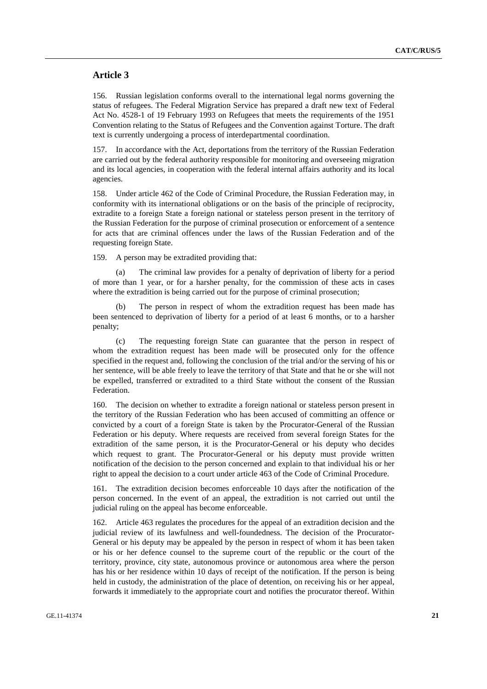#### **Article 3**

156. Russian legislation conforms overall to the international legal norms governing the status of refugees. The Federal Migration Service has prepared a draft new text of Federal Act No. 4528-1 of 19 February 1993 on Refugees that meets the requirements of the 1951 Convention relating to the Status of Refugees and the Convention against Torture. The draft text is currently undergoing a process of interdepartmental coordination.

157. In accordance with the Act, deportations from the territory of the Russian Federation are carried out by the federal authority responsible for monitoring and overseeing migration and its local agencies, in cooperation with the federal internal affairs authority and its local agencies.

158. Under article 462 of the Code of Criminal Procedure, the Russian Federation may, in conformity with its international obligations or on the basis of the principle of reciprocity, extradite to a foreign State a foreign national or stateless person present in the territory of the Russian Federation for the purpose of criminal prosecution or enforcement of a sentence for acts that are criminal offences under the laws of the Russian Federation and of the requesting foreign State.

159. A person may be extradited providing that:

 (a) The criminal law provides for a penalty of deprivation of liberty for a period of more than 1 year, or for a harsher penalty, for the commission of these acts in cases where the extradition is being carried out for the purpose of criminal prosecution:

 (b) The person in respect of whom the extradition request has been made has been sentenced to deprivation of liberty for a period of at least 6 months, or to a harsher penalty;

 (c) The requesting foreign State can guarantee that the person in respect of whom the extradition request has been made will be prosecuted only for the offence specified in the request and, following the conclusion of the trial and/or the serving of his or her sentence, will be able freely to leave the territory of that State and that he or she will not be expelled, transferred or extradited to a third State without the consent of the Russian Federation.

160. The decision on whether to extradite a foreign national or stateless person present in the territory of the Russian Federation who has been accused of committing an offence or convicted by a court of a foreign State is taken by the Procurator-General of the Russian Federation or his deputy. Where requests are received from several foreign States for the extradition of the same person, it is the Procurator-General or his deputy who decides which request to grant. The Procurator-General or his deputy must provide written notification of the decision to the person concerned and explain to that individual his or her right to appeal the decision to a court under article 463 of the Code of Criminal Procedure.

161. The extradition decision becomes enforceable 10 days after the notification of the person concerned. In the event of an appeal, the extradition is not carried out until the judicial ruling on the appeal has become enforceable.

162. Article 463 regulates the procedures for the appeal of an extradition decision and the judicial review of its lawfulness and well-foundedness. The decision of the Procurator-General or his deputy may be appealed by the person in respect of whom it has been taken or his or her defence counsel to the supreme court of the republic or the court of the territory, province, city state, autonomous province or autonomous area where the person has his or her residence within 10 days of receipt of the notification. If the person is being held in custody, the administration of the place of detention, on receiving his or her appeal, forwards it immediately to the appropriate court and notifies the procurator thereof. Within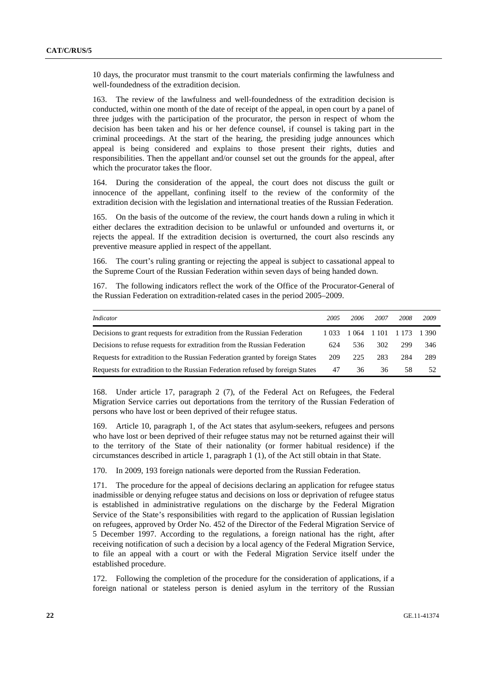10 days, the procurator must transmit to the court materials confirming the lawfulness and well-foundedness of the extradition decision.

The review of the lawfulness and well-foundedness of the extradition decision is conducted, within one month of the date of receipt of the appeal, in open court by a panel of three judges with the participation of the procurator, the person in respect of whom the decision has been taken and his or her defence counsel, if counsel is taking part in the criminal proceedings. At the start of the hearing, the presiding judge announces which appeal is being considered and explains to those present their rights, duties and responsibilities. Then the appellant and/or counsel set out the grounds for the appeal, after which the procurator takes the floor.

164. During the consideration of the appeal, the court does not discuss the guilt or innocence of the appellant, confining itself to the review of the conformity of the extradition decision with the legislation and international treaties of the Russian Federation.

165. On the basis of the outcome of the review, the court hands down a ruling in which it either declares the extradition decision to be unlawful or unfounded and overturns it, or rejects the appeal. If the extradition decision is overturned, the court also rescinds any preventive measure applied in respect of the appellant.

166. The court's ruling granting or rejecting the appeal is subject to cassational appeal to the Supreme Court of the Russian Federation within seven days of being handed down.

167. The following indicators reflect the work of the Office of the Procurator-General of the Russian Federation on extradition-related cases in the period 2005–2009.

| Indicator                                                                    | 2005   | 2006  | 2007        | 2008 | 2009  |
|------------------------------------------------------------------------------|--------|-------|-------------|------|-------|
| Decisions to grant requests for extradition from the Russian Federation      | 1.033. | 1 064 | 1 101 1 173 |      | 1.390 |
| Decisions to refuse requests for extradition from the Russian Federation     | 624    | 536   | 302         | 299  | 346   |
| Requests for extradition to the Russian Federation granted by foreign States | 209    | 225   | 283         | 284  | 289   |
| Requests for extradition to the Russian Federation refused by foreign States | 47     | 36    | 36          | 58   | 52    |

168. Under article 17, paragraph 2 (7), of the Federal Act on Refugees, the Federal Migration Service carries out deportations from the territory of the Russian Federation of persons who have lost or been deprived of their refugee status.

169. Article 10, paragraph 1, of the Act states that asylum-seekers, refugees and persons who have lost or been deprived of their refugee status may not be returned against their will to the territory of the State of their nationality (or former habitual residence) if the circumstances described in article 1, paragraph 1 (1), of the Act still obtain in that State.

170. In 2009, 193 foreign nationals were deported from the Russian Federation.

171. The procedure for the appeal of decisions declaring an application for refugee status inadmissible or denying refugee status and decisions on loss or deprivation of refugee status is established in administrative regulations on the discharge by the Federal Migration Service of the State's responsibilities with regard to the application of Russian legislation on refugees, approved by Order No. 452 of the Director of the Federal Migration Service of 5 December 1997. According to the regulations, a foreign national has the right, after receiving notification of such a decision by a local agency of the Federal Migration Service, to file an appeal with a court or with the Federal Migration Service itself under the established procedure.

172. Following the completion of the procedure for the consideration of applications, if a foreign national or stateless person is denied asylum in the territory of the Russian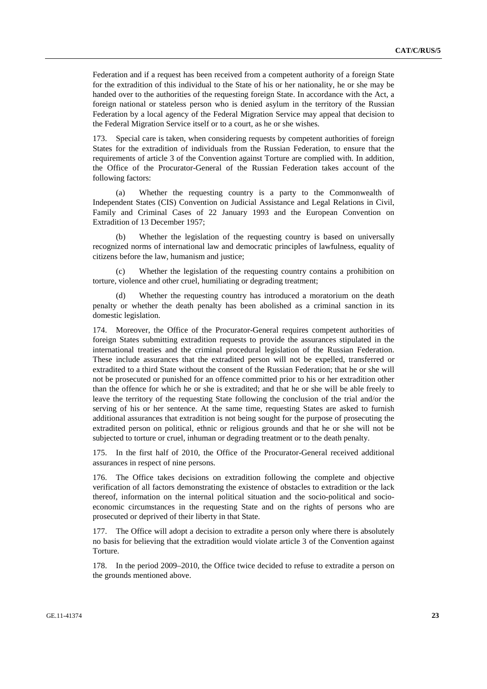Federation and if a request has been received from a competent authority of a foreign State for the extradition of this individual to the State of his or her nationality, he or she may be handed over to the authorities of the requesting foreign State. In accordance with the Act, a foreign national or stateless person who is denied asylum in the territory of the Russian Federation by a local agency of the Federal Migration Service may appeal that decision to the Federal Migration Service itself or to a court, as he or she wishes.

173. Special care is taken, when considering requests by competent authorities of foreign States for the extradition of individuals from the Russian Federation, to ensure that the requirements of article 3 of the Convention against Torture are complied with. In addition, the Office of the Procurator-General of the Russian Federation takes account of the following factors:

 (a) Whether the requesting country is a party to the Commonwealth of Independent States (CIS) Convention on Judicial Assistance and Legal Relations in Civil, Family and Criminal Cases of 22 January 1993 and the European Convention on Extradition of 13 December 1957;

Whether the legislation of the requesting country is based on universally recognized norms of international law and democratic principles of lawfulness, equality of citizens before the law, humanism and justice;

Whether the legislation of the requesting country contains a prohibition on torture, violence and other cruel, humiliating or degrading treatment;

 (d) Whether the requesting country has introduced a moratorium on the death penalty or whether the death penalty has been abolished as a criminal sanction in its domestic legislation.

174. Moreover, the Office of the Procurator-General requires competent authorities of foreign States submitting extradition requests to provide the assurances stipulated in the international treaties and the criminal procedural legislation of the Russian Federation. These include assurances that the extradited person will not be expelled, transferred or extradited to a third State without the consent of the Russian Federation; that he or she will not be prosecuted or punished for an offence committed prior to his or her extradition other than the offence for which he or she is extradited; and that he or she will be able freely to leave the territory of the requesting State following the conclusion of the trial and/or the serving of his or her sentence. At the same time, requesting States are asked to furnish additional assurances that extradition is not being sought for the purpose of prosecuting the extradited person on political, ethnic or religious grounds and that he or she will not be subjected to torture or cruel, inhuman or degrading treatment or to the death penalty.

175. In the first half of 2010, the Office of the Procurator-General received additional assurances in respect of nine persons.

176. The Office takes decisions on extradition following the complete and objective verification of all factors demonstrating the existence of obstacles to extradition or the lack thereof, information on the internal political situation and the socio-political and socioeconomic circumstances in the requesting State and on the rights of persons who are prosecuted or deprived of their liberty in that State.

177. The Office will adopt a decision to extradite a person only where there is absolutely no basis for believing that the extradition would violate article 3 of the Convention against Torture.

178. In the period 2009–2010, the Office twice decided to refuse to extradite a person on the grounds mentioned above.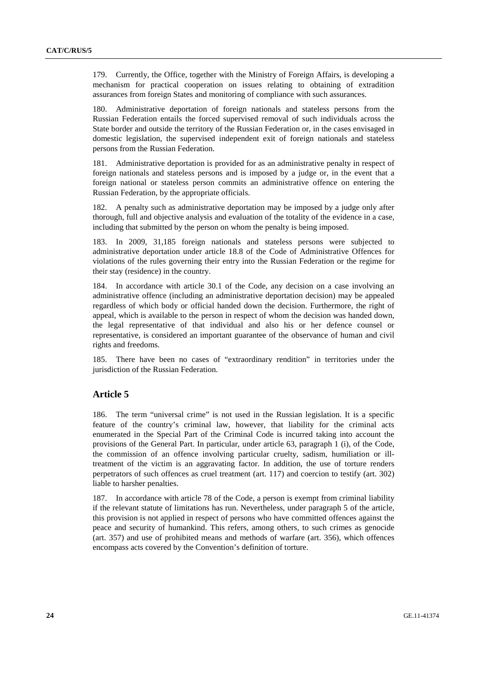179. Currently, the Office, together with the Ministry of Foreign Affairs, is developing a mechanism for practical cooperation on issues relating to obtaining of extradition assurances from foreign States and monitoring of compliance with such assurances.

180. Administrative deportation of foreign nationals and stateless persons from the Russian Federation entails the forced supervised removal of such individuals across the State border and outside the territory of the Russian Federation or, in the cases envisaged in domestic legislation, the supervised independent exit of foreign nationals and stateless persons from the Russian Federation.

181. Administrative deportation is provided for as an administrative penalty in respect of foreign nationals and stateless persons and is imposed by a judge or, in the event that a foreign national or stateless person commits an administrative offence on entering the Russian Federation, by the appropriate officials.

182. A penalty such as administrative deportation may be imposed by a judge only after thorough, full and objective analysis and evaluation of the totality of the evidence in a case, including that submitted by the person on whom the penalty is being imposed.

183. In 2009, 31,185 foreign nationals and stateless persons were subjected to administrative deportation under article 18.8 of the Code of Administrative Offences for violations of the rules governing their entry into the Russian Federation or the regime for their stay (residence) in the country.

184. In accordance with article 30.1 of the Code, any decision on a case involving an administrative offence (including an administrative deportation decision) may be appealed regardless of which body or official handed down the decision. Furthermore, the right of appeal, which is available to the person in respect of whom the decision was handed down, the legal representative of that individual and also his or her defence counsel or representative, is considered an important guarantee of the observance of human and civil rights and freedoms.

185. There have been no cases of "extraordinary rendition" in territories under the jurisdiction of the Russian Federation.

#### **Article 5**

186. The term "universal crime" is not used in the Russian legislation. It is a specific feature of the country's criminal law, however, that liability for the criminal acts enumerated in the Special Part of the Criminal Code is incurred taking into account the provisions of the General Part. In particular, under article 63, paragraph 1 (i), of the Code, the commission of an offence involving particular cruelty, sadism, humiliation or illtreatment of the victim is an aggravating factor. In addition, the use of torture renders perpetrators of such offences as cruel treatment (art. 117) and coercion to testify (art. 302) liable to harsher penalties.

187. In accordance with article 78 of the Code, a person is exempt from criminal liability if the relevant statute of limitations has run. Nevertheless, under paragraph 5 of the article, this provision is not applied in respect of persons who have committed offences against the peace and security of humankind. This refers, among others, to such crimes as genocide (art. 357) and use of prohibited means and methods of warfare (art. 356), which offences encompass acts covered by the Convention's definition of torture.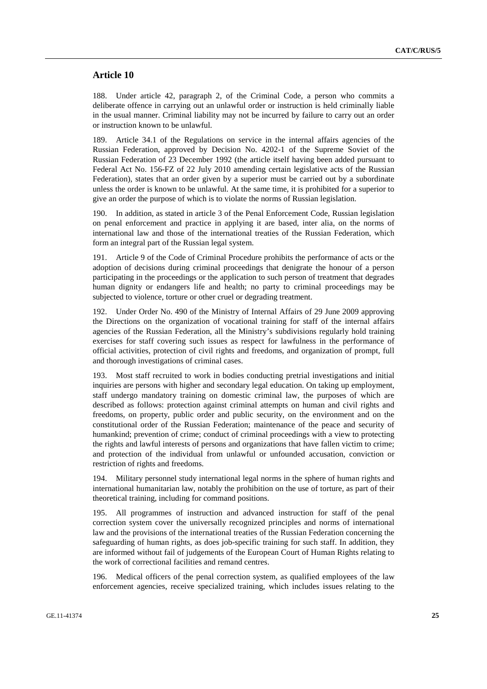#### **Article 10**

188. Under article 42, paragraph 2, of the Criminal Code, a person who commits a deliberate offence in carrying out an unlawful order or instruction is held criminally liable in the usual manner. Criminal liability may not be incurred by failure to carry out an order or instruction known to be unlawful.

189. Article 34.1 of the Regulations on service in the internal affairs agencies of the Russian Federation, approved by Decision No. 4202-1 of the Supreme Soviet of the Russian Federation of 23 December 1992 (the article itself having been added pursuant to Federal Act No. 156-FZ of 22 July 2010 amending certain legislative acts of the Russian Federation), states that an order given by a superior must be carried out by a subordinate unless the order is known to be unlawful. At the same time, it is prohibited for a superior to give an order the purpose of which is to violate the norms of Russian legislation.

190. In addition, as stated in article 3 of the Penal Enforcement Code, Russian legislation on penal enforcement and practice in applying it are based, inter alia, on the norms of international law and those of the international treaties of the Russian Federation, which form an integral part of the Russian legal system.

191. Article 9 of the Code of Criminal Procedure prohibits the performance of acts or the adoption of decisions during criminal proceedings that denigrate the honour of a person participating in the proceedings or the application to such person of treatment that degrades human dignity or endangers life and health; no party to criminal proceedings may be subjected to violence, torture or other cruel or degrading treatment.

192. Under Order No. 490 of the Ministry of Internal Affairs of 29 June 2009 approving the Directions on the organization of vocational training for staff of the internal affairs agencies of the Russian Federation, all the Ministry's subdivisions regularly hold training exercises for staff covering such issues as respect for lawfulness in the performance of official activities, protection of civil rights and freedoms, and organization of prompt, full and thorough investigations of criminal cases.

193. Most staff recruited to work in bodies conducting pretrial investigations and initial inquiries are persons with higher and secondary legal education. On taking up employment, staff undergo mandatory training on domestic criminal law, the purposes of which are described as follows: protection against criminal attempts on human and civil rights and freedoms, on property, public order and public security, on the environment and on the constitutional order of the Russian Federation; maintenance of the peace and security of humankind; prevention of crime; conduct of criminal proceedings with a view to protecting the rights and lawful interests of persons and organizations that have fallen victim to crime; and protection of the individual from unlawful or unfounded accusation, conviction or restriction of rights and freedoms.

194. Military personnel study international legal norms in the sphere of human rights and international humanitarian law, notably the prohibition on the use of torture, as part of their theoretical training, including for command positions.

195. All programmes of instruction and advanced instruction for staff of the penal correction system cover the universally recognized principles and norms of international law and the provisions of the international treaties of the Russian Federation concerning the safeguarding of human rights, as does job-specific training for such staff. In addition, they are informed without fail of judgements of the European Court of Human Rights relating to the work of correctional facilities and remand centres.

196. Medical officers of the penal correction system, as qualified employees of the law enforcement agencies, receive specialized training, which includes issues relating to the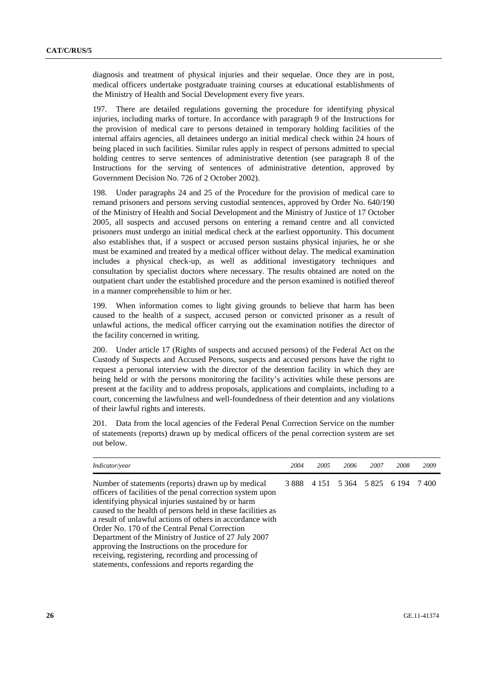diagnosis and treatment of physical injuries and their sequelae. Once they are in post, medical officers undertake postgraduate training courses at educational establishments of the Ministry of Health and Social Development every five years.

197. There are detailed regulations governing the procedure for identifying physical injuries, including marks of torture. In accordance with paragraph 9 of the Instructions for the provision of medical care to persons detained in temporary holding facilities of the internal affairs agencies, all detainees undergo an initial medical check within 24 hours of being placed in such facilities. Similar rules apply in respect of persons admitted to special holding centres to serve sentences of administrative detention (see paragraph 8 of the Instructions for the serving of sentences of administrative detention, approved by Government Decision No. 726 of 2 October 2002).

198. Under paragraphs 24 and 25 of the Procedure for the provision of medical care to remand prisoners and persons serving custodial sentences, approved by Order No. 640/190 of the Ministry of Health and Social Development and the Ministry of Justice of 17 October 2005, all suspects and accused persons on entering a remand centre and all convicted prisoners must undergo an initial medical check at the earliest opportunity. This document also establishes that, if a suspect or accused person sustains physical injuries, he or she must be examined and treated by a medical officer without delay. The medical examination includes a physical check-up, as well as additional investigatory techniques and consultation by specialist doctors where necessary. The results obtained are noted on the outpatient chart under the established procedure and the person examined is notified thereof in a manner comprehensible to him or her.

199. When information comes to light giving grounds to believe that harm has been caused to the health of a suspect, accused person or convicted prisoner as a result of unlawful actions, the medical officer carrying out the examination notifies the director of the facility concerned in writing.

200. Under article 17 (Rights of suspects and accused persons) of the Federal Act on the Custody of Suspects and Accused Persons, suspects and accused persons have the right to request a personal interview with the director of the detention facility in which they are being held or with the persons monitoring the facility's activities while these persons are present at the facility and to address proposals, applications and complaints, including to a court, concerning the lawfulness and well-foundedness of their detention and any violations of their lawful rights and interests.

201. Data from the local agencies of the Federal Penal Correction Service on the number of statements (reports) drawn up by medical officers of the penal correction system are set out below.

| Indicator/year                                                                                                                                                                                                                                                                                                                                                                                                                                                                                                                                                              | 2004 | 2005 | 2006 | 2007                    | 2008    | 2009  |
|-----------------------------------------------------------------------------------------------------------------------------------------------------------------------------------------------------------------------------------------------------------------------------------------------------------------------------------------------------------------------------------------------------------------------------------------------------------------------------------------------------------------------------------------------------------------------------|------|------|------|-------------------------|---------|-------|
| Number of statements (reports) drawn up by medical<br>officers of facilities of the penal correction system upon<br>identifying physical injuries sustained by or harm<br>caused to the health of persons held in these facilities as<br>a result of unlawful actions of others in accordance with<br>Order No. 170 of the Central Penal Correction<br>Department of the Ministry of Justice of 27 July 2007<br>approving the Instructions on the procedure for<br>receiving, registering, recording and processing of<br>statements, confessions and reports regarding the |      |      |      | 3 888 4 151 5 364 5 825 | 6 1 9 4 | 7.400 |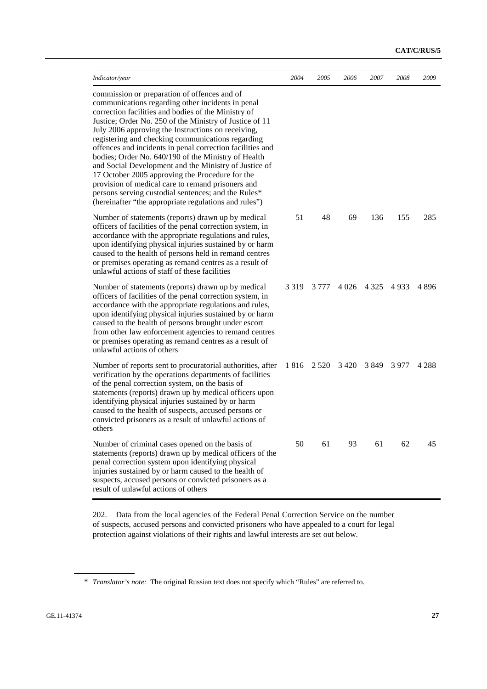| Indicator/year                                                                                                                                                                                                                                                                                                                                                                                                                                                                                                                                                                                                                                                                                                                      | 2004    | 2005    | 2006    | 2007    | 2008 | 2009    |
|-------------------------------------------------------------------------------------------------------------------------------------------------------------------------------------------------------------------------------------------------------------------------------------------------------------------------------------------------------------------------------------------------------------------------------------------------------------------------------------------------------------------------------------------------------------------------------------------------------------------------------------------------------------------------------------------------------------------------------------|---------|---------|---------|---------|------|---------|
| commission or preparation of offences and of<br>communications regarding other incidents in penal<br>correction facilities and bodies of the Ministry of<br>Justice; Order No. 250 of the Ministry of Justice of 11<br>July 2006 approving the Instructions on receiving,<br>registering and checking communications regarding<br>offences and incidents in penal correction facilities and<br>bodies; Order No. 640/190 of the Ministry of Health<br>and Social Development and the Ministry of Justice of<br>17 October 2005 approving the Procedure for the<br>provision of medical care to remand prisoners and<br>persons serving custodial sentences; and the Rules*<br>(hereinafter "the appropriate regulations and rules") |         |         |         |         |      |         |
| Number of statements (reports) drawn up by medical<br>officers of facilities of the penal correction system, in<br>accordance with the appropriate regulations and rules,<br>upon identifying physical injuries sustained by or harm<br>caused to the health of persons held in remand centres<br>or premises operating as remand centres as a result of<br>unlawful actions of staff of these facilities                                                                                                                                                                                                                                                                                                                           | 51      | 48      | 69      | 136     | 155  | 285     |
| Number of statements (reports) drawn up by medical<br>officers of facilities of the penal correction system, in<br>accordance with the appropriate regulations and rules,<br>upon identifying physical injuries sustained by or harm<br>caused to the health of persons brought under escort<br>from other law enforcement agencies to remand centres<br>or premises operating as remand centres as a result of<br>unlawful actions of others                                                                                                                                                                                                                                                                                       | 3 3 1 9 | 3 777   | 4 0 2 6 | 4 3 2 5 | 4933 | 4896    |
| Number of reports sent to procuratorial authorities, after<br>verification by the operations departments of facilities<br>of the penal correction system, on the basis of<br>statements (reports) drawn up by medical officers upon<br>identifying physical injuries sustained by or harm<br>caused to the health of suspects, accused persons or<br>convicted prisoners as a result of unlawful actions of<br>others                                                                                                                                                                                                                                                                                                               | 1816    | 2 5 2 0 | 3420    | 3849    | 3977 | 4 2 8 8 |
| Number of criminal cases opened on the basis of<br>statements (reports) drawn up by medical officers of the<br>penal correction system upon identifying physical<br>injuries sustained by or harm caused to the health of<br>suspects, accused persons or convicted prisoners as a<br>result of unlawful actions of others                                                                                                                                                                                                                                                                                                                                                                                                          | 50      | 61      | 93      | 61      | 62   | 45      |

202. Data from the local agencies of the Federal Penal Correction Service on the number of suspects, accused persons and convicted prisoners who have appealed to a court for legal protection against violations of their rights and lawful interests are set out below.

<sup>\*</sup> *Translator's note:* The original Russian text does not specify which "Rules" are referred to.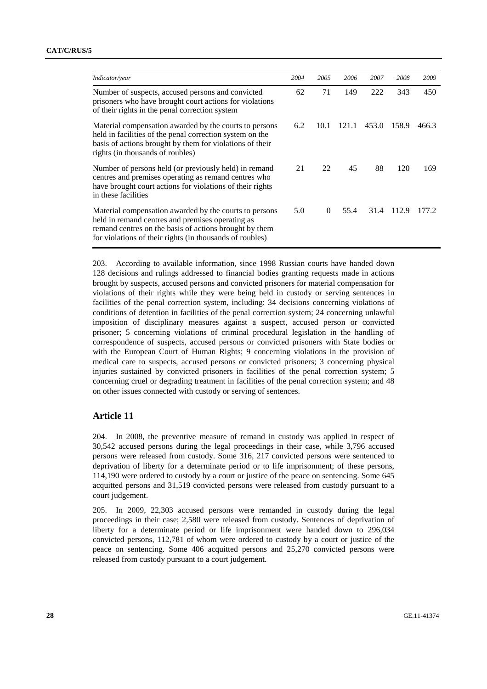| Indicator/year                                                                                                                                                                                                                   | 2004 | 2005     | 2006  | 2007  | 2008       | 2009  |
|----------------------------------------------------------------------------------------------------------------------------------------------------------------------------------------------------------------------------------|------|----------|-------|-------|------------|-------|
| Number of suspects, accused persons and convicted<br>prisoners who have brought court actions for violations<br>of their rights in the penal correction system                                                                   | 62   | 71       | 149   | 222   | 343        | 450   |
| Material compensation awarded by the courts to persons<br>held in facilities of the penal correction system on the<br>basis of actions brought by them for violations of their<br>rights (in thousands of roubles)               | 6.2  | 10.1     | 121.1 | 453.0 | 158.9      | 466.3 |
| Number of persons held (or previously held) in remand<br>centres and premises operating as remand centres who<br>have brought court actions for violations of their rights<br>in these facilities                                | 21   | 22       | 45    | 88    | 120        | 169   |
| Material compensation awarded by the courts to persons<br>held in remand centres and premises operating as<br>remand centres on the basis of actions brought by them<br>for violations of their rights (in thousands of roubles) | 5.0  | $\Omega$ | 55.4  |       | 31.4 112.9 | 177.2 |

203. According to available information, since 1998 Russian courts have handed down 128 decisions and rulings addressed to financial bodies granting requests made in actions brought by suspects, accused persons and convicted prisoners for material compensation for violations of their rights while they were being held in custody or serving sentences in facilities of the penal correction system, including: 34 decisions concerning violations of conditions of detention in facilities of the penal correction system; 24 concerning unlawful imposition of disciplinary measures against a suspect, accused person or convicted prisoner; 5 concerning violations of criminal procedural legislation in the handling of correspondence of suspects, accused persons or convicted prisoners with State bodies or with the European Court of Human Rights; 9 concerning violations in the provision of medical care to suspects, accused persons or convicted prisoners; 3 concerning physical injuries sustained by convicted prisoners in facilities of the penal correction system; 5 concerning cruel or degrading treatment in facilities of the penal correction system; and 48 on other issues connected with custody or serving of sentences.

#### **Article 11**

204. In 2008, the preventive measure of remand in custody was applied in respect of 30,542 accused persons during the legal proceedings in their case, while 3,796 accused persons were released from custody. Some 316, 217 convicted persons were sentenced to deprivation of liberty for a determinate period or to life imprisonment; of these persons, 114,190 were ordered to custody by a court or justice of the peace on sentencing. Some 645 acquitted persons and 31,519 convicted persons were released from custody pursuant to a court judgement.

205. In 2009, 22,303 accused persons were remanded in custody during the legal proceedings in their case; 2,580 were released from custody. Sentences of deprivation of liberty for a determinate period or life imprisonment were handed down to 296,034 convicted persons, 112,781 of whom were ordered to custody by a court or justice of the peace on sentencing. Some 406 acquitted persons and 25,270 convicted persons were released from custody pursuant to a court judgement.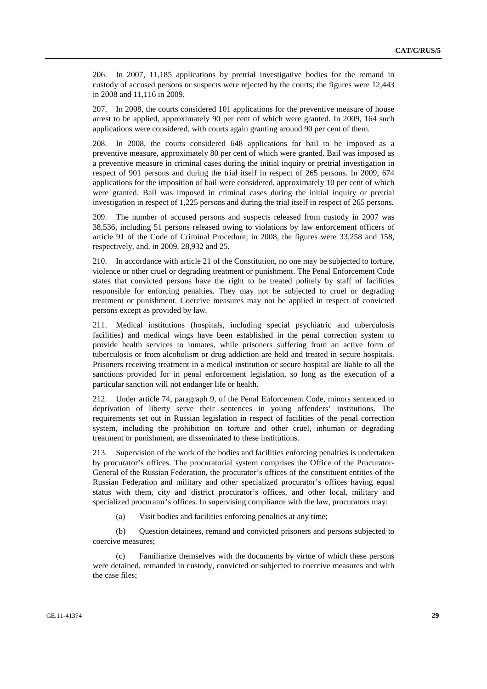206. In 2007, 11,185 applications by pretrial investigative bodies for the remand in custody of accused persons or suspects were rejected by the courts; the figures were 12,443 in 2008 and 11,116 in 2009.

207. In 2008, the courts considered 101 applications for the preventive measure of house arrest to be applied, approximately 90 per cent of which were granted. In 2009, 164 such applications were considered, with courts again granting around 90 per cent of them.

208. In 2008, the courts considered 648 applications for bail to be imposed as a preventive measure, approximately 80 per cent of which were granted. Bail was imposed as a preventive measure in criminal cases during the initial inquiry or pretrial investigation in respect of 901 persons and during the trial itself in respect of 265 persons. In 2009, 674 applications for the imposition of bail were considered, approximately 10 per cent of which were granted. Bail was imposed in criminal cases during the initial inquiry or pretrial investigation in respect of 1,225 persons and during the trial itself in respect of 265 persons.

209. The number of accused persons and suspects released from custody in 2007 was 38,536, including 51 persons released owing to violations by law enforcement officers of article 91 of the Code of Criminal Procedure; in 2008, the figures were 33,258 and 158, respectively, and, in 2009, 28,932 and 25.

210. In accordance with article 21 of the Constitution, no one may be subjected to torture, violence or other cruel or degrading treatment or punishment. The Penal Enforcement Code states that convicted persons have the right to be treated politely by staff of facilities responsible for enforcing penalties. They may not be subjected to cruel or degrading treatment or punishment. Coercive measures may not be applied in respect of convicted persons except as provided by law.

211. Medical institutions (hospitals, including special psychiatric and tuberculosis facilities) and medical wings have been established in the penal correction system to provide health services to inmates, while prisoners suffering from an active form of tuberculosis or from alcoholism or drug addiction are held and treated in secure hospitals. Prisoners receiving treatment in a medical institution or secure hospital are liable to all the sanctions provided for in penal enforcement legislation, so long as the execution of a particular sanction will not endanger life or health.

212. Under article 74, paragraph 9, of the Penal Enforcement Code, minors sentenced to deprivation of liberty serve their sentences in young offenders' institutions. The requirements set out in Russian legislation in respect of facilities of the penal correction system, including the prohibition on torture and other cruel, inhuman or degrading treatment or punishment, are disseminated to these institutions.

213. Supervision of the work of the bodies and facilities enforcing penalties is undertaken by procurator's offices. The procuratorial system comprises the Office of the Procurator-General of the Russian Federation, the procurator's offices of the constituent entities of the Russian Federation and military and other specialized procurator's offices having equal status with them, city and district procurator's offices, and other local, military and specialized procurator's offices. In supervising compliance with the law, procurators may:

(a) Visit bodies and facilities enforcing penalties at any time;

 (b) Question detainees, remand and convicted prisoners and persons subjected to coercive measures;

 (c) Familiarize themselves with the documents by virtue of which these persons were detained, remanded in custody, convicted or subjected to coercive measures and with the case files;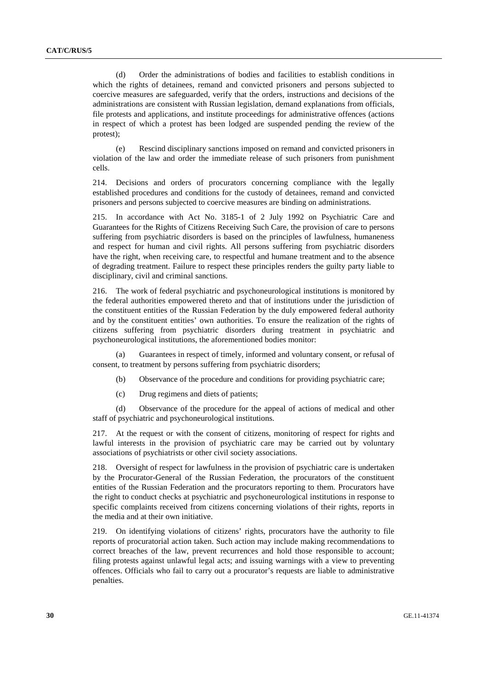(d) Order the administrations of bodies and facilities to establish conditions in which the rights of detainees, remand and convicted prisoners and persons subjected to coercive measures are safeguarded, verify that the orders, instructions and decisions of the administrations are consistent with Russian legislation, demand explanations from officials, file protests and applications, and institute proceedings for administrative offences (actions in respect of which a protest has been lodged are suspended pending the review of the protest);

 (e) Rescind disciplinary sanctions imposed on remand and convicted prisoners in violation of the law and order the immediate release of such prisoners from punishment cells.

214. Decisions and orders of procurators concerning compliance with the legally established procedures and conditions for the custody of detainees, remand and convicted prisoners and persons subjected to coercive measures are binding on administrations.

215. In accordance with Act No. 3185-1 of 2 July 1992 on Psychiatric Care and Guarantees for the Rights of Citizens Receiving Such Care, the provision of care to persons suffering from psychiatric disorders is based on the principles of lawfulness, humaneness and respect for human and civil rights. All persons suffering from psychiatric disorders have the right, when receiving care, to respectful and humane treatment and to the absence of degrading treatment. Failure to respect these principles renders the guilty party liable to disciplinary, civil and criminal sanctions.

216. The work of federal psychiatric and psychoneurological institutions is monitored by the federal authorities empowered thereto and that of institutions under the jurisdiction of the constituent entities of the Russian Federation by the duly empowered federal authority and by the constituent entities' own authorities. To ensure the realization of the rights of citizens suffering from psychiatric disorders during treatment in psychiatric and psychoneurological institutions, the aforementioned bodies monitor:

 (a) Guarantees in respect of timely, informed and voluntary consent, or refusal of consent, to treatment by persons suffering from psychiatric disorders;

(b) Observance of the procedure and conditions for providing psychiatric care;

(c) Drug regimens and diets of patients;

 (d) Observance of the procedure for the appeal of actions of medical and other staff of psychiatric and psychoneurological institutions.

217. At the request or with the consent of citizens, monitoring of respect for rights and lawful interests in the provision of psychiatric care may be carried out by voluntary associations of psychiatrists or other civil society associations.

218. Oversight of respect for lawfulness in the provision of psychiatric care is undertaken by the Procurator-General of the Russian Federation, the procurators of the constituent entities of the Russian Federation and the procurators reporting to them. Procurators have the right to conduct checks at psychiatric and psychoneurological institutions in response to specific complaints received from citizens concerning violations of their rights, reports in the media and at their own initiative.

219. On identifying violations of citizens' rights, procurators have the authority to file reports of procuratorial action taken. Such action may include making recommendations to correct breaches of the law, prevent recurrences and hold those responsible to account; filing protests against unlawful legal acts; and issuing warnings with a view to preventing offences. Officials who fail to carry out a procurator's requests are liable to administrative penalties.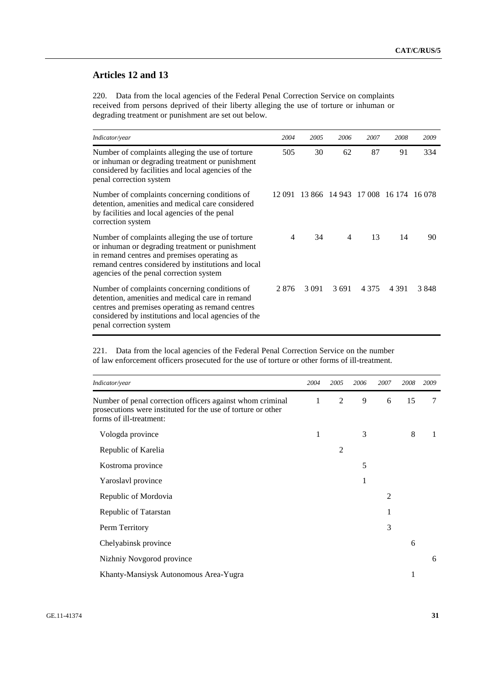#### **Articles 12 and 13**

220. Data from the local agencies of the Federal Penal Correction Service on complaints received from persons deprived of their liberty alleging the use of torture or inhuman or degrading treatment or punishment are set out below.

| Indicator/year                                                                                                                                                                                                                                       | 2004 | 2005                                      | 2006           | 2007    | 2008    | 2009 |
|------------------------------------------------------------------------------------------------------------------------------------------------------------------------------------------------------------------------------------------------------|------|-------------------------------------------|----------------|---------|---------|------|
| Number of complaints alleging the use of torture<br>or inhuman or degrading treatment or punishment<br>considered by facilities and local agencies of the<br>penal correction system                                                                 | 505  | 30                                        | 62             | 87      | 91      | 334  |
| Number of complaints concerning conditions of<br>detention, amenities and medical care considered<br>by facilities and local agencies of the penal<br>correction system                                                                              |      | 12 091 13 866 14 943 17 008 16 174 16 078 |                |         |         |      |
| Number of complaints alleging the use of torture<br>or inhuman or degrading treatment or punishment<br>in remand centres and premises operating as<br>remand centres considered by institutions and local<br>agencies of the penal correction system | 4    | 34                                        | $\overline{4}$ | 13      | 14      | 90   |
| Number of complaints concerning conditions of<br>detention, amenities and medical care in remand<br>centres and premises operating as remand centres<br>considered by institutions and local agencies of the<br>penal correction system              | 2876 |                                           | 3 091 3 691    | 4 3 7 5 | 4 3 9 1 | 3848 |

221. Data from the local agencies of the Federal Penal Correction Service on the number of law enforcement officers prosecuted for the use of torture or other forms of ill-treatment.

| Indicator/year                                                                                                                                       | 2004 | 2005           | 2006 | 2007 | 2008 | 2009 |
|------------------------------------------------------------------------------------------------------------------------------------------------------|------|----------------|------|------|------|------|
| Number of penal correction officers against whom criminal<br>prosecutions were instituted for the use of torture or other<br>forms of ill-treatment: | 1    | 2              | 9    | 6    | 15   | 7    |
| Vologda province                                                                                                                                     | 1    |                | 3    |      | 8    | 1    |
| Republic of Karelia                                                                                                                                  |      | $\overline{2}$ |      |      |      |      |
| Kostroma province                                                                                                                                    |      |                | 5    |      |      |      |
| Yaroslavl province                                                                                                                                   |      |                | 1    |      |      |      |
| Republic of Mordovia                                                                                                                                 |      |                |      | 2    |      |      |
| Republic of Tatarstan                                                                                                                                |      |                |      | 1    |      |      |
| Perm Territory                                                                                                                                       |      |                |      | 3    |      |      |
| Chelyabinsk province                                                                                                                                 |      |                |      |      | 6    |      |
| Nizhniy Novgorod province                                                                                                                            |      |                |      |      |      | 6    |
| Khanty-Mansiysk Autonomous Area-Yugra                                                                                                                |      |                |      |      |      |      |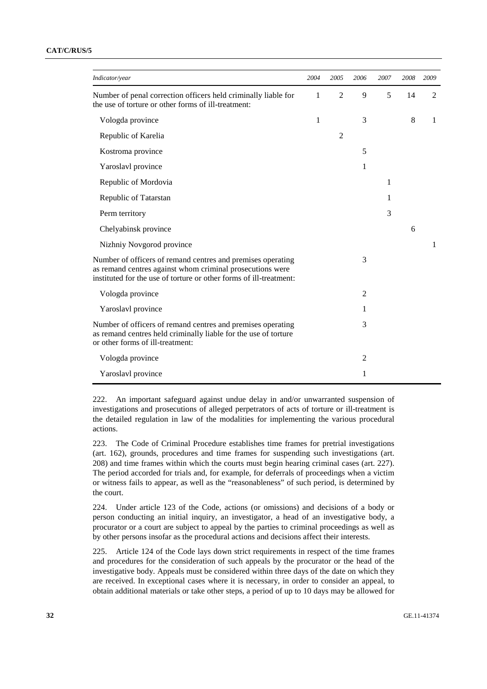| Indicator/year                                                                                                                                                                                 | 2004         | 2005           | 2006           | 2007 | 2008 | 2009           |
|------------------------------------------------------------------------------------------------------------------------------------------------------------------------------------------------|--------------|----------------|----------------|------|------|----------------|
| Number of penal correction officers held criminally liable for<br>the use of torture or other forms of ill-treatment:                                                                          | 1            | $\overline{2}$ | 9              | 5    | 14   | $\overline{2}$ |
| Vologda province                                                                                                                                                                               | $\mathbf{1}$ |                | 3              |      | 8    | 1              |
| Republic of Karelia                                                                                                                                                                            |              | $\overline{2}$ |                |      |      |                |
| Kostroma province                                                                                                                                                                              |              |                | 5              |      |      |                |
| Yaroslavl province                                                                                                                                                                             |              |                | 1              |      |      |                |
| Republic of Mordovia                                                                                                                                                                           |              |                |                | 1    |      |                |
| Republic of Tatarstan                                                                                                                                                                          |              |                |                | 1    |      |                |
| Perm territory                                                                                                                                                                                 |              |                |                | 3    |      |                |
| Chelyabinsk province                                                                                                                                                                           |              |                |                |      | 6    |                |
| Nizhniy Novgorod province                                                                                                                                                                      |              |                |                |      |      | 1              |
| Number of officers of remand centres and premises operating<br>as remand centres against whom criminal prosecutions were<br>instituted for the use of torture or other forms of ill-treatment: |              |                | 3              |      |      |                |
| Vologda province                                                                                                                                                                               |              |                | $\overline{2}$ |      |      |                |
| Yaroslavl province                                                                                                                                                                             |              |                | 1              |      |      |                |
| Number of officers of remand centres and premises operating<br>as remand centres held criminally liable for the use of torture<br>or other forms of ill-treatment:                             |              |                | 3              |      |      |                |
| Vologda province                                                                                                                                                                               |              |                | $\overline{c}$ |      |      |                |
| Yaroslavl province                                                                                                                                                                             |              |                | 1              |      |      |                |

222. An important safeguard against undue delay in and/or unwarranted suspension of investigations and prosecutions of alleged perpetrators of acts of torture or ill-treatment is the detailed regulation in law of the modalities for implementing the various procedural actions.

223. The Code of Criminal Procedure establishes time frames for pretrial investigations (art. 162), grounds, procedures and time frames for suspending such investigations (art. 208) and time frames within which the courts must begin hearing criminal cases (art. 227). The period accorded for trials and, for example, for deferrals of proceedings when a victim or witness fails to appear, as well as the "reasonableness" of such period, is determined by the court.

224. Under article 123 of the Code, actions (or omissions) and decisions of a body or person conducting an initial inquiry, an investigator, a head of an investigative body, a procurator or a court are subject to appeal by the parties to criminal proceedings as well as by other persons insofar as the procedural actions and decisions affect their interests.

225. Article 124 of the Code lays down strict requirements in respect of the time frames and procedures for the consideration of such appeals by the procurator or the head of the investigative body. Appeals must be considered within three days of the date on which they are received. In exceptional cases where it is necessary, in order to consider an appeal, to obtain additional materials or take other steps, a period of up to 10 days may be allowed for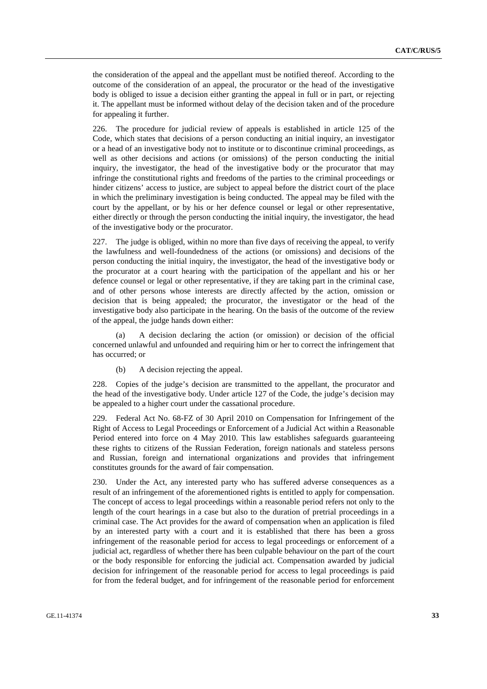the consideration of the appeal and the appellant must be notified thereof. According to the outcome of the consideration of an appeal, the procurator or the head of the investigative body is obliged to issue a decision either granting the appeal in full or in part, or rejecting it. The appellant must be informed without delay of the decision taken and of the procedure for appealing it further.

226. The procedure for judicial review of appeals is established in article 125 of the Code, which states that decisions of a person conducting an initial inquiry, an investigator or a head of an investigative body not to institute or to discontinue criminal proceedings, as well as other decisions and actions (or omissions) of the person conducting the initial inquiry, the investigator, the head of the investigative body or the procurator that may infringe the constitutional rights and freedoms of the parties to the criminal proceedings or hinder citizens' access to justice, are subject to appeal before the district court of the place in which the preliminary investigation is being conducted. The appeal may be filed with the court by the appellant, or by his or her defence counsel or legal or other representative, either directly or through the person conducting the initial inquiry, the investigator, the head of the investigative body or the procurator.

227. The judge is obliged, within no more than five days of receiving the appeal, to verify the lawfulness and well-foundedness of the actions (or omissions) and decisions of the person conducting the initial inquiry, the investigator, the head of the investigative body or the procurator at a court hearing with the participation of the appellant and his or her defence counsel or legal or other representative, if they are taking part in the criminal case, and of other persons whose interests are directly affected by the action, omission or decision that is being appealed; the procurator, the investigator or the head of the investigative body also participate in the hearing. On the basis of the outcome of the review of the appeal, the judge hands down either:

 (a) A decision declaring the action (or omission) or decision of the official concerned unlawful and unfounded and requiring him or her to correct the infringement that has occurred; or

(b) A decision rejecting the appeal.

228. Copies of the judge's decision are transmitted to the appellant, the procurator and the head of the investigative body. Under article 127 of the Code, the judge's decision may be appealed to a higher court under the cassational procedure.

229. Federal Act No. 68-FZ of 30 April 2010 on Compensation for Infringement of the Right of Access to Legal Proceedings or Enforcement of a Judicial Act within a Reasonable Period entered into force on 4 May 2010. This law establishes safeguards guaranteeing these rights to citizens of the Russian Federation, foreign nationals and stateless persons and Russian, foreign and international organizations and provides that infringement constitutes grounds for the award of fair compensation.

230. Under the Act, any interested party who has suffered adverse consequences as a result of an infringement of the aforementioned rights is entitled to apply for compensation. The concept of access to legal proceedings within a reasonable period refers not only to the length of the court hearings in a case but also to the duration of pretrial proceedings in a criminal case. The Act provides for the award of compensation when an application is filed by an interested party with a court and it is established that there has been a gross infringement of the reasonable period for access to legal proceedings or enforcement of a judicial act, regardless of whether there has been culpable behaviour on the part of the court or the body responsible for enforcing the judicial act. Compensation awarded by judicial decision for infringement of the reasonable period for access to legal proceedings is paid for from the federal budget, and for infringement of the reasonable period for enforcement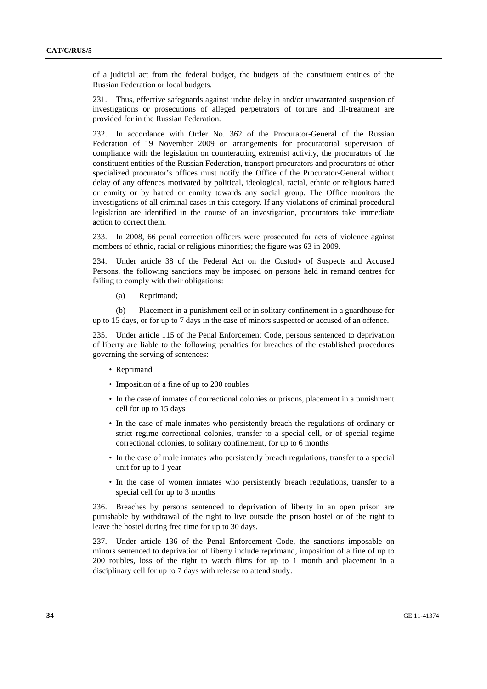of a judicial act from the federal budget, the budgets of the constituent entities of the Russian Federation or local budgets.

231. Thus, effective safeguards against undue delay in and/or unwarranted suspension of investigations or prosecutions of alleged perpetrators of torture and ill-treatment are provided for in the Russian Federation.

232. In accordance with Order No. 362 of the Procurator-General of the Russian Federation of 19 November 2009 on arrangements for procuratorial supervision of compliance with the legislation on counteracting extremist activity, the procurators of the constituent entities of the Russian Federation, transport procurators and procurators of other specialized procurator's offices must notify the Office of the Procurator-General without delay of any offences motivated by political, ideological, racial, ethnic or religious hatred or enmity or by hatred or enmity towards any social group. The Office monitors the investigations of all criminal cases in this category. If any violations of criminal procedural legislation are identified in the course of an investigation, procurators take immediate action to correct them.

233. In 2008, 66 penal correction officers were prosecuted for acts of violence against members of ethnic, racial or religious minorities; the figure was 63 in 2009.

234. Under article 38 of the Federal Act on the Custody of Suspects and Accused Persons, the following sanctions may be imposed on persons held in remand centres for failing to comply with their obligations:

(a) Reprimand;

 (b) Placement in a punishment cell or in solitary confinement in a guardhouse for up to 15 days, or for up to 7 days in the case of minors suspected or accused of an offence.

235. Under article 115 of the Penal Enforcement Code, persons sentenced to deprivation of liberty are liable to the following penalties for breaches of the established procedures governing the serving of sentences:

- Reprimand
- Imposition of a fine of up to 200 roubles
- In the case of inmates of correctional colonies or prisons, placement in a punishment cell for up to 15 days
- In the case of male inmates who persistently breach the regulations of ordinary or strict regime correctional colonies, transfer to a special cell, or of special regime correctional colonies, to solitary confinement, for up to 6 months
- In the case of male inmates who persistently breach regulations, transfer to a special unit for up to 1 year
- In the case of women inmates who persistently breach regulations, transfer to a special cell for up to 3 months

236. Breaches by persons sentenced to deprivation of liberty in an open prison are punishable by withdrawal of the right to live outside the prison hostel or of the right to leave the hostel during free time for up to 30 days.

237. Under article 136 of the Penal Enforcement Code, the sanctions imposable on minors sentenced to deprivation of liberty include reprimand, imposition of a fine of up to 200 roubles, loss of the right to watch films for up to 1 month and placement in a disciplinary cell for up to 7 days with release to attend study.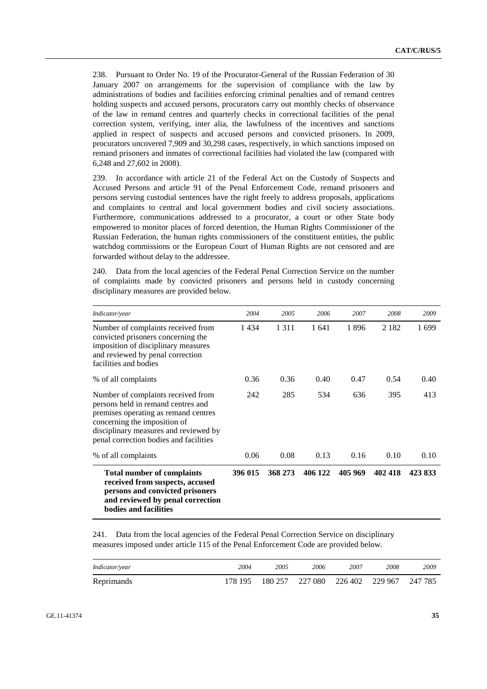238. Pursuant to Order No. 19 of the Procurator-General of the Russian Federation of 30 January 2007 on arrangements for the supervision of compliance with the law by administrations of bodies and facilities enforcing criminal penalties and of remand centres holding suspects and accused persons, procurators carry out monthly checks of observance of the law in remand centres and quarterly checks in correctional facilities of the penal correction system, verifying, inter alia, the lawfulness of the incentives and sanctions applied in respect of suspects and accused persons and convicted prisoners. In 2009, procurators uncovered 7,909 and 30,298 cases, respectively, in which sanctions imposed on remand prisoners and inmates of correctional facilities had violated the law (compared with 6,248 and 27,602 in 2008).

239. In accordance with article 21 of the Federal Act on the Custody of Suspects and Accused Persons and article 91 of the Penal Enforcement Code, remand prisoners and persons serving custodial sentences have the right freely to address proposals, applications and complaints to central and local government bodies and civil society associations. Furthermore, communications addressed to a procurator, a court or other State body empowered to monitor places of forced detention, the Human Rights Commissioner of the Russian Federation, the human rights commissioners of the constituent entities, the public watchdog commissions or the European Court of Human Rights are not censored and are forwarded without delay to the addressee.

240. Data from the local agencies of the Federal Penal Correction Service on the number of complaints made by convicted prisoners and persons held in custody concerning disciplinary measures are provided below.

| Indicator/year                                                                                                                                                                                                                      | 2004    | 2005    | 2006    | 2007    | 2008    | 2009    |
|-------------------------------------------------------------------------------------------------------------------------------------------------------------------------------------------------------------------------------------|---------|---------|---------|---------|---------|---------|
| Number of complaints received from<br>convicted prisoners concerning the<br>imposition of disciplinary measures<br>and reviewed by penal correction<br>facilities and bodies                                                        | 1434    | 1 3 1 1 | 1641    | 1896    | 2 1 8 2 | 1699    |
| % of all complaints                                                                                                                                                                                                                 | 0.36    | 0.36    | 0.40    | 0.47    | 0.54    | 0.40    |
| Number of complaints received from<br>persons held in remand centres and<br>premises operating as remand centres<br>concerning the imposition of<br>disciplinary measures and reviewed by<br>penal correction bodies and facilities | 242     | 285     | 534     | 636     | 395     | 413     |
| % of all complaints                                                                                                                                                                                                                 | 0.06    | 0.08    | 0.13    | 0.16    | 0.10    | 0.10    |
| <b>Total number of complaints</b><br>received from suspects, accused<br>persons and convicted prisoners<br>and reviewed by penal correction<br>bodies and facilities                                                                | 396 015 | 368 273 | 406 122 | 405 969 | 402 418 | 423 833 |

241. Data from the local agencies of the Federal Penal Correction Service on disciplinary measures imposed under article 115 of the Penal Enforcement Code are provided below.

| Indicator/year | 2004    | 2005    | 2006    | 2007    | 2008    | 2009    |
|----------------|---------|---------|---------|---------|---------|---------|
| Reprimands     | 178 195 | 180 257 | 227 080 | 226 402 | 229 967 | 247 785 |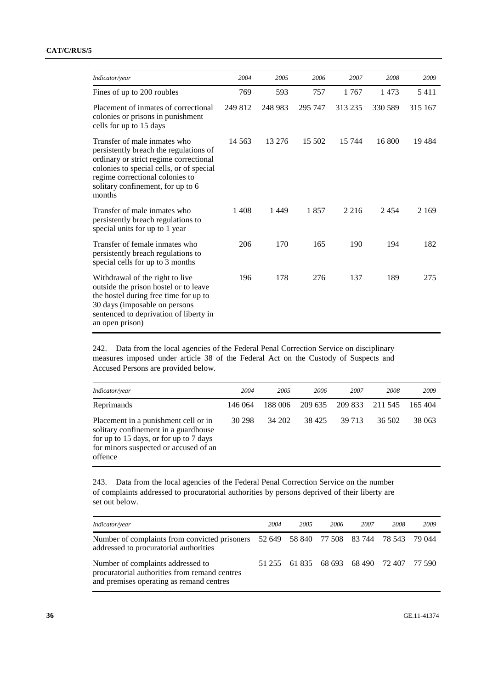| Indicator/year                                                                                                                                                                                                                                 | 2004     | 2005    | 2006    | 2007    | 2008    | 2009    |
|------------------------------------------------------------------------------------------------------------------------------------------------------------------------------------------------------------------------------------------------|----------|---------|---------|---------|---------|---------|
| Fines of up to 200 roubles                                                                                                                                                                                                                     | 769      | 593     | 757     | 1767    | 1473    | 5411    |
| Placement of inmates of correctional<br>colonies or prisons in punishment<br>cells for up to 15 days                                                                                                                                           | 249 812  | 248 983 | 295 747 | 313 235 | 330 589 | 315 167 |
| Transfer of male inmates who<br>persistently breach the regulations of<br>ordinary or strict regime correctional<br>colonies to special cells, or of special<br>regime correctional colonies to<br>solitary confinement, for up to 6<br>months | 14 5 6 3 | 13 276  | 15 502  | 15 744  | 16 800  | 19484   |
| Transfer of male inmates who<br>persistently breach regulations to<br>special units for up to 1 year                                                                                                                                           | 1408     | 1449    | 1857    | 2 2 1 6 | 2454    | 2 1 6 9 |
| Transfer of female inmates who<br>persistently breach regulations to<br>special cells for up to 3 months                                                                                                                                       | 206      | 170     | 165     | 190     | 194     | 182     |
| Withdrawal of the right to live<br>outside the prison hostel or to leave<br>the hostel during free time for up to<br>30 days (imposable on persons<br>sentenced to deprivation of liberty in<br>an open prison)                                | 196      | 178     | 276     | 137     | 189     | 275     |

242. Data from the local agencies of the Federal Penal Correction Service on disciplinary measures imposed under article 38 of the Federal Act on the Custody of Suspects and Accused Persons are provided below.

| Indicator/year                                                                                                                                                             | 2004    | 2005    | 2006    | 2007    | 2008    | 2009   |
|----------------------------------------------------------------------------------------------------------------------------------------------------------------------------|---------|---------|---------|---------|---------|--------|
| Reprimands                                                                                                                                                                 | 146 064 | 188 006 | 209 635 | 209 833 | 211 545 | 165404 |
| Placement in a punishment cell or in<br>solitary confinement in a guardhouse<br>for up to 15 days, or for up to 7 days<br>for minors suspected or accused of an<br>offence | 30 298  | 34 202  | 38 425  | 39 713  | 36.502  | 38 063 |

243. Data from the local agencies of the Federal Penal Correction Service on the number of complaints addressed to procuratorial authorities by persons deprived of their liberty are set out below.

| Indicator/year                                                                                                                    | 2004   | 2005 | 2006 | 2007                               | 2008 | 2009 |
|-----------------------------------------------------------------------------------------------------------------------------------|--------|------|------|------------------------------------|------|------|
| Number of complaints from convicted prisoners 52 649 58 840 77 508 83 744 78 543 79 044<br>addressed to procuratorial authorities |        |      |      |                                    |      |      |
| Number of complaints addressed to<br>procuratorial authorities from remand centres<br>and premises operating as remand centres    | 51 255 |      |      | 61 835 68 693 68 490 72 407 77 590 |      |      |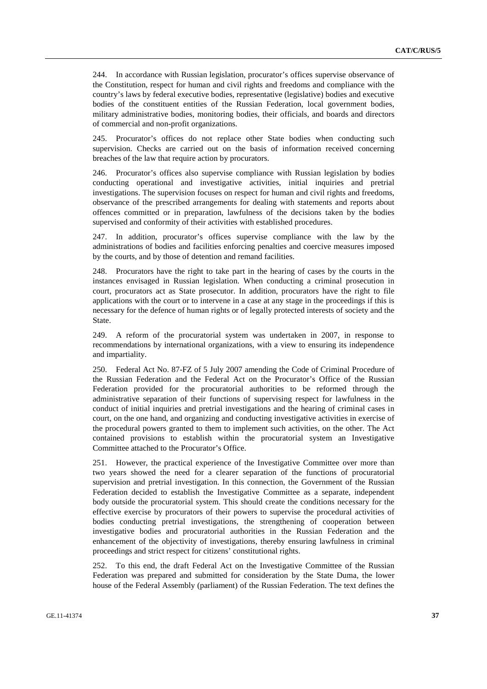244. In accordance with Russian legislation, procurator's offices supervise observance of the Constitution, respect for human and civil rights and freedoms and compliance with the country's laws by federal executive bodies, representative (legislative) bodies and executive bodies of the constituent entities of the Russian Federation, local government bodies, military administrative bodies, monitoring bodies, their officials, and boards and directors of commercial and non-profit organizations.

245. Procurator's offices do not replace other State bodies when conducting such supervision. Checks are carried out on the basis of information received concerning breaches of the law that require action by procurators.

246. Procurator's offices also supervise compliance with Russian legislation by bodies conducting operational and investigative activities, initial inquiries and pretrial investigations. The supervision focuses on respect for human and civil rights and freedoms, observance of the prescribed arrangements for dealing with statements and reports about offences committed or in preparation, lawfulness of the decisions taken by the bodies supervised and conformity of their activities with established procedures.

247. In addition, procurator's offices supervise compliance with the law by the administrations of bodies and facilities enforcing penalties and coercive measures imposed by the courts, and by those of detention and remand facilities.

248. Procurators have the right to take part in the hearing of cases by the courts in the instances envisaged in Russian legislation. When conducting a criminal prosecution in court, procurators act as State prosecutor. In addition, procurators have the right to file applications with the court or to intervene in a case at any stage in the proceedings if this is necessary for the defence of human rights or of legally protected interests of society and the State.

249. A reform of the procuratorial system was undertaken in 2007, in response to recommendations by international organizations, with a view to ensuring its independence and impartiality.

250. Federal Act No. 87-FZ of 5 July 2007 amending the Code of Criminal Procedure of the Russian Federation and the Federal Act on the Procurator's Office of the Russian Federation provided for the procuratorial authorities to be reformed through the administrative separation of their functions of supervising respect for lawfulness in the conduct of initial inquiries and pretrial investigations and the hearing of criminal cases in court, on the one hand, and organizing and conducting investigative activities in exercise of the procedural powers granted to them to implement such activities, on the other. The Act contained provisions to establish within the procuratorial system an Investigative Committee attached to the Procurator's Office.

251. However, the practical experience of the Investigative Committee over more than two years showed the need for a clearer separation of the functions of procuratorial supervision and pretrial investigation. In this connection, the Government of the Russian Federation decided to establish the Investigative Committee as a separate, independent body outside the procuratorial system. This should create the conditions necessary for the effective exercise by procurators of their powers to supervise the procedural activities of bodies conducting pretrial investigations, the strengthening of cooperation between investigative bodies and procuratorial authorities in the Russian Federation and the enhancement of the objectivity of investigations, thereby ensuring lawfulness in criminal proceedings and strict respect for citizens' constitutional rights.

252. To this end, the draft Federal Act on the Investigative Committee of the Russian Federation was prepared and submitted for consideration by the State Duma, the lower house of the Federal Assembly (parliament) of the Russian Federation. The text defines the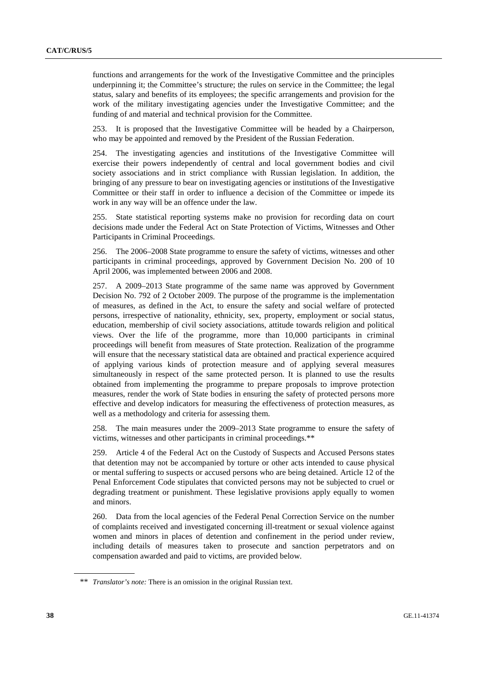functions and arrangements for the work of the Investigative Committee and the principles underpinning it; the Committee's structure; the rules on service in the Committee; the legal status, salary and benefits of its employees; the specific arrangements and provision for the work of the military investigating agencies under the Investigative Committee; and the funding of and material and technical provision for the Committee.

253. It is proposed that the Investigative Committee will be headed by a Chairperson, who may be appointed and removed by the President of the Russian Federation.

254. The investigating agencies and institutions of the Investigative Committee will exercise their powers independently of central and local government bodies and civil society associations and in strict compliance with Russian legislation. In addition, the bringing of any pressure to bear on investigating agencies or institutions of the Investigative Committee or their staff in order to influence a decision of the Committee or impede its work in any way will be an offence under the law.

255. State statistical reporting systems make no provision for recording data on court decisions made under the Federal Act on State Protection of Victims, Witnesses and Other Participants in Criminal Proceedings.

256. The 2006–2008 State programme to ensure the safety of victims, witnesses and other participants in criminal proceedings, approved by Government Decision No. 200 of 10 April 2006, was implemented between 2006 and 2008.

257. A 2009–2013 State programme of the same name was approved by Government Decision No. 792 of 2 October 2009. The purpose of the programme is the implementation of measures, as defined in the Act, to ensure the safety and social welfare of protected persons, irrespective of nationality, ethnicity, sex, property, employment or social status, education, membership of civil society associations, attitude towards religion and political views. Over the life of the programme, more than 10,000 participants in criminal proceedings will benefit from measures of State protection. Realization of the programme will ensure that the necessary statistical data are obtained and practical experience acquired of applying various kinds of protection measure and of applying several measures simultaneously in respect of the same protected person. It is planned to use the results obtained from implementing the programme to prepare proposals to improve protection measures, render the work of State bodies in ensuring the safety of protected persons more effective and develop indicators for measuring the effectiveness of protection measures, as well as a methodology and criteria for assessing them.

258. The main measures under the 2009–2013 State programme to ensure the safety of victims, witnesses and other participants in criminal proceedings.\*\*

259. Article 4 of the Federal Act on the Custody of Suspects and Accused Persons states that detention may not be accompanied by torture or other acts intended to cause physical or mental suffering to suspects or accused persons who are being detained. Article 12 of the Penal Enforcement Code stipulates that convicted persons may not be subjected to cruel or degrading treatment or punishment. These legislative provisions apply equally to women and minors.

260. Data from the local agencies of the Federal Penal Correction Service on the number of complaints received and investigated concerning ill-treatment or sexual violence against women and minors in places of detention and confinement in the period under review, including details of measures taken to prosecute and sanction perpetrators and on compensation awarded and paid to victims, are provided below.

<sup>\*\*</sup> *Translator's note:* There is an omission in the original Russian text.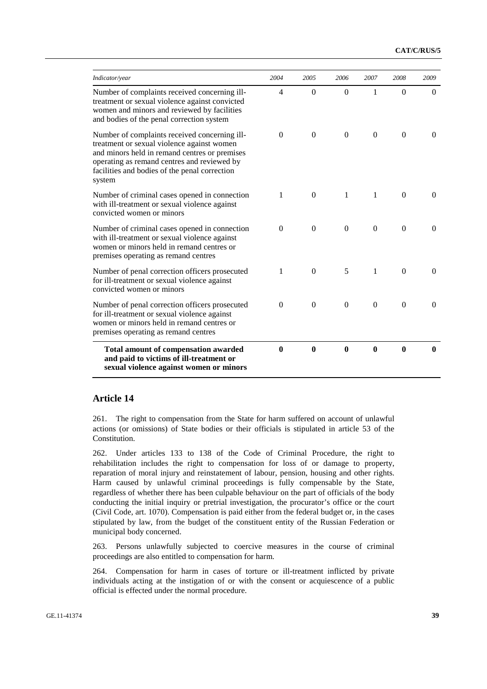| Indicator/year                                                                                                                                                                                                                                         | 2004           | 2005         | 2006             | 2007         | 2008         | 2009     |
|--------------------------------------------------------------------------------------------------------------------------------------------------------------------------------------------------------------------------------------------------------|----------------|--------------|------------------|--------------|--------------|----------|
| Number of complaints received concerning ill-<br>treatment or sexual violence against convicted<br>women and minors and reviewed by facilities<br>and bodies of the penal correction system                                                            | $\overline{4}$ | $\Omega$     | $\Omega$         | 1            | $\Omega$     | $\Omega$ |
| Number of complaints received concerning ill-<br>treatment or sexual violence against women<br>and minors held in remand centres or premises<br>operating as remand centres and reviewed by<br>facilities and bodies of the penal correction<br>system | $\Omega$       | $\theta$     | $\Omega$         | $\Omega$     | $\Omega$     | $\Omega$ |
| Number of criminal cases opened in connection<br>with ill-treatment or sexual violence against<br>convicted women or minors                                                                                                                            | 1              | $\Omega$     | 1                | 1            | $\Omega$     | $\Omega$ |
| Number of criminal cases opened in connection<br>with ill-treatment or sexual violence against<br>women or minors held in remand centres or<br>premises operating as remand centres                                                                    | $\Omega$       | $\Omega$     | $\Omega$         | $\Omega$     | $\Omega$     | $\Omega$ |
| Number of penal correction officers prosecuted<br>for ill-treatment or sexual violence against<br>convicted women or minors                                                                                                                            | 1              | $\Omega$     | 5                | $\mathbf{1}$ | $\Omega$     | $\Omega$ |
| Number of penal correction officers prosecuted<br>for ill-treatment or sexual violence against<br>women or minors held in remand centres or<br>premises operating as remand centres                                                                    | $\Omega$       | $\theta$     | $\mathbf{0}$     | $\Omega$     | $\theta$     | $\Omega$ |
| Total amount of compensation awarded<br>and paid to victims of ill-treatment or<br>sexual violence against women or minors                                                                                                                             | $\mathbf{0}$   | $\mathbf{0}$ | $\boldsymbol{0}$ | $\mathbf{0}$ | $\mathbf{0}$ | 0        |

### **Article 14**

261. The right to compensation from the State for harm suffered on account of unlawful actions (or omissions) of State bodies or their officials is stipulated in article 53 of the Constitution.

262. Under articles 133 to 138 of the Code of Criminal Procedure, the right to rehabilitation includes the right to compensation for loss of or damage to property, reparation of moral injury and reinstatement of labour, pension, housing and other rights. Harm caused by unlawful criminal proceedings is fully compensable by the State, regardless of whether there has been culpable behaviour on the part of officials of the body conducting the initial inquiry or pretrial investigation, the procurator's office or the court (Civil Code, art. 1070). Compensation is paid either from the federal budget or, in the cases stipulated by law, from the budget of the constituent entity of the Russian Federation or municipal body concerned.

263. Persons unlawfully subjected to coercive measures in the course of criminal proceedings are also entitled to compensation for harm.

264. Compensation for harm in cases of torture or ill-treatment inflicted by private individuals acting at the instigation of or with the consent or acquiescence of a public official is effected under the normal procedure.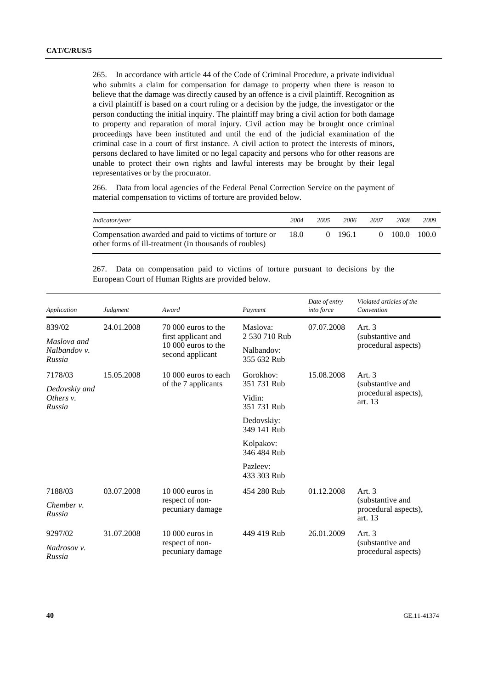265. In accordance with article 44 of the Code of Criminal Procedure, a private individual who submits a claim for compensation for damage to property when there is reason to believe that the damage was directly caused by an offence is a civil plaintiff. Recognition as a civil plaintiff is based on a court ruling or a decision by the judge, the investigator or the person conducting the initial inquiry. The plaintiff may bring a civil action for both damage to property and reparation of moral injury. Civil action may be brought once criminal proceedings have been instituted and until the end of the judicial examination of the criminal case in a court of first instance. A civil action to protect the interests of minors, persons declared to have limited or no legal capacity and persons who for other reasons are unable to protect their own rights and lawful interests may be brought by their legal representatives or by the procurator.

266. Data from local agencies of the Federal Penal Correction Service on the payment of material compensation to victims of torture are provided below.

| Indicator/year                                                                                                   | 2004 | 2005 | 2006         | 2007 | 2008                      | 2009 |
|------------------------------------------------------------------------------------------------------------------|------|------|--------------|------|---------------------------|------|
| Compensation awarded and paid to victims of torture or<br>other forms of ill-treatment (in thousands of roubles) | 18.0 |      | $(1 \t196.1$ |      | $0\quad 100.0\quad 100.0$ |      |

267. Data on compensation paid to victims of torture pursuant to decisions by the European Court of Human Rights are provided below.

| Application                           | Judgment   | Award                                      | Payment                   | Date of entry<br>into force | Violated articles of the<br>Convention              |  |  |
|---------------------------------------|------------|--------------------------------------------|---------------------------|-----------------------------|-----------------------------------------------------|--|--|
| 839/02                                | 24.01.2008 | 70,000 euros to the                        | Maslova:                  | 07.07.2008                  | Art. 3                                              |  |  |
| Maslova and<br>Nalbandov v.<br>Russia |            | first applicant and<br>10 000 euros to the | 2 530 710 Rub             |                             | (substantive and<br>procedural aspects)             |  |  |
|                                       |            | second applicant                           | Nalbandov:<br>355 632 Rub |                             |                                                     |  |  |
| 7178/03                               | 15.05.2008 | 10 000 euros to each                       | Gorokhov:                 | 15.08.2008                  | Art. $3$                                            |  |  |
| Dedovskiy and                         |            | of the 7 applicants                        | 351 731 Rub               |                             | (substantive and)                                   |  |  |
| Others $v$ .<br>Russia                |            |                                            | Vidin:<br>351 731 Rub     |                             | procedural aspects),<br>art. 13                     |  |  |
|                                       |            |                                            | Dedovskiy:<br>349 141 Rub |                             |                                                     |  |  |
|                                       |            |                                            | Kolpakov:<br>346 484 Rub  |                             |                                                     |  |  |
|                                       |            |                                            | Pazleev:<br>433 303 Rub   |                             |                                                     |  |  |
| 7188/03                               | 03.07.2008 | $10000$ euros in                           | 454 280 Rub               | 01.12.2008                  | Art. $3$                                            |  |  |
| Chember $\nu$ .<br>Russia             |            | respect of non-<br>pecuniary damage        |                           |                             | (substantive and<br>procedural aspects),<br>art. 13 |  |  |
| 9297/02                               | 31.07.2008 | $10000$ euros in                           | 449 419 Rub               | 26.01.2009                  | Art. $3$                                            |  |  |
| Nadrosov v.<br>Russia                 |            | respect of non-<br>pecuniary damage        |                           |                             | (substantive and<br>procedural aspects)             |  |  |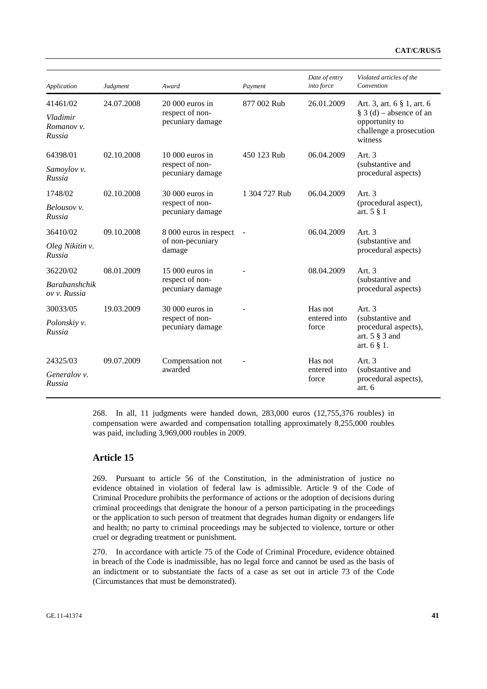| Application                          | Judgment   | Award                               | Payment                  | Date of entry<br>into force | Violated articles of the<br>Convention                                             |  |
|--------------------------------------|------------|-------------------------------------|--------------------------|-----------------------------|------------------------------------------------------------------------------------|--|
| 41461/02                             | 24.07.2008 | $20000$ euros in                    | 877 002 Rub              | 26.01.2009                  | Art. 3, art. 6 § 1, art. 6                                                         |  |
| Vladimir<br>Romanov v.<br>Russia     |            | respect of non-<br>pecuniary damage |                          |                             | $\S$ 3 (d) – absence of an<br>opportunity to<br>challenge a prosecution<br>witness |  |
| 64398/01                             | 02.10.2008 | $10000$ euros in                    | 450 123 Rub              | 06.04.2009                  | Art. 3                                                                             |  |
| Samoylov v.<br>Russia                |            | respect of non-<br>pecuniary damage |                          |                             | (substantive and<br>procedural aspects)                                            |  |
| 1748/02                              | 02.10.2008 | 30 000 euros in                     | 1 304 727 Rub            | 06.04.2009                  | Art. $3$                                                                           |  |
| Belousov v.<br>Russia                |            | respect of non-<br>pecuniary damage |                          |                             | (procedural aspect),<br>art. $5 \n§ 1$                                             |  |
| 36410/02                             | 09.10.2008 | 8 000 euros in respect              | $\overline{\phantom{a}}$ | 06.04.2009                  | Art. $3$                                                                           |  |
| Oleg Nikitin v.<br>Russia            |            | of non-pecuniary<br>damage          |                          |                             | (substantive and<br>procedural aspects)                                            |  |
| 36220/02                             | 08.01.2009 | $15000$ euros in                    |                          | 08.04.2009                  | Art. $3$                                                                           |  |
| <b>Barabanshchik</b><br>ov v. Russia |            | respect of non-<br>pecuniary damage |                          |                             | (substantive and<br>procedural aspects)                                            |  |
| 30033/05                             | 19.03.2009 | 30 000 euros in                     |                          | Has not                     | Art. $3$                                                                           |  |
| Polonskiy v.<br>Russia               |            | respect of non-<br>pecuniary damage |                          | entered into<br>force       | (substantive and)<br>procedural aspects),<br>art. $5 \S$ 3 and<br>art. $6 \n§ 1$ . |  |
| 24325/03                             | 09.07.2009 | Compensation not                    |                          | Has not                     | Art. $3$                                                                           |  |
| Generalov v.<br>Russia               |            | awarded                             |                          | entered into<br>force       | (substantive and<br>procedural aspects),<br>art. 6                                 |  |

268. In all, 11 judgments were handed down, 283,000 euros (12,755,376 roubles) in compensation were awarded and compensation totalling approximately 8,255,000 roubles was paid, including 3,969,000 roubles in 2009.

#### **Article 15**

269. Pursuant to article 56 of the Constitution, in the administration of justice no evidence obtained in violation of federal law is admissible. Article 9 of the Code of Criminal Procedure prohibits the performance of actions or the adoption of decisions during criminal proceedings that denigrate the honour of a person participating in the proceedings or the application to such person of treatment that degrades human dignity or endangers life and health; no party to criminal proceedings may be subjected to violence, torture or other cruel or degrading treatment or punishment.

270. In accordance with article 75 of the Code of Criminal Procedure, evidence obtained in breach of the Code is inadmissible, has no legal force and cannot be used as the basis of an indictment or to substantiate the facts of a case as set out in article 73 of the Code (Circumstances that must be demonstrated).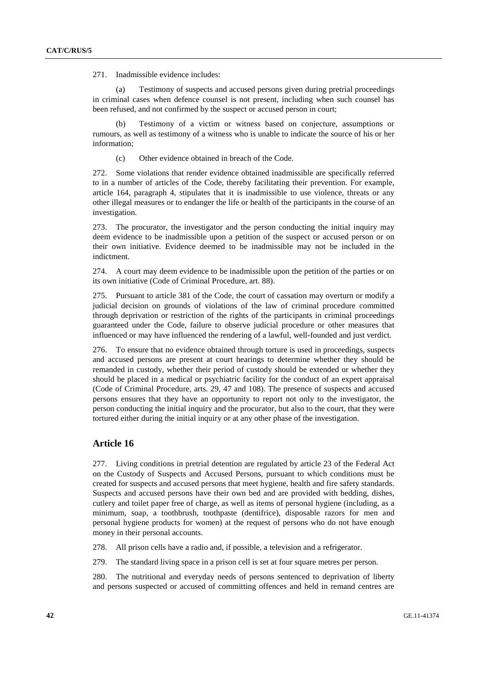271. Inadmissible evidence includes:

(a) Testimony of suspects and accused persons given during pretrial proceedings in criminal cases when defence counsel is not present, including when such counsel has been refused, and not confirmed by the suspect or accused person in court;

(b) Testimony of a victim or witness based on conjecture, assumptions or rumours, as well as testimony of a witness who is unable to indicate the source of his or her information;

(c) Other evidence obtained in breach of the Code.

272. Some violations that render evidence obtained inadmissible are specifically referred to in a number of articles of the Code, thereby facilitating their prevention. For example, article 164, paragraph 4, stipulates that it is inadmissible to use violence, threats or any other illegal measures or to endanger the life or health of the participants in the course of an investigation.

273. The procurator, the investigator and the person conducting the initial inquiry may deem evidence to be inadmissible upon a petition of the suspect or accused person or on their own initiative. Evidence deemed to be inadmissible may not be included in the indictment.

274. A court may deem evidence to be inadmissible upon the petition of the parties or on its own initiative (Code of Criminal Procedure, art. 88).

275. Pursuant to article 381 of the Code, the court of cassation may overturn or modify a judicial decision on grounds of violations of the law of criminal procedure committed through deprivation or restriction of the rights of the participants in criminal proceedings guaranteed under the Code, failure to observe judicial procedure or other measures that influenced or may have influenced the rendering of a lawful, well-founded and just verdict.

276. To ensure that no evidence obtained through torture is used in proceedings, suspects and accused persons are present at court hearings to determine whether they should be remanded in custody, whether their period of custody should be extended or whether they should be placed in a medical or psychiatric facility for the conduct of an expert appraisal (Code of Criminal Procedure, arts. 29, 47 and 108). The presence of suspects and accused persons ensures that they have an opportunity to report not only to the investigator, the person conducting the initial inquiry and the procurator, but also to the court, that they were tortured either during the initial inquiry or at any other phase of the investigation.

#### **Article 16**

277. Living conditions in pretrial detention are regulated by article 23 of the Federal Act on the Custody of Suspects and Accused Persons, pursuant to which conditions must be created for suspects and accused persons that meet hygiene, health and fire safety standards. Suspects and accused persons have their own bed and are provided with bedding, dishes, cutlery and toilet paper free of charge, as well as items of personal hygiene (including, as a minimum, soap, a toothbrush, toothpaste (dentifrice), disposable razors for men and personal hygiene products for women) at the request of persons who do not have enough money in their personal accounts.

278. All prison cells have a radio and, if possible, a television and a refrigerator.

279. The standard living space in a prison cell is set at four square metres per person.

280. The nutritional and everyday needs of persons sentenced to deprivation of liberty and persons suspected or accused of committing offences and held in remand centres are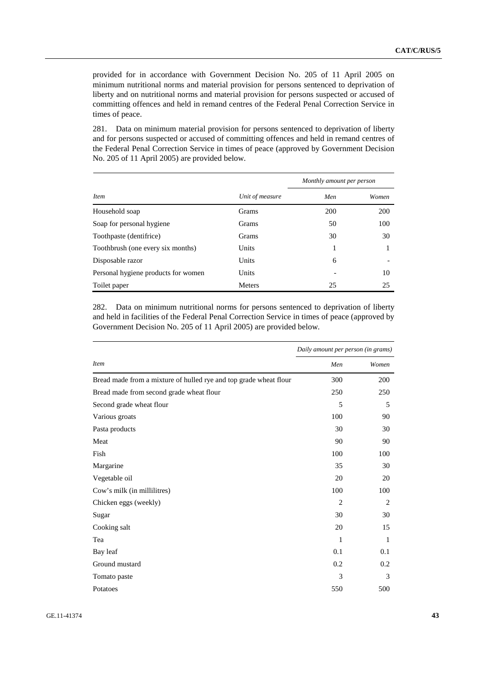provided for in accordance with Government Decision No. 205 of 11 April 2005 on minimum nutritional norms and material provision for persons sentenced to deprivation of liberty and on nutritional norms and material provision for persons suspected or accused of committing offences and held in remand centres of the Federal Penal Correction Service in times of peace.

281. Data on minimum material provision for persons sentenced to deprivation of liberty and for persons suspected or accused of committing offences and held in remand centres of the Federal Penal Correction Service in times of peace (approved by Government Decision No. 205 of 11 April 2005) are provided below.

|                                     |                 | Monthly amount per person |       |  |  |
|-------------------------------------|-----------------|---------------------------|-------|--|--|
| <i>Item</i>                         | Unit of measure | Men                       | Women |  |  |
| Household soap                      | <b>Grams</b>    | 200                       | 200   |  |  |
| Soap for personal hygiene           | <b>Grams</b>    | 50                        | 100   |  |  |
| Toothpaste (dentifrice)             | <b>Grams</b>    | 30                        | 30    |  |  |
| Toothbrush (one every six months)   | Units           |                           |       |  |  |
| Disposable razor                    | Units           | 6                         |       |  |  |
| Personal hygiene products for women | Units           |                           | 10    |  |  |
| Toilet paper                        | <b>Meters</b>   | 25                        | 25    |  |  |

282. Data on minimum nutritional norms for persons sentenced to deprivation of liberty and held in facilities of the Federal Penal Correction Service in times of peace (approved by Government Decision No. 205 of 11 April 2005) are provided below.

|                                                                   | Daily amount per person (in grams) |       |  |  |
|-------------------------------------------------------------------|------------------------------------|-------|--|--|
| <b>Item</b>                                                       | Men                                | Women |  |  |
| Bread made from a mixture of hulled rye and top grade wheat flour | 300                                | 200   |  |  |
| Bread made from second grade wheat flour                          | 250                                | 250   |  |  |
| Second grade wheat flour                                          | 5                                  | 5     |  |  |
| Various groats                                                    | 100                                | 90    |  |  |
| Pasta products                                                    | 30                                 | 30    |  |  |
| Meat                                                              | 90                                 | 90    |  |  |
| Fish                                                              | 100                                | 100   |  |  |
| Margarine                                                         | 35                                 | 30    |  |  |
| Vegetable oil                                                     | 20                                 | 20    |  |  |
| Cow's milk (in millilitres)                                       | 100                                | 100   |  |  |
| Chicken eggs (weekly)                                             | $\overline{2}$                     | 2     |  |  |
| Sugar                                                             | 30                                 | 30    |  |  |
| Cooking salt                                                      | 20                                 | 15    |  |  |
| Tea                                                               | 1                                  | 1     |  |  |
| Bay leaf                                                          | 0.1                                | 0.1   |  |  |
| Ground mustard                                                    | 0.2                                | 0.2   |  |  |
| Tomato paste                                                      | 3                                  | 3     |  |  |
| Potatoes                                                          | 550                                | 500   |  |  |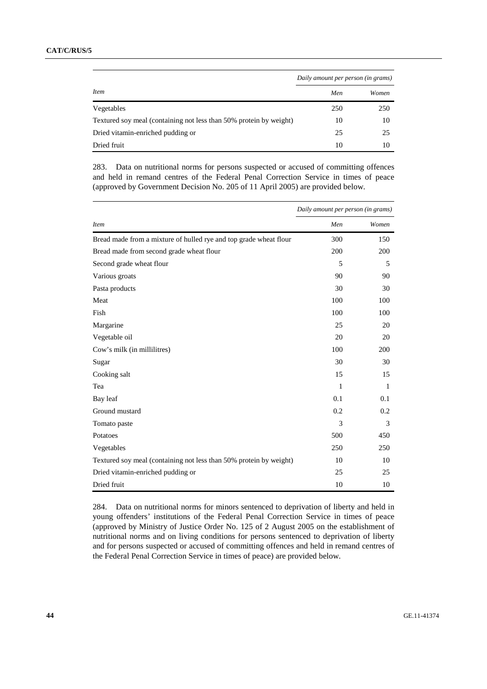|                                                                    | Daily amount per person (in grams) |       |  |
|--------------------------------------------------------------------|------------------------------------|-------|--|
| <i>Item</i>                                                        | Men                                | Women |  |
| Vegetables                                                         | 250                                | 250   |  |
| Textured soy meal (containing not less than 50% protein by weight) | 10                                 | 10    |  |
| Dried vitamin-enriched pudding or                                  | 25                                 | 25    |  |
| Dried fruit                                                        | 10                                 | 10    |  |

283. Data on nutritional norms for persons suspected or accused of committing offences and held in remand centres of the Federal Penal Correction Service in times of peace (approved by Government Decision No. 205 of 11 April 2005) are provided below.

|                                                                    | Daily amount per person (in grams) |              |  |  |
|--------------------------------------------------------------------|------------------------------------|--------------|--|--|
| <b>Item</b>                                                        | Men                                | Women        |  |  |
| Bread made from a mixture of hulled rye and top grade wheat flour  | 300                                | 150          |  |  |
| Bread made from second grade wheat flour                           | 200                                | 200          |  |  |
| Second grade wheat flour                                           | 5                                  | 5            |  |  |
| Various groats                                                     | 90                                 | 90           |  |  |
| Pasta products                                                     | 30                                 | 30           |  |  |
| Meat                                                               | 100                                | 100          |  |  |
| Fish                                                               | 100                                | 100          |  |  |
| Margarine                                                          | 25                                 | 20           |  |  |
| Vegetable oil                                                      | 20                                 | 20           |  |  |
| Cow's milk (in millilitres)                                        | 100                                | 200          |  |  |
| Sugar                                                              | 30                                 | 30           |  |  |
| Cooking salt                                                       | 15                                 | 15           |  |  |
| Tea                                                                | 1                                  | $\mathbf{1}$ |  |  |
| Bay leaf                                                           | 0.1                                | 0.1          |  |  |
| Ground mustard                                                     | 0.2                                | 0.2          |  |  |
| Tomato paste                                                       | 3                                  | 3            |  |  |
| Potatoes                                                           | 500                                | 450          |  |  |
| Vegetables                                                         | 250                                | 250          |  |  |
| Textured soy meal (containing not less than 50% protein by weight) | 10                                 | 10           |  |  |
| Dried vitamin-enriched pudding or                                  | 25                                 | 25           |  |  |
| Dried fruit                                                        | 10                                 | 10           |  |  |

284. Data on nutritional norms for minors sentenced to deprivation of liberty and held in young offenders' institutions of the Federal Penal Correction Service in times of peace (approved by Ministry of Justice Order No. 125 of 2 August 2005 on the establishment of nutritional norms and on living conditions for persons sentenced to deprivation of liberty and for persons suspected or accused of committing offences and held in remand centres of the Federal Penal Correction Service in times of peace) are provided below.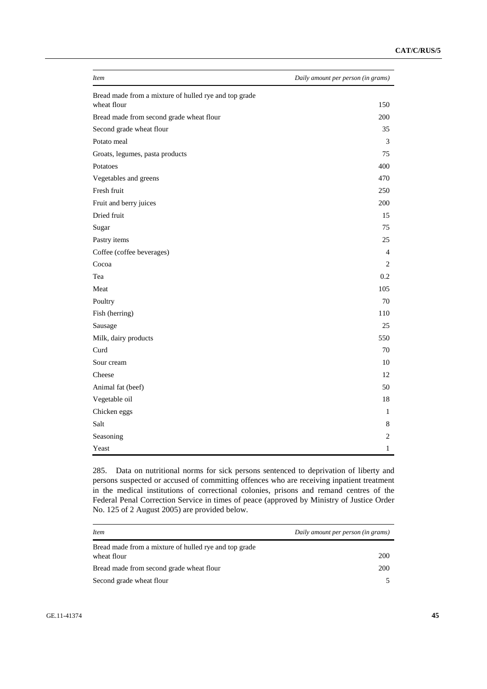| <i>Item</i>                                                          | Daily amount per person (in grams) |
|----------------------------------------------------------------------|------------------------------------|
| Bread made from a mixture of hulled rye and top grade<br>wheat flour | 150                                |
| Bread made from second grade wheat flour                             | 200                                |
| Second grade wheat flour                                             | 35                                 |
| Potato meal                                                          | 3                                  |
| Groats, legumes, pasta products                                      | 75                                 |
| Potatoes                                                             | 400                                |
| Vegetables and greens                                                | 470                                |
| Fresh fruit                                                          | 250                                |
| Fruit and berry juices                                               | 200                                |
| Dried fruit                                                          | 15                                 |
| Sugar                                                                | 75                                 |
| Pastry items                                                         | 25                                 |
| Coffee (coffee beverages)                                            | $\overline{4}$                     |
| Cocoa                                                                | 2                                  |
| Tea                                                                  | 0.2                                |
| Meat                                                                 | 105                                |
| Poultry                                                              | 70                                 |
| Fish (herring)                                                       | 110                                |
| Sausage                                                              | 25                                 |
| Milk, dairy products                                                 | 550                                |
| Curd                                                                 | 70                                 |
| Sour cream                                                           | 10                                 |
| Cheese                                                               | 12                                 |
| Animal fat (beef)                                                    | 50                                 |
| Vegetable oil                                                        | 18                                 |
| Chicken eggs                                                         | 1                                  |
| Salt                                                                 | 8                                  |
| Seasoning                                                            | 2                                  |
| Yeast                                                                | 1                                  |

285. Data on nutritional norms for sick persons sentenced to deprivation of liberty and persons suspected or accused of committing offences who are receiving inpatient treatment in the medical institutions of correctional colonies, prisons and remand centres of the Federal Penal Correction Service in times of peace (approved by Ministry of Justice Order No. 125 of 2 August 2005) are provided below.

| <i>Item</i>                                                          | Daily amount per person (in grams) |
|----------------------------------------------------------------------|------------------------------------|
| Bread made from a mixture of hulled rye and top grade<br>wheat flour | 200                                |
| Bread made from second grade wheat flour                             | 200                                |
| Second grade wheat flour                                             |                                    |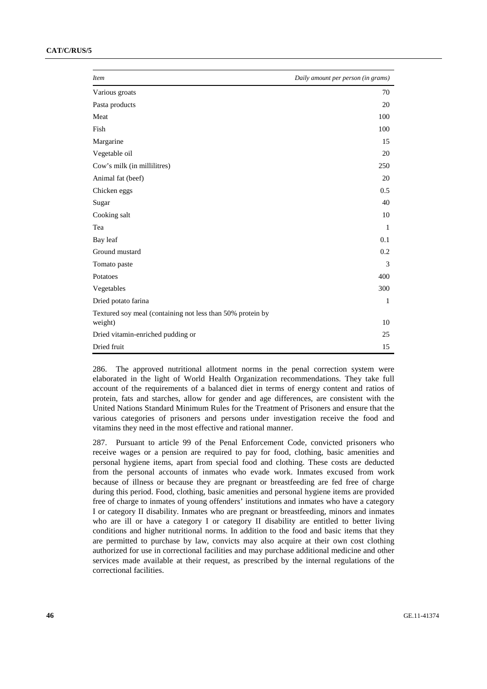| <b>Item</b>                                                           | Daily amount per person (in grams) |
|-----------------------------------------------------------------------|------------------------------------|
| Various groats                                                        | 70                                 |
| Pasta products                                                        | 20                                 |
| Meat                                                                  | 100                                |
| Fish                                                                  | 100                                |
| Margarine                                                             | 15                                 |
| Vegetable oil                                                         | 20                                 |
| Cow's milk (in millilitres)                                           | 250                                |
| Animal fat (beef)                                                     | 20                                 |
| Chicken eggs                                                          | 0.5                                |
| Sugar                                                                 | 40                                 |
| Cooking salt                                                          | 10                                 |
| Tea                                                                   | $\mathbf{1}$                       |
| Bay leaf                                                              | 0.1                                |
| Ground mustard                                                        | 0.2                                |
| Tomato paste                                                          | 3                                  |
| Potatoes                                                              | 400                                |
| Vegetables                                                            | 300                                |
| Dried potato farina                                                   | 1                                  |
| Textured soy meal (containing not less than 50% protein by<br>weight) | 10                                 |
| Dried vitamin-enriched pudding or                                     | 25                                 |
| Dried fruit                                                           | 15                                 |

286. The approved nutritional allotment norms in the penal correction system were elaborated in the light of World Health Organization recommendations. They take full account of the requirements of a balanced diet in terms of energy content and ratios of protein, fats and starches, allow for gender and age differences, are consistent with the United Nations Standard Minimum Rules for the Treatment of Prisoners and ensure that the various categories of prisoners and persons under investigation receive the food and vitamins they need in the most effective and rational manner.

287. Pursuant to article 99 of the Penal Enforcement Code, convicted prisoners who receive wages or a pension are required to pay for food, clothing, basic amenities and personal hygiene items, apart from special food and clothing. These costs are deducted from the personal accounts of inmates who evade work. Inmates excused from work because of illness or because they are pregnant or breastfeeding are fed free of charge during this period. Food, clothing, basic amenities and personal hygiene items are provided free of charge to inmates of young offenders' institutions and inmates who have a category I or category II disability. Inmates who are pregnant or breastfeeding, minors and inmates who are ill or have a category I or category II disability are entitled to better living conditions and higher nutritional norms. In addition to the food and basic items that they are permitted to purchase by law, convicts may also acquire at their own cost clothing authorized for use in correctional facilities and may purchase additional medicine and other services made available at their request, as prescribed by the internal regulations of the correctional facilities.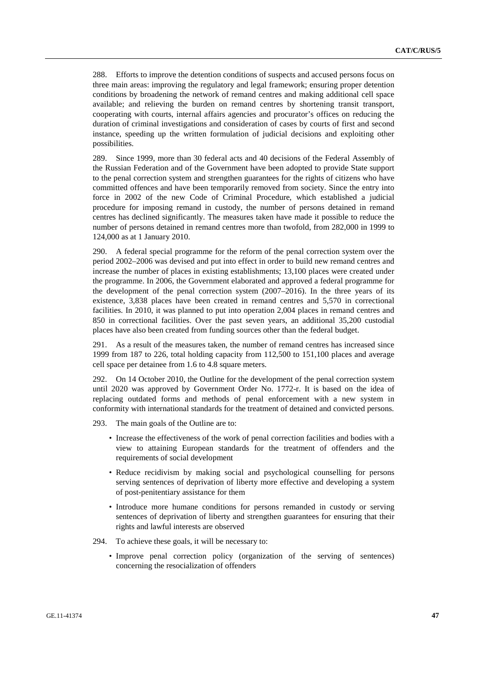288. Efforts to improve the detention conditions of suspects and accused persons focus on three main areas: improving the regulatory and legal framework; ensuring proper detention conditions by broadening the network of remand centres and making additional cell space available; and relieving the burden on remand centres by shortening transit transport, cooperating with courts, internal affairs agencies and procurator's offices on reducing the duration of criminal investigations and consideration of cases by courts of first and second instance, speeding up the written formulation of judicial decisions and exploiting other possibilities.

289. Since 1999, more than 30 federal acts and 40 decisions of the Federal Assembly of the Russian Federation and of the Government have been adopted to provide State support to the penal correction system and strengthen guarantees for the rights of citizens who have committed offences and have been temporarily removed from society. Since the entry into force in 2002 of the new Code of Criminal Procedure, which established a judicial procedure for imposing remand in custody, the number of persons detained in remand centres has declined significantly. The measures taken have made it possible to reduce the number of persons detained in remand centres more than twofold, from 282,000 in 1999 to 124,000 as at 1 January 2010.

290. A federal special programme for the reform of the penal correction system over the period 2002–2006 was devised and put into effect in order to build new remand centres and increase the number of places in existing establishments; 13,100 places were created under the programme. In 2006, the Government elaborated and approved a federal programme for the development of the penal correction system (2007–2016). In the three years of its existence, 3,838 places have been created in remand centres and 5,570 in correctional facilities. In 2010, it was planned to put into operation 2,004 places in remand centres and 850 in correctional facilities. Over the past seven years, an additional 35,200 custodial places have also been created from funding sources other than the federal budget.

291. As a result of the measures taken, the number of remand centres has increased since 1999 from 187 to 226, total holding capacity from 112,500 to 151,100 places and average cell space per detainee from 1.6 to 4.8 square meters.

292. On 14 October 2010, the Outline for the development of the penal correction system until 2020 was approved by Government Order No. 1772-r. It is based on the idea of replacing outdated forms and methods of penal enforcement with a new system in conformity with international standards for the treatment of detained and convicted persons.

293. The main goals of the Outline are to:

- Increase the effectiveness of the work of penal correction facilities and bodies with a view to attaining European standards for the treatment of offenders and the requirements of social development
- Reduce recidivism by making social and psychological counselling for persons serving sentences of deprivation of liberty more effective and developing a system of post-penitentiary assistance for them
- Introduce more humane conditions for persons remanded in custody or serving sentences of deprivation of liberty and strengthen guarantees for ensuring that their rights and lawful interests are observed
- 294. To achieve these goals, it will be necessary to:
	- Improve penal correction policy (organization of the serving of sentences) concerning the resocialization of offenders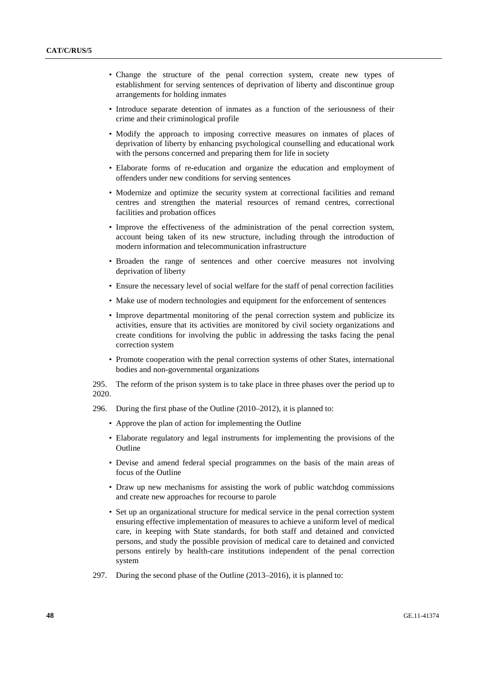- Change the structure of the penal correction system, create new types of establishment for serving sentences of deprivation of liberty and discontinue group arrangements for holding inmates
- Introduce separate detention of inmates as a function of the seriousness of their crime and their criminological profile
- Modify the approach to imposing corrective measures on inmates of places of deprivation of liberty by enhancing psychological counselling and educational work with the persons concerned and preparing them for life in society
- Elaborate forms of re-education and organize the education and employment of offenders under new conditions for serving sentences
- Modernize and optimize the security system at correctional facilities and remand centres and strengthen the material resources of remand centres, correctional facilities and probation offices
- Improve the effectiveness of the administration of the penal correction system, account being taken of its new structure, including through the introduction of modern information and telecommunication infrastructure
- Broaden the range of sentences and other coercive measures not involving deprivation of liberty
- Ensure the necessary level of social welfare for the staff of penal correction facilities
- Make use of modern technologies and equipment for the enforcement of sentences
- Improve departmental monitoring of the penal correction system and publicize its activities, ensure that its activities are monitored by civil society organizations and create conditions for involving the public in addressing the tasks facing the penal correction system
- Promote cooperation with the penal correction systems of other States, international bodies and non-governmental organizations

295. The reform of the prison system is to take place in three phases over the period up to 2020.

- 296. During the first phase of the Outline (2010–2012), it is planned to:
	- Approve the plan of action for implementing the Outline
	- Elaborate regulatory and legal instruments for implementing the provisions of the Outline
	- Devise and amend federal special programmes on the basis of the main areas of focus of the Outline
	- Draw up new mechanisms for assisting the work of public watchdog commissions and create new approaches for recourse to parole
	- Set up an organizational structure for medical service in the penal correction system ensuring effective implementation of measures to achieve a uniform level of medical care, in keeping with State standards, for both staff and detained and convicted persons, and study the possible provision of medical care to detained and convicted persons entirely by health-care institutions independent of the penal correction system
- 297. During the second phase of the Outline (2013–2016), it is planned to: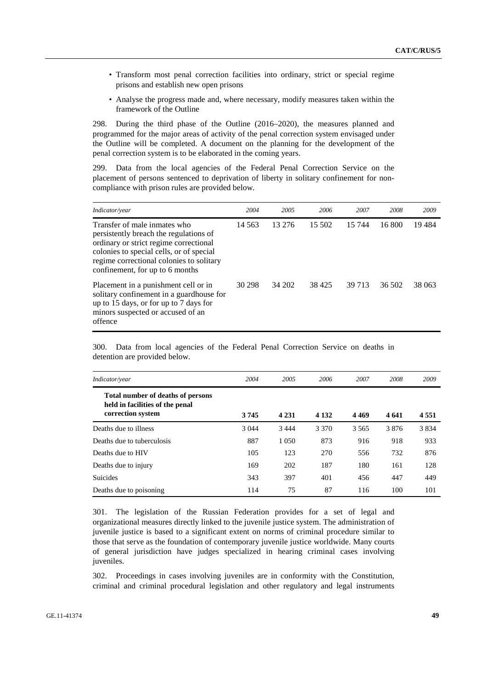- Transform most penal correction facilities into ordinary, strict or special regime prisons and establish new open prisons
- Analyse the progress made and, where necessary, modify measures taken within the framework of the Outline

298. During the third phase of the Outline (2016–2020), the measures planned and programmed for the major areas of activity of the penal correction system envisaged under the Outline will be completed. A document on the planning for the development of the penal correction system is to be elaborated in the coming years.

299. Data from the local agencies of the Federal Penal Correction Service on the placement of persons sentenced to deprivation of liberty in solitary confinement for noncompliance with prison rules are provided below.

| Indicator/year                                                                                                                                                                                                                              | 2004     | 2005   | 2006    | 2007   | 2008   | 2009   |
|---------------------------------------------------------------------------------------------------------------------------------------------------------------------------------------------------------------------------------------------|----------|--------|---------|--------|--------|--------|
| Transfer of male inmates who<br>persistently breach the regulations of<br>ordinary or strict regime correctional<br>colonies to special cells, or of special<br>regime correctional colonies to solitary<br>confinement, for up to 6 months | 14 5 6 3 | 13 276 | 15 502  | 15 744 | 16.800 | 19484  |
| Placement in a punishment cell or in<br>solitary confinement in a guardhouse for<br>up to 15 days, or for up to 7 days for<br>minors suspected or accused of an<br>offence                                                                  | 30 298   | 34 202 | 38 4 25 | 39 713 | 36 502 | 38 063 |

300. Data from local agencies of the Federal Penal Correction Service on deaths in detention are provided below.

| Indicator/year                                                                            | 2004    | 2005    | 2006    | 2007    | 2008  | 2009    |
|-------------------------------------------------------------------------------------------|---------|---------|---------|---------|-------|---------|
| Total number of deaths of persons<br>held in facilities of the penal<br>correction system | 3745    | 4 2 3 1 | 4 1 3 2 | 4 4 6 9 | 4 641 | 4 5 5 1 |
| Deaths due to illness                                                                     | 3 0 4 4 | 3 4 4 4 | 3 3 7 0 | 3 5 6 5 | 3876  | 3 8 3 4 |
| Deaths due to tuberculosis                                                                | 887     | 1 0 5 0 | 873     | 916     | 918   | 933     |
| Deaths due to HIV                                                                         | 105     | 123     | 270     | 556     | 732   | 876     |
| Deaths due to injury                                                                      | 169     | 202     | 187     | 180     | 161   | 128     |
| <b>Suicides</b>                                                                           | 343     | 397     | 401     | 456     | 447   | 449     |
| Deaths due to poisoning                                                                   | 114     | 75      | 87      | 116     | 100   | 101     |

301. The legislation of the Russian Federation provides for a set of legal and organizational measures directly linked to the juvenile justice system. The administration of juvenile justice is based to a significant extent on norms of criminal procedure similar to those that serve as the foundation of contemporary juvenile justice worldwide. Many courts of general jurisdiction have judges specialized in hearing criminal cases involving juveniles.

302. Proceedings in cases involving juveniles are in conformity with the Constitution, criminal and criminal procedural legislation and other regulatory and legal instruments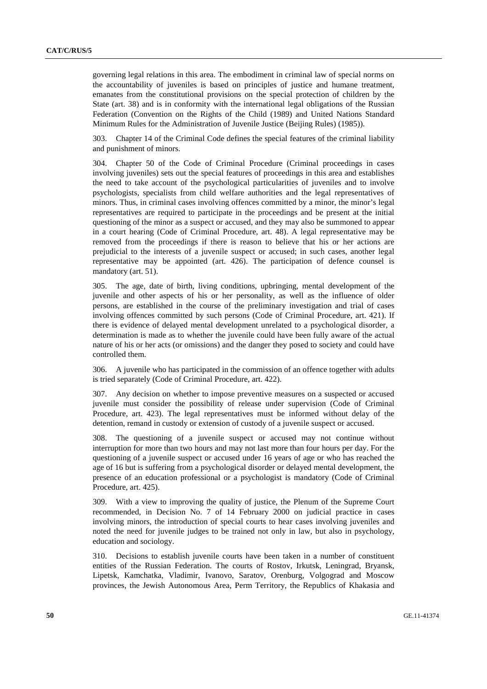governing legal relations in this area. The embodiment in criminal law of special norms on the accountability of juveniles is based on principles of justice and humane treatment, emanates from the constitutional provisions on the special protection of children by the State (art. 38) and is in conformity with the international legal obligations of the Russian Federation (Convention on the Rights of the Child (1989) and United Nations Standard Minimum Rules for the Administration of Juvenile Justice (Beijing Rules) (1985)).

303. Chapter 14 of the Criminal Code defines the special features of the criminal liability and punishment of minors.

304. Chapter 50 of the Code of Criminal Procedure (Criminal proceedings in cases involving juveniles) sets out the special features of proceedings in this area and establishes the need to take account of the psychological particularities of juveniles and to involve psychologists, specialists from child welfare authorities and the legal representatives of minors. Thus, in criminal cases involving offences committed by a minor, the minor's legal representatives are required to participate in the proceedings and be present at the initial questioning of the minor as a suspect or accused, and they may also be summoned to appear in a court hearing (Code of Criminal Procedure, art. 48). A legal representative may be removed from the proceedings if there is reason to believe that his or her actions are prejudicial to the interests of a juvenile suspect or accused; in such cases, another legal representative may be appointed (art. 426). The participation of defence counsel is mandatory (art. 51).

305. The age, date of birth, living conditions, upbringing, mental development of the juvenile and other aspects of his or her personality, as well as the influence of older persons, are established in the course of the preliminary investigation and trial of cases involving offences committed by such persons (Code of Criminal Procedure, art. 421). If there is evidence of delayed mental development unrelated to a psychological disorder, a determination is made as to whether the juvenile could have been fully aware of the actual nature of his or her acts (or omissions) and the danger they posed to society and could have controlled them.

306. A juvenile who has participated in the commission of an offence together with adults is tried separately (Code of Criminal Procedure, art. 422).

307. Any decision on whether to impose preventive measures on a suspected or accused juvenile must consider the possibility of release under supervision (Code of Criminal Procedure, art. 423). The legal representatives must be informed without delay of the detention, remand in custody or extension of custody of a juvenile suspect or accused.

308. The questioning of a juvenile suspect or accused may not continue without interruption for more than two hours and may not last more than four hours per day. For the questioning of a juvenile suspect or accused under 16 years of age or who has reached the age of 16 but is suffering from a psychological disorder or delayed mental development, the presence of an education professional or a psychologist is mandatory (Code of Criminal Procedure, art. 425).

309. With a view to improving the quality of justice, the Plenum of the Supreme Court recommended, in Decision No. 7 of 14 February 2000 on judicial practice in cases involving minors, the introduction of special courts to hear cases involving juveniles and noted the need for juvenile judges to be trained not only in law, but also in psychology, education and sociology.

310. Decisions to establish juvenile courts have been taken in a number of constituent entities of the Russian Federation. The courts of Rostov, Irkutsk, Leningrad, Bryansk, Lipetsk, Kamchatka, Vladimir, Ivanovo, Saratov, Orenburg, Volgograd and Moscow provinces, the Jewish Autonomous Area, Perm Territory, the Republics of Khakasia and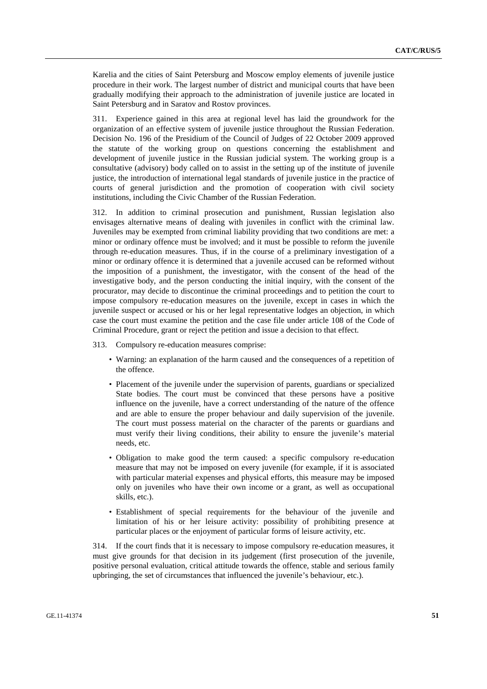Karelia and the cities of Saint Petersburg and Moscow employ elements of juvenile justice procedure in their work. The largest number of district and municipal courts that have been gradually modifying their approach to the administration of juvenile justice are located in Saint Petersburg and in Saratov and Rostov provinces.

311. Experience gained in this area at regional level has laid the groundwork for the organization of an effective system of juvenile justice throughout the Russian Federation. Decision No. 196 of the Presidium of the Council of Judges of 22 October 2009 approved the statute of the working group on questions concerning the establishment and development of juvenile justice in the Russian judicial system. The working group is a consultative (advisory) body called on to assist in the setting up of the institute of juvenile justice, the introduction of international legal standards of juvenile justice in the practice of courts of general jurisdiction and the promotion of cooperation with civil society institutions, including the Civic Chamber of the Russian Federation.

312. In addition to criminal prosecution and punishment, Russian legislation also envisages alternative means of dealing with juveniles in conflict with the criminal law. Juveniles may be exempted from criminal liability providing that two conditions are met: a minor or ordinary offence must be involved; and it must be possible to reform the juvenile through re-education measures. Thus, if in the course of a preliminary investigation of a minor or ordinary offence it is determined that a juvenile accused can be reformed without the imposition of a punishment, the investigator, with the consent of the head of the investigative body, and the person conducting the initial inquiry, with the consent of the procurator, may decide to discontinue the criminal proceedings and to petition the court to impose compulsory re-education measures on the juvenile, except in cases in which the juvenile suspect or accused or his or her legal representative lodges an objection, in which case the court must examine the petition and the case file under article 108 of the Code of Criminal Procedure, grant or reject the petition and issue a decision to that effect.

313. Compulsory re-education measures comprise:

- Warning: an explanation of the harm caused and the consequences of a repetition of the offence.
- Placement of the juvenile under the supervision of parents, guardians or specialized State bodies. The court must be convinced that these persons have a positive influence on the juvenile, have a correct understanding of the nature of the offence and are able to ensure the proper behaviour and daily supervision of the juvenile. The court must possess material on the character of the parents or guardians and must verify their living conditions, their ability to ensure the juvenile's material needs, etc.
- Obligation to make good the term caused: a specific compulsory re-education measure that may not be imposed on every juvenile (for example, if it is associated with particular material expenses and physical efforts, this measure may be imposed only on juveniles who have their own income or a grant, as well as occupational skills, etc.).
- Establishment of special requirements for the behaviour of the juvenile and limitation of his or her leisure activity: possibility of prohibiting presence at particular places or the enjoyment of particular forms of leisure activity, etc.

314. If the court finds that it is necessary to impose compulsory re-education measures, it must give grounds for that decision in its judgement (first prosecution of the juvenile, positive personal evaluation, critical attitude towards the offence, stable and serious family upbringing, the set of circumstances that influenced the juvenile's behaviour, etc.).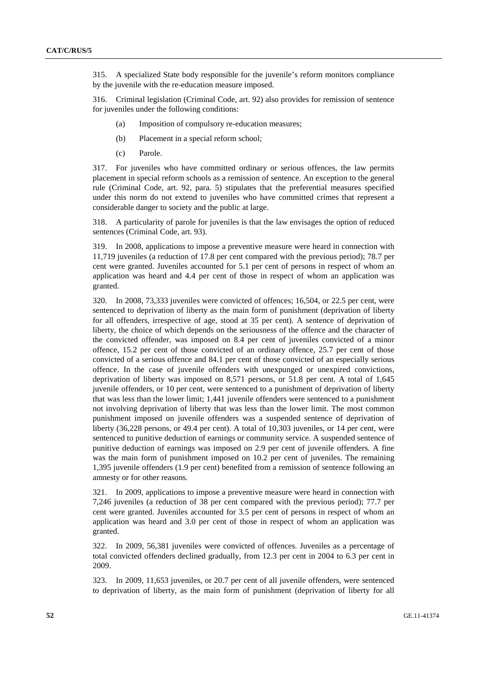315. A specialized State body responsible for the juvenile's reform monitors compliance by the juvenile with the re-education measure imposed.

316. Criminal legislation (Criminal Code, art. 92) also provides for remission of sentence for juveniles under the following conditions:

- (a) Imposition of compulsory re-education measures;
- (b) Placement in a special reform school;
- (c) Parole.

317. For juveniles who have committed ordinary or serious offences, the law permits placement in special reform schools as a remission of sentence. An exception to the general rule (Criminal Code, art. 92, para. 5) stipulates that the preferential measures specified under this norm do not extend to juveniles who have committed crimes that represent a considerable danger to society and the public at large.

318. A particularity of parole for juveniles is that the law envisages the option of reduced sentences (Criminal Code, art. 93).

319. In 2008, applications to impose a preventive measure were heard in connection with 11,719 juveniles (a reduction of 17.8 per cent compared with the previous period); 78.7 per cent were granted. Juveniles accounted for 5.1 per cent of persons in respect of whom an application was heard and 4.4 per cent of those in respect of whom an application was granted.

320. In 2008, 73,333 juveniles were convicted of offences; 16,504, or 22.5 per cent, were sentenced to deprivation of liberty as the main form of punishment (deprivation of liberty for all offenders, irrespective of age, stood at 35 per cent). A sentence of deprivation of liberty, the choice of which depends on the seriousness of the offence and the character of the convicted offender, was imposed on 8.4 per cent of juveniles convicted of a minor offence, 15.2 per cent of those convicted of an ordinary offence, 25.7 per cent of those convicted of a serious offence and 84.1 per cent of those convicted of an especially serious offence. In the case of juvenile offenders with unexpunged or unexpired convictions, deprivation of liberty was imposed on 8,571 persons, or 51.8 per cent. A total of 1,645 juvenile offenders, or 10 per cent, were sentenced to a punishment of deprivation of liberty that was less than the lower limit; 1,441 juvenile offenders were sentenced to a punishment not involving deprivation of liberty that was less than the lower limit. The most common punishment imposed on juvenile offenders was a suspended sentence of deprivation of liberty (36,228 persons, or 49.4 per cent). A total of 10,303 juveniles, or 14 per cent, were sentenced to punitive deduction of earnings or community service. A suspended sentence of punitive deduction of earnings was imposed on 2.9 per cent of juvenile offenders. A fine was the main form of punishment imposed on 10.2 per cent of juveniles. The remaining 1,395 juvenile offenders (1.9 per cent) benefited from a remission of sentence following an amnesty or for other reasons.

321. In 2009, applications to impose a preventive measure were heard in connection with 7,246 juveniles (a reduction of 38 per cent compared with the previous period); 77.7 per cent were granted. Juveniles accounted for 3.5 per cent of persons in respect of whom an application was heard and 3.0 per cent of those in respect of whom an application was granted.

322. In 2009, 56,381 juveniles were convicted of offences. Juveniles as a percentage of total convicted offenders declined gradually, from 12.3 per cent in 2004 to 6.3 per cent in 2009.

323. In 2009, 11,653 juveniles, or 20.7 per cent of all juvenile offenders, were sentenced to deprivation of liberty, as the main form of punishment (deprivation of liberty for all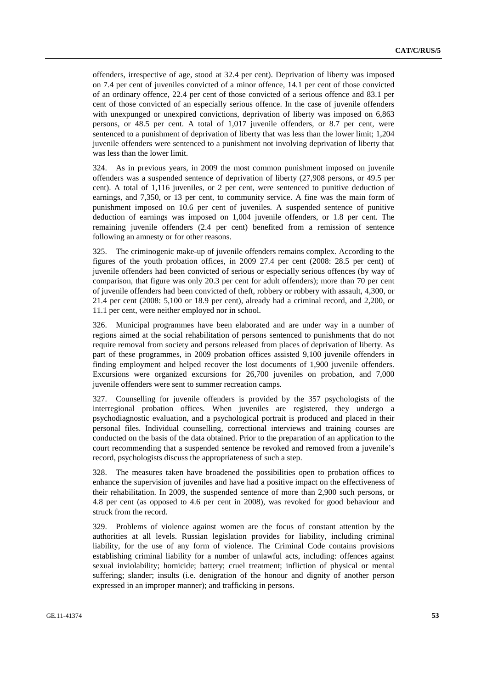offenders, irrespective of age, stood at 32.4 per cent). Deprivation of liberty was imposed on 7.4 per cent of juveniles convicted of a minor offence, 14.1 per cent of those convicted of an ordinary offence, 22.4 per cent of those convicted of a serious offence and 83.1 per cent of those convicted of an especially serious offence. In the case of juvenile offenders with unexpunged or unexpired convictions, deprivation of liberty was imposed on 6,863 persons, or 48.5 per cent. A total of 1,017 juvenile offenders, or 8.7 per cent, were sentenced to a punishment of deprivation of liberty that was less than the lower limit; 1,204 juvenile offenders were sentenced to a punishment not involving deprivation of liberty that was less than the lower limit.

324. As in previous years, in 2009 the most common punishment imposed on juvenile offenders was a suspended sentence of deprivation of liberty (27,908 persons, or 49.5 per cent). A total of 1,116 juveniles, or 2 per cent, were sentenced to punitive deduction of earnings, and 7,350, or 13 per cent, to community service. A fine was the main form of punishment imposed on 10.6 per cent of juveniles. A suspended sentence of punitive deduction of earnings was imposed on 1,004 juvenile offenders, or 1.8 per cent. The remaining juvenile offenders (2.4 per cent) benefited from a remission of sentence following an amnesty or for other reasons.

325. The criminogenic make-up of juvenile offenders remains complex. According to the figures of the youth probation offices, in 2009 27.4 per cent (2008: 28.5 per cent) of juvenile offenders had been convicted of serious or especially serious offences (by way of comparison, that figure was only 20.3 per cent for adult offenders); more than 70 per cent of juvenile offenders had been convicted of theft, robbery or robbery with assault, 4,300, or 21.4 per cent (2008: 5,100 or 18.9 per cent), already had a criminal record, and 2,200, or 11.1 per cent, were neither employed nor in school.

326. Municipal programmes have been elaborated and are under way in a number of regions aimed at the social rehabilitation of persons sentenced to punishments that do not require removal from society and persons released from places of deprivation of liberty. As part of these programmes, in 2009 probation offices assisted 9,100 juvenile offenders in finding employment and helped recover the lost documents of 1,900 juvenile offenders. Excursions were organized excursions for 26,700 juveniles on probation, and 7,000 juvenile offenders were sent to summer recreation camps.

327. Counselling for juvenile offenders is provided by the 357 psychologists of the interregional probation offices. When juveniles are registered, they undergo a psychodiagnostic evaluation, and a psychological portrait is produced and placed in their personal files. Individual counselling, correctional interviews and training courses are conducted on the basis of the data obtained. Prior to the preparation of an application to the court recommending that a suspended sentence be revoked and removed from a juvenile's record, psychologists discuss the appropriateness of such a step.

328. The measures taken have broadened the possibilities open to probation offices to enhance the supervision of juveniles and have had a positive impact on the effectiveness of their rehabilitation. In 2009, the suspended sentence of more than 2,900 such persons, or 4.8 per cent (as opposed to 4.6 per cent in 2008), was revoked for good behaviour and struck from the record.

329. Problems of violence against women are the focus of constant attention by the authorities at all levels. Russian legislation provides for liability, including criminal liability, for the use of any form of violence. The Criminal Code contains provisions establishing criminal liability for a number of unlawful acts, including: offences against sexual inviolability; homicide; battery; cruel treatment; infliction of physical or mental suffering; slander; insults (i.e. denigration of the honour and dignity of another person expressed in an improper manner); and trafficking in persons.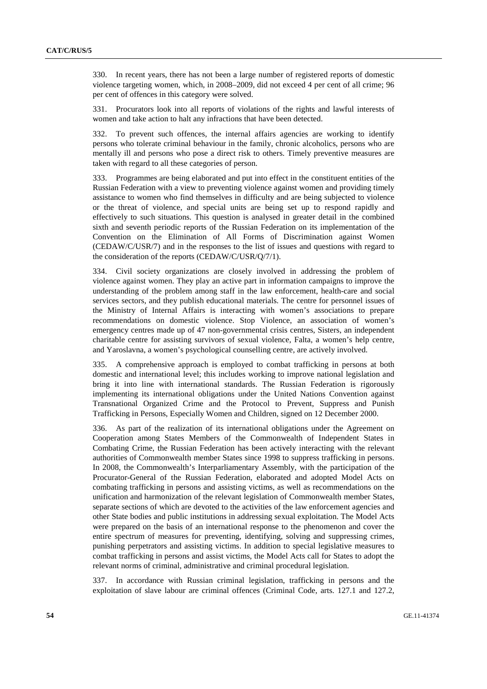330. In recent years, there has not been a large number of registered reports of domestic violence targeting women, which, in 2008–2009, did not exceed 4 per cent of all crime; 96 per cent of offences in this category were solved.

331. Procurators look into all reports of violations of the rights and lawful interests of women and take action to halt any infractions that have been detected.

332. To prevent such offences, the internal affairs agencies are working to identify persons who tolerate criminal behaviour in the family, chronic alcoholics, persons who are mentally ill and persons who pose a direct risk to others. Timely preventive measures are taken with regard to all these categories of person.

333. Programmes are being elaborated and put into effect in the constituent entities of the Russian Federation with a view to preventing violence against women and providing timely assistance to women who find themselves in difficulty and are being subjected to violence or the threat of violence, and special units are being set up to respond rapidly and effectively to such situations. This question is analysed in greater detail in the combined sixth and seventh periodic reports of the Russian Federation on its implementation of the Convention on the Elimination of All Forms of Discrimination against Women (CEDAW/C/USR/7) and in the responses to the list of issues and questions with regard to the consideration of the reports (CEDAW/C/USR/Q/7/1).

334. Civil society organizations are closely involved in addressing the problem of violence against women. They play an active part in information campaigns to improve the understanding of the problem among staff in the law enforcement, health-care and social services sectors, and they publish educational materials. The centre for personnel issues of the Ministry of Internal Affairs is interacting with women's associations to prepare recommendations on domestic violence. Stop Violence, an association of women's emergency centres made up of 47 non-governmental crisis centres, Sisters, an independent charitable centre for assisting survivors of sexual violence, Falta, a women's help centre, and Yaroslavna, a women's psychological counselling centre, are actively involved.

335. A comprehensive approach is employed to combat trafficking in persons at both domestic and international level; this includes working to improve national legislation and bring it into line with international standards. The Russian Federation is rigorously implementing its international obligations under the United Nations Convention against Transnational Organized Crime and the Protocol to Prevent, Suppress and Punish Trafficking in Persons, Especially Women and Children, signed on 12 December 2000.

336. As part of the realization of its international obligations under the Agreement on Cooperation among States Members of the Commonwealth of Independent States in Combating Crime, the Russian Federation has been actively interacting with the relevant authorities of Commonwealth member States since 1998 to suppress trafficking in persons. In 2008, the Commonwealth's Interparliamentary Assembly, with the participation of the Procurator-General of the Russian Federation, elaborated and adopted Model Acts on combating trafficking in persons and assisting victims, as well as recommendations on the unification and harmonization of the relevant legislation of Commonwealth member States, separate sections of which are devoted to the activities of the law enforcement agencies and other State bodies and public institutions in addressing sexual exploitation. The Model Acts were prepared on the basis of an international response to the phenomenon and cover the entire spectrum of measures for preventing, identifying, solving and suppressing crimes, punishing perpetrators and assisting victims. In addition to special legislative measures to combat trafficking in persons and assist victims, the Model Acts call for States to adopt the relevant norms of criminal, administrative and criminal procedural legislation.

337. In accordance with Russian criminal legislation, trafficking in persons and the exploitation of slave labour are criminal offences (Criminal Code, arts. 127.1 and 127.2,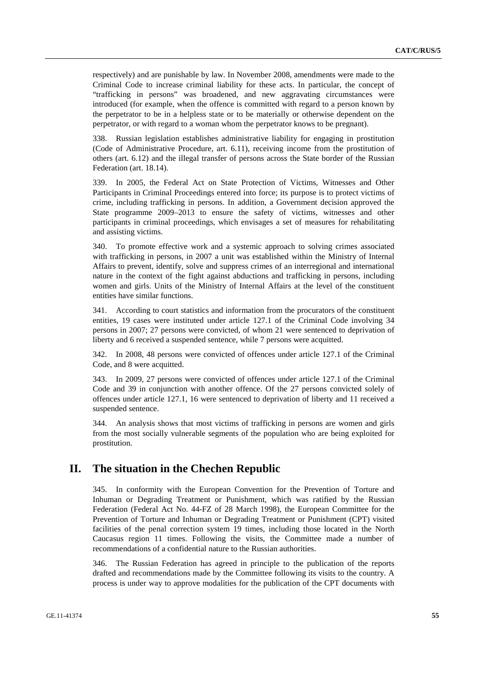respectively) and are punishable by law. In November 2008, amendments were made to the Criminal Code to increase criminal liability for these acts. In particular, the concept of "trafficking in persons" was broadened, and new aggravating circumstances were introduced (for example, when the offence is committed with regard to a person known by the perpetrator to be in a helpless state or to be materially or otherwise dependent on the perpetrator, or with regard to a woman whom the perpetrator knows to be pregnant).

338. Russian legislation establishes administrative liability for engaging in prostitution (Code of Administrative Procedure, art. 6.11), receiving income from the prostitution of others (art. 6.12) and the illegal transfer of persons across the State border of the Russian Federation (art. 18.14).

339. In 2005, the Federal Act on State Protection of Victims, Witnesses and Other Participants in Criminal Proceedings entered into force; its purpose is to protect victims of crime, including trafficking in persons. In addition, a Government decision approved the State programme 2009–2013 to ensure the safety of victims, witnesses and other participants in criminal proceedings, which envisages a set of measures for rehabilitating and assisting victims.

340. To promote effective work and a systemic approach to solving crimes associated with trafficking in persons, in 2007 a unit was established within the Ministry of Internal Affairs to prevent, identify, solve and suppress crimes of an interregional and international nature in the context of the fight against abductions and trafficking in persons, including women and girls. Units of the Ministry of Internal Affairs at the level of the constituent entities have similar functions.

341. According to court statistics and information from the procurators of the constituent entities, 19 cases were instituted under article 127.1 of the Criminal Code involving 34 persons in 2007; 27 persons were convicted, of whom 21 were sentenced to deprivation of liberty and 6 received a suspended sentence, while 7 persons were acquitted.

342. In 2008, 48 persons were convicted of offences under article 127.1 of the Criminal Code, and 8 were acquitted.

343. In 2009, 27 persons were convicted of offences under article 127.1 of the Criminal Code and 39 in conjunction with another offence. Of the 27 persons convicted solely of offences under article 127.1, 16 were sentenced to deprivation of liberty and 11 received a suspended sentence.

344. An analysis shows that most victims of trafficking in persons are women and girls from the most socially vulnerable segments of the population who are being exploited for prostitution.

### **II. The situation in the Chechen Republic**

345. In conformity with the European Convention for the Prevention of Torture and Inhuman or Degrading Treatment or Punishment, which was ratified by the Russian Federation (Federal Act No. 44-FZ of 28 March 1998), the European Committee for the Prevention of Torture and Inhuman or Degrading Treatment or Punishment (CPT) visited facilities of the penal correction system 19 times, including those located in the North Caucasus region 11 times. Following the visits, the Committee made a number of recommendations of a confidential nature to the Russian authorities.

346. The Russian Federation has agreed in principle to the publication of the reports drafted and recommendations made by the Committee following its visits to the country. A process is under way to approve modalities for the publication of the CPT documents with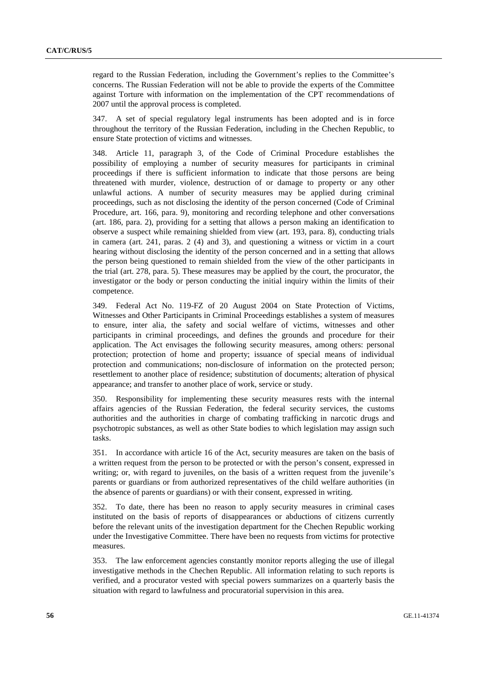regard to the Russian Federation, including the Government's replies to the Committee's concerns. The Russian Federation will not be able to provide the experts of the Committee against Torture with information on the implementation of the CPT recommendations of 2007 until the approval process is completed.

347. A set of special regulatory legal instruments has been adopted and is in force throughout the territory of the Russian Federation, including in the Chechen Republic, to ensure State protection of victims and witnesses.

348. Article 11, paragraph 3, of the Code of Criminal Procedure establishes the possibility of employing a number of security measures for participants in criminal proceedings if there is sufficient information to indicate that those persons are being threatened with murder, violence, destruction of or damage to property or any other unlawful actions. A number of security measures may be applied during criminal proceedings, such as not disclosing the identity of the person concerned (Code of Criminal Procedure, art. 166, para. 9), monitoring and recording telephone and other conversations (art. 186, para. 2), providing for a setting that allows a person making an identification to observe a suspect while remaining shielded from view (art. 193, para. 8), conducting trials in camera (art. 241, paras. 2 (4) and 3), and questioning a witness or victim in a court hearing without disclosing the identity of the person concerned and in a setting that allows the person being questioned to remain shielded from the view of the other participants in the trial (art. 278, para. 5). These measures may be applied by the court, the procurator, the investigator or the body or person conducting the initial inquiry within the limits of their competence.

349. Federal Act No. 119-FZ of 20 August 2004 on State Protection of Victims, Witnesses and Other Participants in Criminal Proceedings establishes a system of measures to ensure, inter alia, the safety and social welfare of victims, witnesses and other participants in criminal proceedings, and defines the grounds and procedure for their application. The Act envisages the following security measures, among others: personal protection; protection of home and property; issuance of special means of individual protection and communications; non-disclosure of information on the protected person; resettlement to another place of residence; substitution of documents; alteration of physical appearance; and transfer to another place of work, service or study.

350. Responsibility for implementing these security measures rests with the internal affairs agencies of the Russian Federation, the federal security services, the customs authorities and the authorities in charge of combating trafficking in narcotic drugs and psychotropic substances, as well as other State bodies to which legislation may assign such tasks.

351. In accordance with article 16 of the Act, security measures are taken on the basis of a written request from the person to be protected or with the person's consent, expressed in writing; or, with regard to juveniles, on the basis of a written request from the juvenile's parents or guardians or from authorized representatives of the child welfare authorities (in the absence of parents or guardians) or with their consent, expressed in writing.

352. To date, there has been no reason to apply security measures in criminal cases instituted on the basis of reports of disappearances or abductions of citizens currently before the relevant units of the investigation department for the Chechen Republic working under the Investigative Committee. There have been no requests from victims for protective measures.

353. The law enforcement agencies constantly monitor reports alleging the use of illegal investigative methods in the Chechen Republic. All information relating to such reports is verified, and a procurator vested with special powers summarizes on a quarterly basis the situation with regard to lawfulness and procuratorial supervision in this area.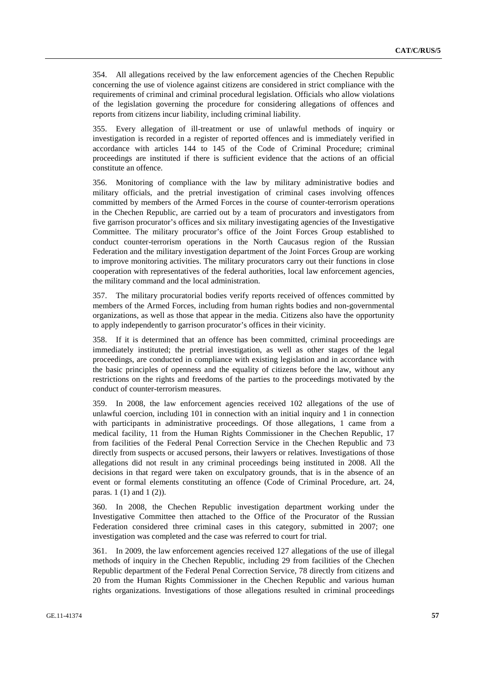354. All allegations received by the law enforcement agencies of the Chechen Republic concerning the use of violence against citizens are considered in strict compliance with the requirements of criminal and criminal procedural legislation. Officials who allow violations of the legislation governing the procedure for considering allegations of offences and reports from citizens incur liability, including criminal liability.

355. Every allegation of ill-treatment or use of unlawful methods of inquiry or investigation is recorded in a register of reported offences and is immediately verified in accordance with articles 144 to 145 of the Code of Criminal Procedure; criminal proceedings are instituted if there is sufficient evidence that the actions of an official constitute an offence.

356. Monitoring of compliance with the law by military administrative bodies and military officials, and the pretrial investigation of criminal cases involving offences committed by members of the Armed Forces in the course of counter-terrorism operations in the Chechen Republic, are carried out by a team of procurators and investigators from five garrison procurator's offices and six military investigating agencies of the Investigative Committee. The military procurator's office of the Joint Forces Group established to conduct counter-terrorism operations in the North Caucasus region of the Russian Federation and the military investigation department of the Joint Forces Group are working to improve monitoring activities. The military procurators carry out their functions in close cooperation with representatives of the federal authorities, local law enforcement agencies, the military command and the local administration.

357. The military procuratorial bodies verify reports received of offences committed by members of the Armed Forces, including from human rights bodies and non-governmental organizations, as well as those that appear in the media. Citizens also have the opportunity to apply independently to garrison procurator's offices in their vicinity.

358. If it is determined that an offence has been committed, criminal proceedings are immediately instituted; the pretrial investigation, as well as other stages of the legal proceedings, are conducted in compliance with existing legislation and in accordance with the basic principles of openness and the equality of citizens before the law, without any restrictions on the rights and freedoms of the parties to the proceedings motivated by the conduct of counter-terrorism measures.

359. In 2008, the law enforcement agencies received 102 allegations of the use of unlawful coercion, including 101 in connection with an initial inquiry and 1 in connection with participants in administrative proceedings. Of those allegations, 1 came from a medical facility, 11 from the Human Rights Commissioner in the Chechen Republic, 17 from facilities of the Federal Penal Correction Service in the Chechen Republic and 73 directly from suspects or accused persons, their lawyers or relatives. Investigations of those allegations did not result in any criminal proceedings being instituted in 2008. All the decisions in that regard were taken on exculpatory grounds, that is in the absence of an event or formal elements constituting an offence (Code of Criminal Procedure, art. 24, paras. 1 (1) and 1 (2)).

360. In 2008, the Chechen Republic investigation department working under the Investigative Committee then attached to the Office of the Procurator of the Russian Federation considered three criminal cases in this category, submitted in 2007; one investigation was completed and the case was referred to court for trial.

361. In 2009, the law enforcement agencies received 127 allegations of the use of illegal methods of inquiry in the Chechen Republic, including 29 from facilities of the Chechen Republic department of the Federal Penal Correction Service, 78 directly from citizens and 20 from the Human Rights Commissioner in the Chechen Republic and various human rights organizations. Investigations of those allegations resulted in criminal proceedings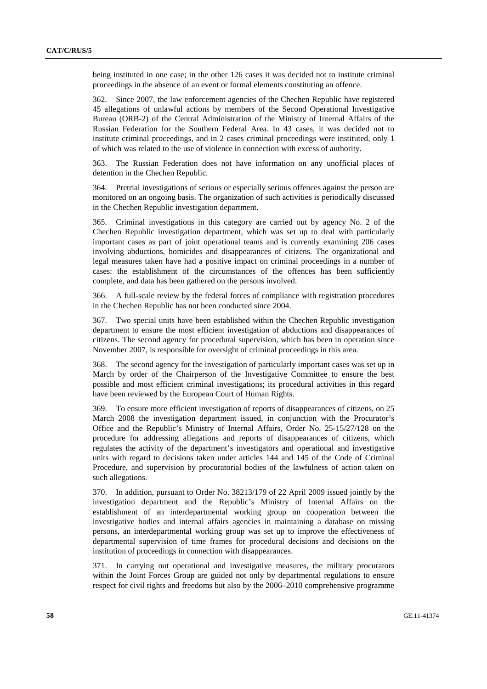being instituted in one case; in the other 126 cases it was decided not to institute criminal proceedings in the absence of an event or formal elements constituting an offence.

362. Since 2007, the law enforcement agencies of the Chechen Republic have registered 45 allegations of unlawful actions by members of the Second Operational Investigative Bureau (ORB-2) of the Central Administration of the Ministry of Internal Affairs of the Russian Federation for the Southern Federal Area. In 43 cases, it was decided not to institute criminal proceedings, and in 2 cases criminal proceedings were instituted, only 1 of which was related to the use of violence in connection with excess of authority.

363. The Russian Federation does not have information on any unofficial places of detention in the Chechen Republic.

364. Pretrial investigations of serious or especially serious offences against the person are monitored on an ongoing basis. The organization of such activities is periodically discussed in the Chechen Republic investigation department.

365. Criminal investigations in this category are carried out by agency No. 2 of the Chechen Republic investigation department, which was set up to deal with particularly important cases as part of joint operational teams and is currently examining 206 cases involving abductions, homicides and disappearances of citizens. The organizational and legal measures taken have had a positive impact on criminal proceedings in a number of cases: the establishment of the circumstances of the offences has been sufficiently complete, and data has been gathered on the persons involved.

366. A full-scale review by the federal forces of compliance with registration procedures in the Chechen Republic has not been conducted since 2004.

367. Two special units have been established within the Chechen Republic investigation department to ensure the most efficient investigation of abductions and disappearances of citizens. The second agency for procedural supervision, which has been in operation since November 2007, is responsible for oversight of criminal proceedings in this area.

368. The second agency for the investigation of particularly important cases was set up in March by order of the Chairperson of the Investigative Committee to ensure the best possible and most efficient criminal investigations; its procedural activities in this regard have been reviewed by the European Court of Human Rights.

369. To ensure more efficient investigation of reports of disappearances of citizens, on 25 March 2008 the investigation department issued, in conjunction with the Procurator's Office and the Republic's Ministry of Internal Affairs, Order No. 25-15/27/128 on the procedure for addressing allegations and reports of disappearances of citizens, which regulates the activity of the department's investigators and operational and investigative units with regard to decisions taken under articles 144 and 145 of the Code of Criminal Procedure, and supervision by procuratorial bodies of the lawfulness of action taken on such allegations.

370. In addition, pursuant to Order No. 38213/179 of 22 April 2009 issued jointly by the investigation department and the Republic's Ministry of Internal Affairs on the establishment of an interdepartmental working group on cooperation between the investigative bodies and internal affairs agencies in maintaining a database on missing persons, an interdepartmental working group was set up to improve the effectiveness of departmental supervision of time frames for procedural decisions and decisions on the institution of proceedings in connection with disappearances.

371. In carrying out operational and investigative measures, the military procurators within the Joint Forces Group are guided not only by departmental regulations to ensure respect for civil rights and freedoms but also by the 2006–2010 comprehensive programme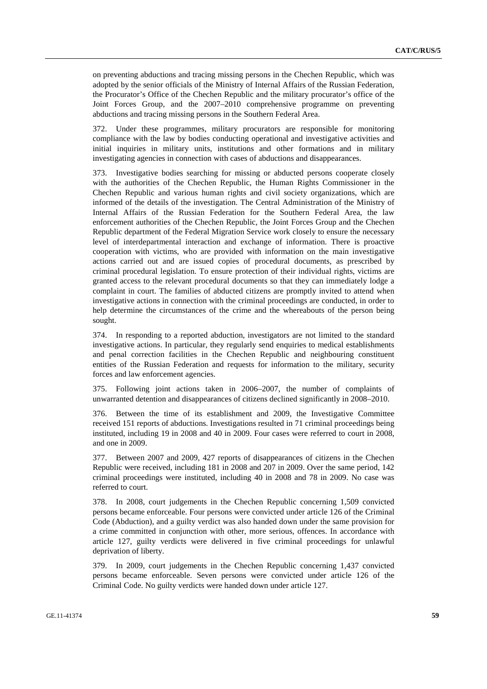on preventing abductions and tracing missing persons in the Chechen Republic, which was adopted by the senior officials of the Ministry of Internal Affairs of the Russian Federation, the Procurator's Office of the Chechen Republic and the military procurator's office of the Joint Forces Group, and the 2007–2010 comprehensive programme on preventing abductions and tracing missing persons in the Southern Federal Area.

372. Under these programmes, military procurators are responsible for monitoring compliance with the law by bodies conducting operational and investigative activities and initial inquiries in military units, institutions and other formations and in military investigating agencies in connection with cases of abductions and disappearances.

373. Investigative bodies searching for missing or abducted persons cooperate closely with the authorities of the Chechen Republic, the Human Rights Commissioner in the Chechen Republic and various human rights and civil society organizations, which are informed of the details of the investigation. The Central Administration of the Ministry of Internal Affairs of the Russian Federation for the Southern Federal Area, the law enforcement authorities of the Chechen Republic, the Joint Forces Group and the Chechen Republic department of the Federal Migration Service work closely to ensure the necessary level of interdepartmental interaction and exchange of information. There is proactive cooperation with victims, who are provided with information on the main investigative actions carried out and are issued copies of procedural documents, as prescribed by criminal procedural legislation. To ensure protection of their individual rights, victims are granted access to the relevant procedural documents so that they can immediately lodge a complaint in court. The families of abducted citizens are promptly invited to attend when investigative actions in connection with the criminal proceedings are conducted, in order to help determine the circumstances of the crime and the whereabouts of the person being sought.

374. In responding to a reported abduction, investigators are not limited to the standard investigative actions. In particular, they regularly send enquiries to medical establishments and penal correction facilities in the Chechen Republic and neighbouring constituent entities of the Russian Federation and requests for information to the military, security forces and law enforcement agencies.

375. Following joint actions taken in 2006–2007, the number of complaints of unwarranted detention and disappearances of citizens declined significantly in 2008–2010.

376. Between the time of its establishment and 2009, the Investigative Committee received 151 reports of abductions. Investigations resulted in 71 criminal proceedings being instituted, including 19 in 2008 and 40 in 2009. Four cases were referred to court in 2008, and one in 2009.

377. Between 2007 and 2009, 427 reports of disappearances of citizens in the Chechen Republic were received, including 181 in 2008 and 207 in 2009. Over the same period, 142 criminal proceedings were instituted, including 40 in 2008 and 78 in 2009. No case was referred to court.

378. In 2008, court judgements in the Chechen Republic concerning 1,509 convicted persons became enforceable. Four persons were convicted under article 126 of the Criminal Code (Abduction), and a guilty verdict was also handed down under the same provision for a crime committed in conjunction with other, more serious, offences. In accordance with article 127, guilty verdicts were delivered in five criminal proceedings for unlawful deprivation of liberty.

379. In 2009, court judgements in the Chechen Republic concerning 1,437 convicted persons became enforceable. Seven persons were convicted under article 126 of the Criminal Code. No guilty verdicts were handed down under article 127.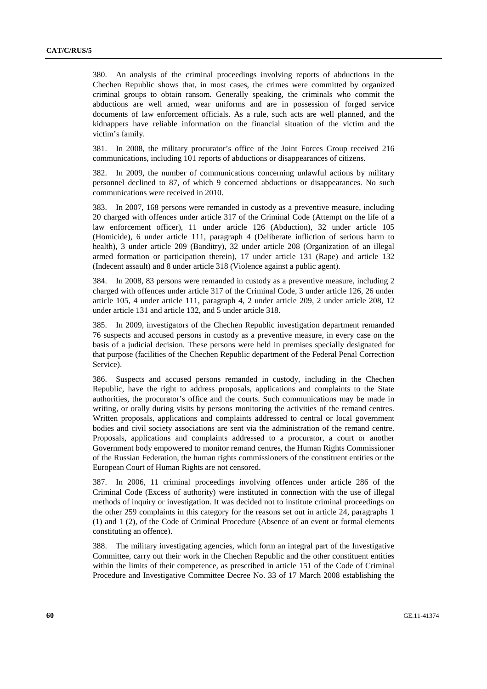380. An analysis of the criminal proceedings involving reports of abductions in the Chechen Republic shows that, in most cases, the crimes were committed by organized criminal groups to obtain ransom. Generally speaking, the criminals who commit the abductions are well armed, wear uniforms and are in possession of forged service documents of law enforcement officials. As a rule, such acts are well planned, and the kidnappers have reliable information on the financial situation of the victim and the victim's family.

381. In 2008, the military procurator's office of the Joint Forces Group received 216 communications, including 101 reports of abductions or disappearances of citizens.

382. In 2009, the number of communications concerning unlawful actions by military personnel declined to 87, of which 9 concerned abductions or disappearances. No such communications were received in 2010.

383. In 2007, 168 persons were remanded in custody as a preventive measure, including 20 charged with offences under article 317 of the Criminal Code (Attempt on the life of a law enforcement officer), 11 under article 126 (Abduction), 32 under article 105 (Homicide), 6 under article 111, paragraph 4 (Deliberate infliction of serious harm to health), 3 under article 209 (Banditry), 32 under article 208 (Organization of an illegal armed formation or participation therein), 17 under article 131 (Rape) and article 132 (Indecent assault) and 8 under article 318 (Violence against a public agent).

384. In 2008, 83 persons were remanded in custody as a preventive measure, including 2 charged with offences under article 317 of the Criminal Code, 3 under article 126, 26 under article 105, 4 under article 111, paragraph 4, 2 under article 209, 2 under article 208, 12 under article 131 and article 132, and 5 under article 318.

385. In 2009, investigators of the Chechen Republic investigation department remanded 76 suspects and accused persons in custody as a preventive measure, in every case on the basis of a judicial decision. These persons were held in premises specially designated for that purpose (facilities of the Chechen Republic department of the Federal Penal Correction Service).

386. Suspects and accused persons remanded in custody, including in the Chechen Republic, have the right to address proposals, applications and complaints to the State authorities, the procurator's office and the courts. Such communications may be made in writing, or orally during visits by persons monitoring the activities of the remand centres. Written proposals, applications and complaints addressed to central or local government bodies and civil society associations are sent via the administration of the remand centre. Proposals, applications and complaints addressed to a procurator, a court or another Government body empowered to monitor remand centres, the Human Rights Commissioner of the Russian Federation, the human rights commissioners of the constituent entities or the European Court of Human Rights are not censored.

387. In 2006, 11 criminal proceedings involving offences under article 286 of the Criminal Code (Excess of authority) were instituted in connection with the use of illegal methods of inquiry or investigation. It was decided not to institute criminal proceedings on the other 259 complaints in this category for the reasons set out in article 24, paragraphs 1 (1) and 1 (2), of the Code of Criminal Procedure (Absence of an event or formal elements constituting an offence).

388. The military investigating agencies, which form an integral part of the Investigative Committee, carry out their work in the Chechen Republic and the other constituent entities within the limits of their competence, as prescribed in article 151 of the Code of Criminal Procedure and Investigative Committee Decree No. 33 of 17 March 2008 establishing the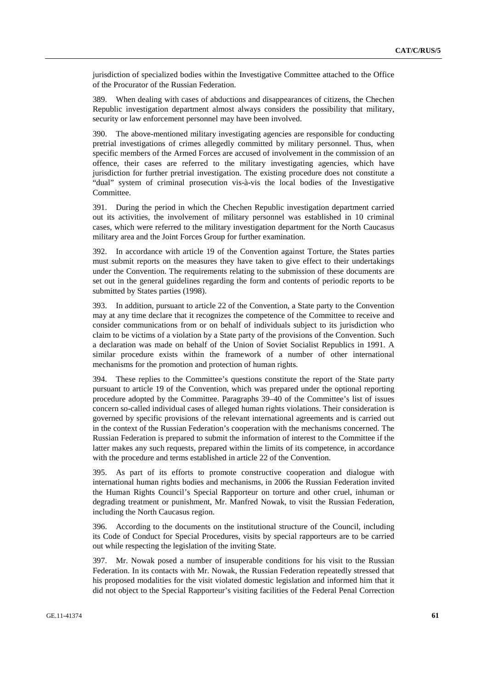jurisdiction of specialized bodies within the Investigative Committee attached to the Office of the Procurator of the Russian Federation.

389. When dealing with cases of abductions and disappearances of citizens, the Chechen Republic investigation department almost always considers the possibility that military, security or law enforcement personnel may have been involved.

390. The above-mentioned military investigating agencies are responsible for conducting pretrial investigations of crimes allegedly committed by military personnel. Thus, when specific members of the Armed Forces are accused of involvement in the commission of an offence, their cases are referred to the military investigating agencies, which have jurisdiction for further pretrial investigation. The existing procedure does not constitute a "dual" system of criminal prosecution vis-à-vis the local bodies of the Investigative Committee.

391. During the period in which the Chechen Republic investigation department carried out its activities, the involvement of military personnel was established in 10 criminal cases, which were referred to the military investigation department for the North Caucasus military area and the Joint Forces Group for further examination.

392. In accordance with article 19 of the Convention against Torture, the States parties must submit reports on the measures they have taken to give effect to their undertakings under the Convention. The requirements relating to the submission of these documents are set out in the general guidelines regarding the form and contents of periodic reports to be submitted by States parties (1998).

393. In addition, pursuant to article 22 of the Convention, a State party to the Convention may at any time declare that it recognizes the competence of the Committee to receive and consider communications from or on behalf of individuals subject to its jurisdiction who claim to be victims of a violation by a State party of the provisions of the Convention. Such a declaration was made on behalf of the Union of Soviet Socialist Republics in 1991. A similar procedure exists within the framework of a number of other international mechanisms for the promotion and protection of human rights.

394. These replies to the Committee's questions constitute the report of the State party pursuant to article 19 of the Convention, which was prepared under the optional reporting procedure adopted by the Committee. Paragraphs 39–40 of the Committee's list of issues concern so-called individual cases of alleged human rights violations. Their consideration is governed by specific provisions of the relevant international agreements and is carried out in the context of the Russian Federation's cooperation with the mechanisms concerned. The Russian Federation is prepared to submit the information of interest to the Committee if the latter makes any such requests, prepared within the limits of its competence, in accordance with the procedure and terms established in article 22 of the Convention.

395. As part of its efforts to promote constructive cooperation and dialogue with international human rights bodies and mechanisms, in 2006 the Russian Federation invited the Human Rights Council's Special Rapporteur on torture and other cruel, inhuman or degrading treatment or punishment, Mr. Manfred Nowak, to visit the Russian Federation, including the North Caucasus region.

396. According to the documents on the institutional structure of the Council, including its Code of Conduct for Special Procedures, visits by special rapporteurs are to be carried out while respecting the legislation of the inviting State.

397. Mr. Nowak posed a number of insuperable conditions for his visit to the Russian Federation. In its contacts with Mr. Nowak, the Russian Federation repeatedly stressed that his proposed modalities for the visit violated domestic legislation and informed him that it did not object to the Special Rapporteur's visiting facilities of the Federal Penal Correction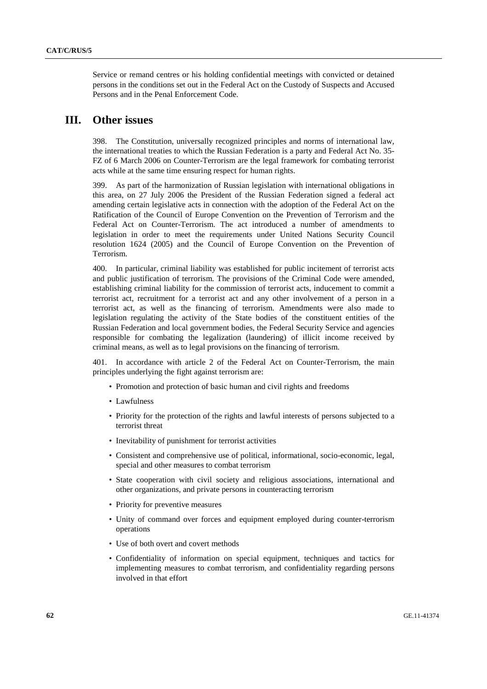Service or remand centres or his holding confidential meetings with convicted or detained persons in the conditions set out in the Federal Act on the Custody of Suspects and Accused Persons and in the Penal Enforcement Code.

#### **III. Other issues**

398. The Constitution, universally recognized principles and norms of international law, the international treaties to which the Russian Federation is a party and Federal Act No. 35- FZ of 6 March 2006 on Counter-Terrorism are the legal framework for combating terrorist acts while at the same time ensuring respect for human rights.

399. As part of the harmonization of Russian legislation with international obligations in this area, on 27 July 2006 the President of the Russian Federation signed a federal act amending certain legislative acts in connection with the adoption of the Federal Act on the Ratification of the Council of Europe Convention on the Prevention of Terrorism and the Federal Act on Counter-Terrorism. The act introduced a number of amendments to legislation in order to meet the requirements under United Nations Security Council resolution 1624 (2005) and the Council of Europe Convention on the Prevention of Terrorism.

400. In particular, criminal liability was established for public incitement of terrorist acts and public justification of terrorism. The provisions of the Criminal Code were amended, establishing criminal liability for the commission of terrorist acts, inducement to commit a terrorist act, recruitment for a terrorist act and any other involvement of a person in a terrorist act, as well as the financing of terrorism. Amendments were also made to legislation regulating the activity of the State bodies of the constituent entities of the Russian Federation and local government bodies, the Federal Security Service and agencies responsible for combating the legalization (laundering) of illicit income received by criminal means, as well as to legal provisions on the financing of terrorism.

401. In accordance with article 2 of the Federal Act on Counter-Terrorism, the main principles underlying the fight against terrorism are:

- Promotion and protection of basic human and civil rights and freedoms
- Lawfulness
- Priority for the protection of the rights and lawful interests of persons subjected to a terrorist threat
- Inevitability of punishment for terrorist activities
- Consistent and comprehensive use of political, informational, socio-economic, legal, special and other measures to combat terrorism
- State cooperation with civil society and religious associations, international and other organizations, and private persons in counteracting terrorism
- Priority for preventive measures
- Unity of command over forces and equipment employed during counter-terrorism operations
- Use of both overt and covert methods
- Confidentiality of information on special equipment, techniques and tactics for implementing measures to combat terrorism, and confidentiality regarding persons involved in that effort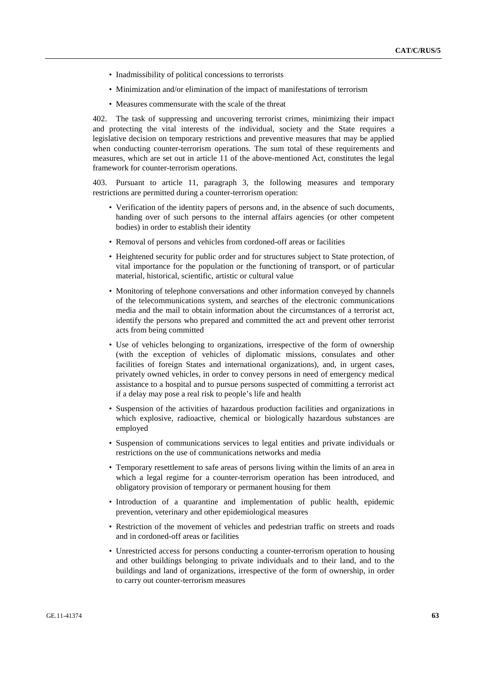- Inadmissibility of political concessions to terrorists
- Minimization and/or elimination of the impact of manifestations of terrorism
- Measures commensurate with the scale of the threat

402. The task of suppressing and uncovering terrorist crimes, minimizing their impact and protecting the vital interests of the individual, society and the State requires a legislative decision on temporary restrictions and preventive measures that may be applied when conducting counter-terrorism operations. The sum total of these requirements and measures, which are set out in article 11 of the above-mentioned Act, constitutes the legal framework for counter-terrorism operations.

403. Pursuant to article 11, paragraph 3, the following measures and temporary restrictions are permitted during a counter-terrorism operation:

- Verification of the identity papers of persons and, in the absence of such documents, handing over of such persons to the internal affairs agencies (or other competent bodies) in order to establish their identity
- Removal of persons and vehicles from cordoned-off areas or facilities
- Heightened security for public order and for structures subject to State protection, of vital importance for the population or the functioning of transport, or of particular material, historical, scientific, artistic or cultural value
- Monitoring of telephone conversations and other information conveyed by channels of the telecommunications system, and searches of the electronic communications media and the mail to obtain information about the circumstances of a terrorist act, identify the persons who prepared and committed the act and prevent other terrorist acts from being committed
- Use of vehicles belonging to organizations, irrespective of the form of ownership (with the exception of vehicles of diplomatic missions, consulates and other facilities of foreign States and international organizations), and, in urgent cases, privately owned vehicles, in order to convey persons in need of emergency medical assistance to a hospital and to pursue persons suspected of committing a terrorist act if a delay may pose a real risk to people's life and health
- Suspension of the activities of hazardous production facilities and organizations in which explosive, radioactive, chemical or biologically hazardous substances are employed
- Suspension of communications services to legal entities and private individuals or restrictions on the use of communications networks and media
- Temporary resettlement to safe areas of persons living within the limits of an area in which a legal regime for a counter-terrorism operation has been introduced, and obligatory provision of temporary or permanent housing for them
- Introduction of a quarantine and implementation of public health, epidemic prevention, veterinary and other epidemiological measures
- Restriction of the movement of vehicles and pedestrian traffic on streets and roads and in cordoned-off areas or facilities
- Unrestricted access for persons conducting a counter-terrorism operation to housing and other buildings belonging to private individuals and to their land, and to the buildings and land of organizations, irrespective of the form of ownership, in order to carry out counter-terrorism measures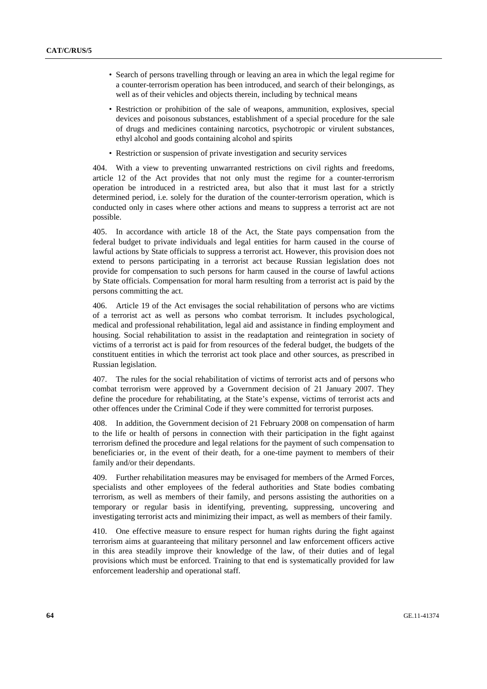- Search of persons travelling through or leaving an area in which the legal regime for a counter-terrorism operation has been introduced, and search of their belongings, as well as of their vehicles and objects therein, including by technical means
- Restriction or prohibition of the sale of weapons, ammunition, explosives, special devices and poisonous substances, establishment of a special procedure for the sale of drugs and medicines containing narcotics, psychotropic or virulent substances, ethyl alcohol and goods containing alcohol and spirits
- Restriction or suspension of private investigation and security services

404. With a view to preventing unwarranted restrictions on civil rights and freedoms, article 12 of the Act provides that not only must the regime for a counter-terrorism operation be introduced in a restricted area, but also that it must last for a strictly determined period, i.e. solely for the duration of the counter-terrorism operation, which is conducted only in cases where other actions and means to suppress a terrorist act are not possible.

405. In accordance with article 18 of the Act, the State pays compensation from the federal budget to private individuals and legal entities for harm caused in the course of lawful actions by State officials to suppress a terrorist act. However, this provision does not extend to persons participating in a terrorist act because Russian legislation does not provide for compensation to such persons for harm caused in the course of lawful actions by State officials. Compensation for moral harm resulting from a terrorist act is paid by the persons committing the act.

406. Article 19 of the Act envisages the social rehabilitation of persons who are victims of a terrorist act as well as persons who combat terrorism. It includes psychological, medical and professional rehabilitation, legal aid and assistance in finding employment and housing. Social rehabilitation to assist in the readaptation and reintegration in society of victims of a terrorist act is paid for from resources of the federal budget, the budgets of the constituent entities in which the terrorist act took place and other sources, as prescribed in Russian legislation.

407. The rules for the social rehabilitation of victims of terrorist acts and of persons who combat terrorism were approved by a Government decision of 21 January 2007. They define the procedure for rehabilitating, at the State's expense, victims of terrorist acts and other offences under the Criminal Code if they were committed for terrorist purposes.

408. In addition, the Government decision of 21 February 2008 on compensation of harm to the life or health of persons in connection with their participation in the fight against terrorism defined the procedure and legal relations for the payment of such compensation to beneficiaries or, in the event of their death, for a one-time payment to members of their family and/or their dependants.

409. Further rehabilitation measures may be envisaged for members of the Armed Forces, specialists and other employees of the federal authorities and State bodies combating terrorism, as well as members of their family, and persons assisting the authorities on a temporary or regular basis in identifying, preventing, suppressing, uncovering and investigating terrorist acts and minimizing their impact, as well as members of their family.

410. One effective measure to ensure respect for human rights during the fight against terrorism aims at guaranteeing that military personnel and law enforcement officers active in this area steadily improve their knowledge of the law, of their duties and of legal provisions which must be enforced. Training to that end is systematically provided for law enforcement leadership and operational staff.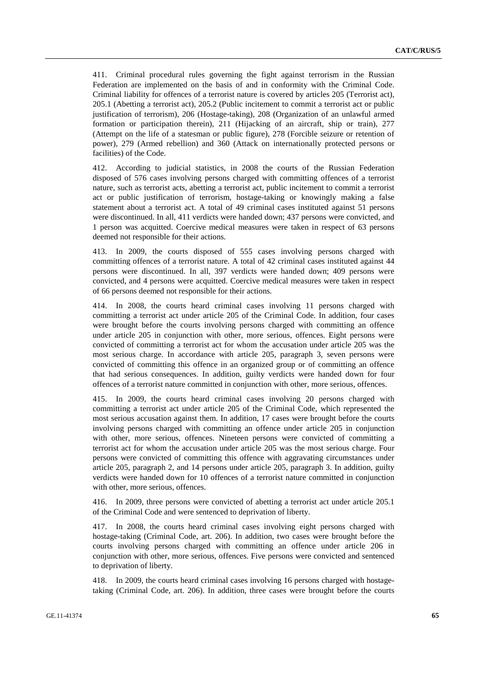411. Criminal procedural rules governing the fight against terrorism in the Russian Federation are implemented on the basis of and in conformity with the Criminal Code. Criminal liability for offences of a terrorist nature is covered by articles 205 (Terrorist act), 205.1 (Abetting a terrorist act), 205.2 (Public incitement to commit a terrorist act or public justification of terrorism), 206 (Hostage-taking), 208 (Organization of an unlawful armed formation or participation therein), 211 (Hijacking of an aircraft, ship or train), 277 (Attempt on the life of a statesman or public figure), 278 (Forcible seizure or retention of power), 279 (Armed rebellion) and 360 (Attack on internationally protected persons or facilities) of the Code.

412. According to judicial statistics, in 2008 the courts of the Russian Federation disposed of 576 cases involving persons charged with committing offences of a terrorist nature, such as terrorist acts, abetting a terrorist act, public incitement to commit a terrorist act or public justification of terrorism, hostage-taking or knowingly making a false statement about a terrorist act. A total of 49 criminal cases instituted against 51 persons were discontinued. In all, 411 verdicts were handed down; 437 persons were convicted, and 1 person was acquitted. Coercive medical measures were taken in respect of 63 persons deemed not responsible for their actions.

413. In 2009, the courts disposed of 555 cases involving persons charged with committing offences of a terrorist nature. A total of 42 criminal cases instituted against 44 persons were discontinued. In all, 397 verdicts were handed down; 409 persons were convicted, and 4 persons were acquitted. Coercive medical measures were taken in respect of 66 persons deemed not responsible for their actions.

414. In 2008, the courts heard criminal cases involving 11 persons charged with committing a terrorist act under article 205 of the Criminal Code. In addition, four cases were brought before the courts involving persons charged with committing an offence under article 205 in conjunction with other, more serious, offences. Eight persons were convicted of committing a terrorist act for whom the accusation under article 205 was the most serious charge. In accordance with article 205, paragraph 3, seven persons were convicted of committing this offence in an organized group or of committing an offence that had serious consequences. In addition, guilty verdicts were handed down for four offences of a terrorist nature committed in conjunction with other, more serious, offences.

415. In 2009, the courts heard criminal cases involving 20 persons charged with committing a terrorist act under article 205 of the Criminal Code, which represented the most serious accusation against them. In addition, 17 cases were brought before the courts involving persons charged with committing an offence under article 205 in conjunction with other, more serious, offences. Nineteen persons were convicted of committing a terrorist act for whom the accusation under article 205 was the most serious charge. Four persons were convicted of committing this offence with aggravating circumstances under article 205, paragraph 2, and 14 persons under article 205, paragraph 3. In addition, guilty verdicts were handed down for 10 offences of a terrorist nature committed in conjunction with other, more serious, offences.

416. In 2009, three persons were convicted of abetting a terrorist act under article 205.1 of the Criminal Code and were sentenced to deprivation of liberty.

417. In 2008, the courts heard criminal cases involving eight persons charged with hostage-taking (Criminal Code, art. 206). In addition, two cases were brought before the courts involving persons charged with committing an offence under article 206 in conjunction with other, more serious, offences. Five persons were convicted and sentenced to deprivation of liberty.

418. In 2009, the courts heard criminal cases involving 16 persons charged with hostagetaking (Criminal Code, art. 206). In addition, three cases were brought before the courts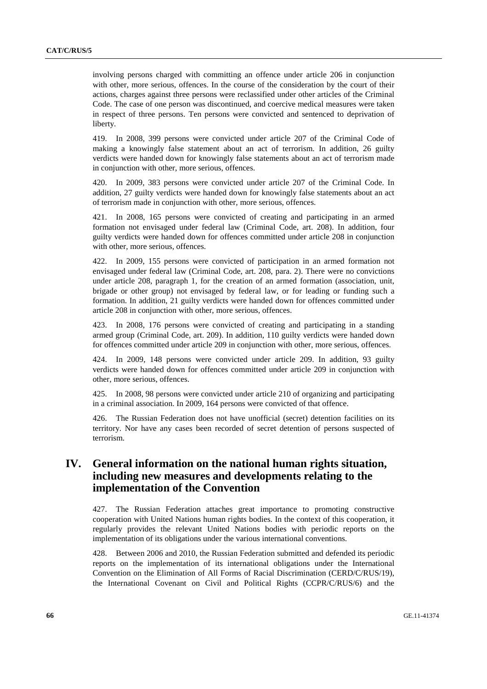involving persons charged with committing an offence under article 206 in conjunction with other, more serious, offences. In the course of the consideration by the court of their actions, charges against three persons were reclassified under other articles of the Criminal Code. The case of one person was discontinued, and coercive medical measures were taken in respect of three persons. Ten persons were convicted and sentenced to deprivation of liberty.

419. In 2008, 399 persons were convicted under article 207 of the Criminal Code of making a knowingly false statement about an act of terrorism. In addition, 26 guilty verdicts were handed down for knowingly false statements about an act of terrorism made in conjunction with other, more serious, offences.

420. In 2009, 383 persons were convicted under article 207 of the Criminal Code. In addition, 27 guilty verdicts were handed down for knowingly false statements about an act of terrorism made in conjunction with other, more serious, offences.

421. In 2008, 165 persons were convicted of creating and participating in an armed formation not envisaged under federal law (Criminal Code, art. 208). In addition, four guilty verdicts were handed down for offences committed under article 208 in conjunction with other, more serious, offences.

422. In 2009, 155 persons were convicted of participation in an armed formation not envisaged under federal law (Criminal Code, art. 208, para. 2). There were no convictions under article 208, paragraph 1, for the creation of an armed formation (association, unit, brigade or other group) not envisaged by federal law, or for leading or funding such a formation. In addition, 21 guilty verdicts were handed down for offences committed under article 208 in conjunction with other, more serious, offences.

423. In 2008, 176 persons were convicted of creating and participating in a standing armed group (Criminal Code, art. 209). In addition, 110 guilty verdicts were handed down for offences committed under article 209 in conjunction with other, more serious, offences.

424. In 2009, 148 persons were convicted under article 209. In addition, 93 guilty verdicts were handed down for offences committed under article 209 in conjunction with other, more serious, offences.

425. In 2008, 98 persons were convicted under article 210 of organizing and participating in a criminal association. In 2009, 164 persons were convicted of that offence.

426. The Russian Federation does not have unofficial (secret) detention facilities on its territory. Nor have any cases been recorded of secret detention of persons suspected of terrorism.

# **IV. General information on the national human rights situation, including new measures and developments relating to the implementation of the Convention**

427. The Russian Federation attaches great importance to promoting constructive cooperation with United Nations human rights bodies. In the context of this cooperation, it regularly provides the relevant United Nations bodies with periodic reports on the implementation of its obligations under the various international conventions.

428. Between 2006 and 2010, the Russian Federation submitted and defended its periodic reports on the implementation of its international obligations under the International Convention on the Elimination of All Forms of Racial Discrimination (CERD/C/RUS/19), the International Covenant on Civil and Political Rights (CCPR/C/RUS/6) and the